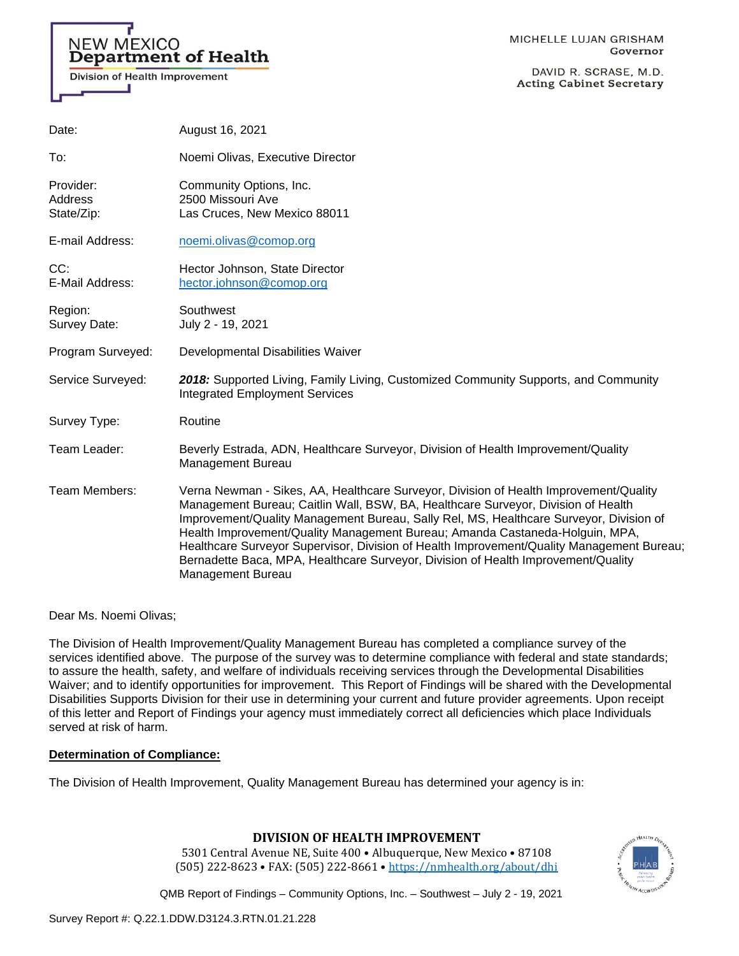# **NEW MEXICO** Department of Health

Division of Health Improvement

DAVID R. SCRASE, M.D. **Acting Cabinet Secretary** 

| Date:                              | August 16, 2021                                                                                                                                                                                                                                                                                                                                                                                                                                                                                                                                                    |
|------------------------------------|--------------------------------------------------------------------------------------------------------------------------------------------------------------------------------------------------------------------------------------------------------------------------------------------------------------------------------------------------------------------------------------------------------------------------------------------------------------------------------------------------------------------------------------------------------------------|
| To:                                | Noemi Olivas, Executive Director                                                                                                                                                                                                                                                                                                                                                                                                                                                                                                                                   |
| Provider:<br>Address<br>State/Zip: | Community Options, Inc.<br>2500 Missouri Ave<br>Las Cruces, New Mexico 88011                                                                                                                                                                                                                                                                                                                                                                                                                                                                                       |
| E-mail Address:                    | noemi.olivas@comop.org                                                                                                                                                                                                                                                                                                                                                                                                                                                                                                                                             |
| CC:<br>E-Mail Address:             | Hector Johnson, State Director<br>hector.johnson@comop.org                                                                                                                                                                                                                                                                                                                                                                                                                                                                                                         |
| Region:<br>Survey Date:            | Southwest<br>July 2 - 19, 2021                                                                                                                                                                                                                                                                                                                                                                                                                                                                                                                                     |
| Program Surveyed:                  | Developmental Disabilities Waiver                                                                                                                                                                                                                                                                                                                                                                                                                                                                                                                                  |
| Service Surveyed:                  | 2018: Supported Living, Family Living, Customized Community Supports, and Community<br><b>Integrated Employment Services</b>                                                                                                                                                                                                                                                                                                                                                                                                                                       |
| Survey Type:                       | Routine                                                                                                                                                                                                                                                                                                                                                                                                                                                                                                                                                            |
| Team Leader:                       | Beverly Estrada, ADN, Healthcare Surveyor, Division of Health Improvement/Quality<br>Management Bureau                                                                                                                                                                                                                                                                                                                                                                                                                                                             |
| Team Members:                      | Verna Newman - Sikes, AA, Healthcare Surveyor, Division of Health Improvement/Quality<br>Management Bureau; Caitlin Wall, BSW, BA, Healthcare Surveyor, Division of Health<br>Improvement/Quality Management Bureau, Sally Rel, MS, Healthcare Surveyor, Division of<br>Health Improvement/Quality Management Bureau; Amanda Castaneda-Holguin, MPA,<br>Healthcare Surveyor Supervisor, Division of Health Improvement/Quality Management Bureau;<br>Bernadette Baca, MPA, Healthcare Surveyor, Division of Health Improvement/Quality<br><b>Management Bureau</b> |

Dear Ms. Noemi Olivas;

The Division of Health Improvement/Quality Management Bureau has completed a compliance survey of the services identified above. The purpose of the survey was to determine compliance with federal and state standards; to assure the health, safety, and welfare of individuals receiving services through the Developmental Disabilities Waiver; and to identify opportunities for improvement. This Report of Findings will be shared with the Developmental Disabilities Supports Division for their use in determining your current and future provider agreements. Upon receipt of this letter and Report of Findings your agency must immediately correct all deficiencies which place Individuals served at risk of harm.

## **Determination of Compliance:**

The Division of Health Improvement, Quality Management Bureau has determined your agency is in:

## **DIVISION OF HEALTH IMPROVEMENT**

5301 Central Avenue NE, Suite 400 • Albuquerque, New Mexico • 87108 (505) 222-8623 • FAX: (505) 222-8661 • <https://nmhealth.org/about/dhi>

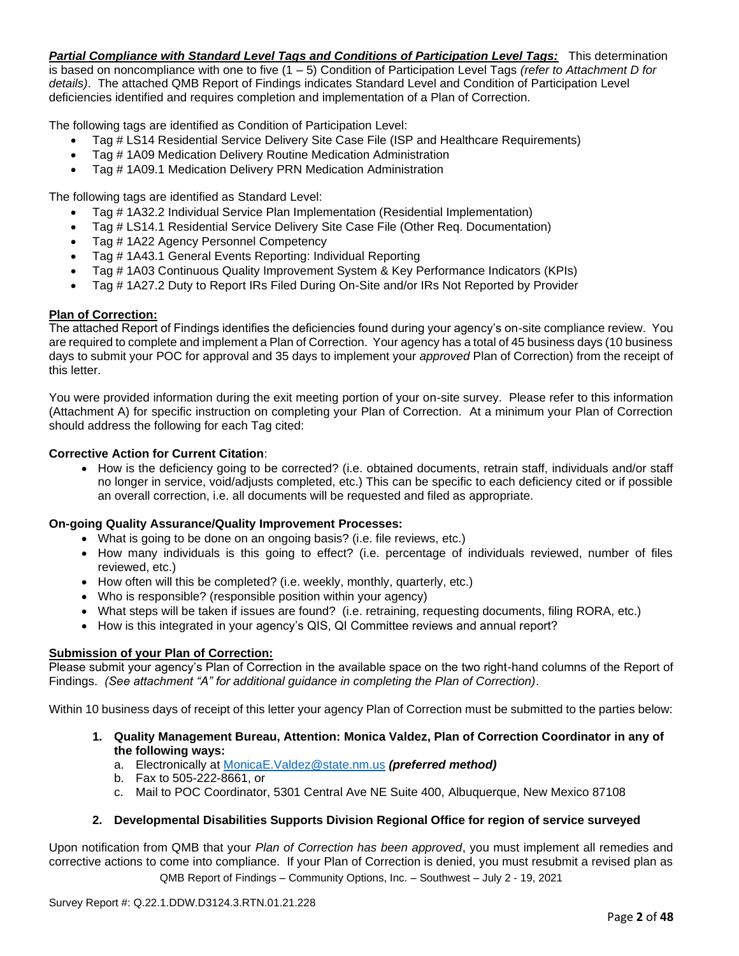*Partial Compliance with Standard Level Tags and Conditions of Participation Level Tags:* This determination is based on noncompliance with one to five (1 – 5) Condition of Participation Level Tags *(refer to Attachment D for details)*. The attached QMB Report of Findings indicates Standard Level and Condition of Participation Level deficiencies identified and requires completion and implementation of a Plan of Correction.

The following tags are identified as Condition of Participation Level:

- Tag # LS14 Residential Service Delivery Site Case File (ISP and Healthcare Requirements)
- Tag # 1A09 Medication Delivery Routine Medication Administration
- Tag # 1A09.1 Medication Delivery PRN Medication Administration

The following tags are identified as Standard Level:

- Tag # 1A32.2 Individual Service Plan Implementation (Residential Implementation)
- Tag # LS14.1 Residential Service Delivery Site Case File (Other Req. Documentation)
- Tag # 1A22 Agency Personnel Competency
- Tag # 1A43.1 General Events Reporting: Individual Reporting
- Tag # 1A03 Continuous Quality Improvement System & Key Performance Indicators (KPIs)
- Tag # 1A27.2 Duty to Report IRs Filed During On-Site and/or IRs Not Reported by Provider

## **Plan of Correction:**

The attached Report of Findings identifies the deficiencies found during your agency's on-site compliance review. You are required to complete and implement a Plan of Correction. Your agency has a total of 45 business days (10 business days to submit your POC for approval and 35 days to implement your *approved* Plan of Correction) from the receipt of this letter.

You were provided information during the exit meeting portion of your on-site survey. Please refer to this information (Attachment A) for specific instruction on completing your Plan of Correction. At a minimum your Plan of Correction should address the following for each Tag cited:

## **Corrective Action for Current Citation**:

• How is the deficiency going to be corrected? (i.e. obtained documents, retrain staff, individuals and/or staff no longer in service, void/adjusts completed, etc.) This can be specific to each deficiency cited or if possible an overall correction, i.e. all documents will be requested and filed as appropriate.

## **On-going Quality Assurance/Quality Improvement Processes:**

- What is going to be done on an ongoing basis? (i.e. file reviews, etc.)
- How many individuals is this going to effect? (i.e. percentage of individuals reviewed, number of files reviewed, etc.)
- How often will this be completed? (i.e. weekly, monthly, quarterly, etc.)
- Who is responsible? (responsible position within your agency)
- What steps will be taken if issues are found? (i.e. retraining, requesting documents, filing RORA, etc.)
- How is this integrated in your agency's QIS, QI Committee reviews and annual report?

## **Submission of your Plan of Correction:**

Please submit your agency's Plan of Correction in the available space on the two right-hand columns of the Report of Findings. *(See attachment "A" for additional guidance in completing the Plan of Correction)*.

Within 10 business days of receipt of this letter your agency Plan of Correction must be submitted to the parties below:

- **1. Quality Management Bureau, Attention: Monica Valdez, Plan of Correction Coordinator in any of the following ways:**
	- a. Electronically at [MonicaE.Valdez@state.nm.us](mailto:MonicaE.Valdez@state.nm.us) *(preferred method)*
	- b. Fax to 505-222-8661, or
	- c. Mail to POC Coordinator, 5301 Central Ave NE Suite 400, Albuquerque, New Mexico 87108

## **2. Developmental Disabilities Supports Division Regional Office for region of service surveyed**

QMB Report of Findings – Community Options, Inc. – Southwest – July 2 - 19, 2021 Upon notification from QMB that your *Plan of Correction has been approved*, you must implement all remedies and corrective actions to come into compliance. If your Plan of Correction is denied, you must resubmit a revised plan as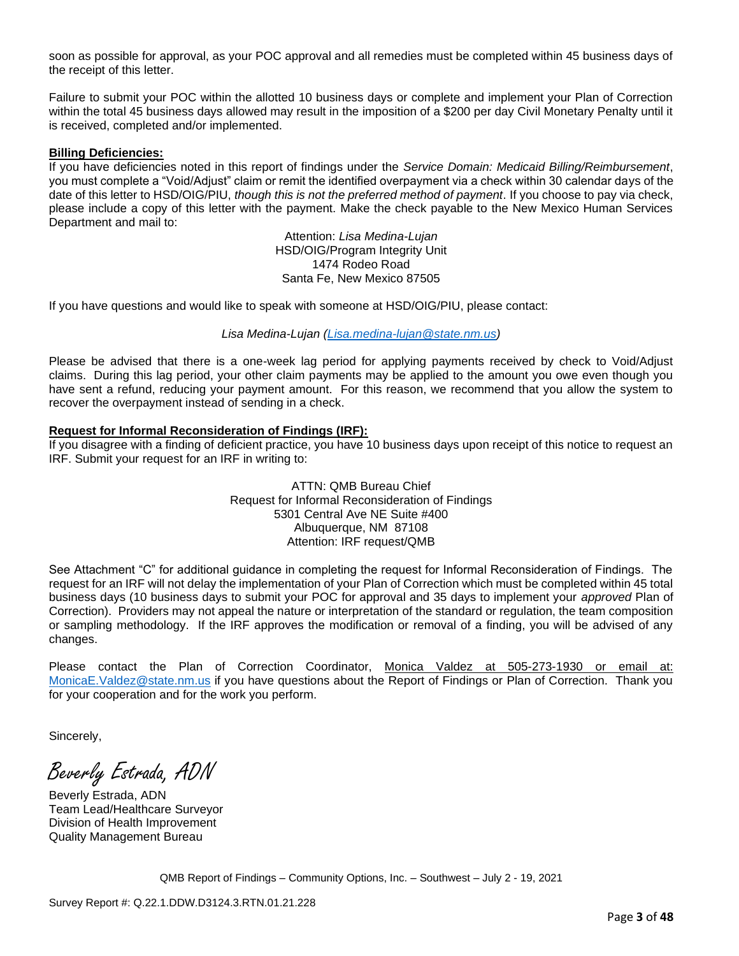soon as possible for approval, as your POC approval and all remedies must be completed within 45 business days of the receipt of this letter.

Failure to submit your POC within the allotted 10 business days or complete and implement your Plan of Correction within the total 45 business days allowed may result in the imposition of a \$200 per day Civil Monetary Penalty until it is received, completed and/or implemented.

#### **Billing Deficiencies:**

If you have deficiencies noted in this report of findings under the *Service Domain: Medicaid Billing/Reimbursement*, you must complete a "Void/Adjust" claim or remit the identified overpayment via a check within 30 calendar days of the date of this letter to HSD/OIG/PIU, *though this is not the preferred method of payment*. If you choose to pay via check, please include a copy of this letter with the payment. Make the check payable to the New Mexico Human Services Department and mail to:

> Attention: *Lisa Medina-Lujan* HSD/OIG/Program Integrity Unit 1474 Rodeo Road Santa Fe, New Mexico 87505

If you have questions and would like to speak with someone at HSD/OIG/PIU, please contact:

*Lisa Medina-Lujan [\(Lisa.medina-lujan@state.nm.us\)](mailto:Lisa.medina-lujan@state.nm.us)*

Please be advised that there is a one-week lag period for applying payments received by check to Void/Adjust claims. During this lag period, your other claim payments may be applied to the amount you owe even though you have sent a refund, reducing your payment amount. For this reason, we recommend that you allow the system to recover the overpayment instead of sending in a check.

#### **Request for Informal Reconsideration of Findings (IRF):**

If you disagree with a finding of deficient practice, you have 10 business days upon receipt of this notice to request an IRF. Submit your request for an IRF in writing to:

> ATTN: QMB Bureau Chief Request for Informal Reconsideration of Findings 5301 Central Ave NE Suite #400 Albuquerque, NM 87108 Attention: IRF request/QMB

See Attachment "C" for additional guidance in completing the request for Informal Reconsideration of Findings. The request for an IRF will not delay the implementation of your Plan of Correction which must be completed within 45 total business days (10 business days to submit your POC for approval and 35 days to implement your *approved* Plan of Correction). Providers may not appeal the nature or interpretation of the standard or regulation, the team composition or sampling methodology. If the IRF approves the modification or removal of a finding, you will be advised of any changes.

Please contact the Plan of Correction Coordinator, Monica Valdez at 505-273-1930 or email at: [MonicaE.Valdez@state.nm.us](mailto:MonicaE.Valdez@state.nm.us) if you have questions about the Report of Findings or Plan of Correction. Thank you for your cooperation and for the work you perform.

Sincerely,

Beverly Estrada, ADN

Beverly Estrada, ADN Team Lead/Healthcare Surveyor Division of Health Improvement Quality Management Bureau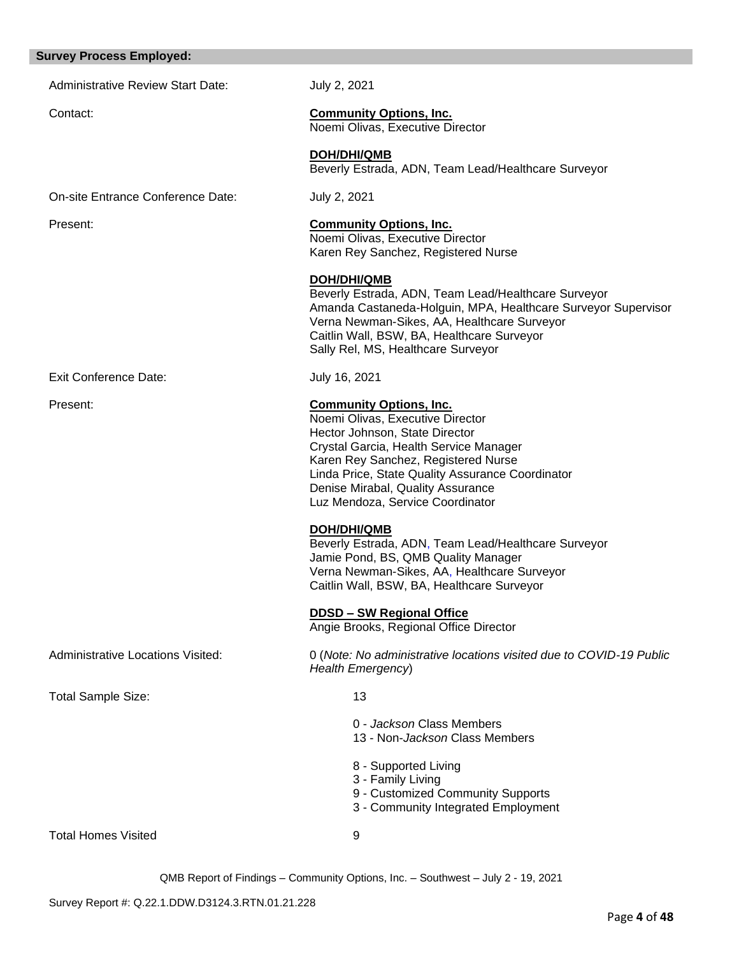# Administrative Review Start Date: July 2, 2021 Contact: **Community Options, Inc.** Noemi Olivas, Executive Director **DOH/DHI/QMB** Beverly Estrada, ADN, Team Lead/Healthcare Surveyor On-site Entrance Conference Date: July 2, 2021 Present: **Community Options, Inc.** Noemi Olivas, Executive Director Karen Rey Sanchez, Registered Nurse **DOH/DHI/QMB** Beverly Estrada, ADN, Team Lead/Healthcare Surveyor Amanda Castaneda-Holguin, MPA, Healthcare Surveyor Supervisor Verna Newman-Sikes, AA, Healthcare Surveyor Caitlin Wall, BSW, BA, Healthcare Surveyor Sally Rel, MS, Healthcare Surveyor Exit Conference Date: July 16, 2021 Present: **Community Options, Inc.** Noemi Olivas, Executive Director Hector Johnson, State Director Crystal Garcia, Health Service Manager Karen Rey Sanchez, Registered Nurse Linda Price, State Quality Assurance Coordinator Denise Mirabal, Quality Assurance Luz Mendoza, Service Coordinator **DOH/DHI/QMB** Beverly Estrada, ADN, Team Lead/Healthcare Surveyor Jamie Pond, BS, QMB Quality Manager Verna Newman-Sikes, AA, Healthcare Surveyor Caitlin Wall, BSW, BA, Healthcare Surveyor **DDSD – SW Regional Office**  Angie Brooks, Regional Office Director Administrative Locations Visited: 0 (*Note: No administrative locations visited due to COVID-19 Public Health Emergency*) Total Sample Size: 13 0 - *Jackson* Class Members 13 - Non-*Jackson* Class Members 8 - Supported Living 3 - Family Living 9 - Customized Community Supports 3 - Community Integrated Employment Total Homes Visited 9

**Survey Process Employed:**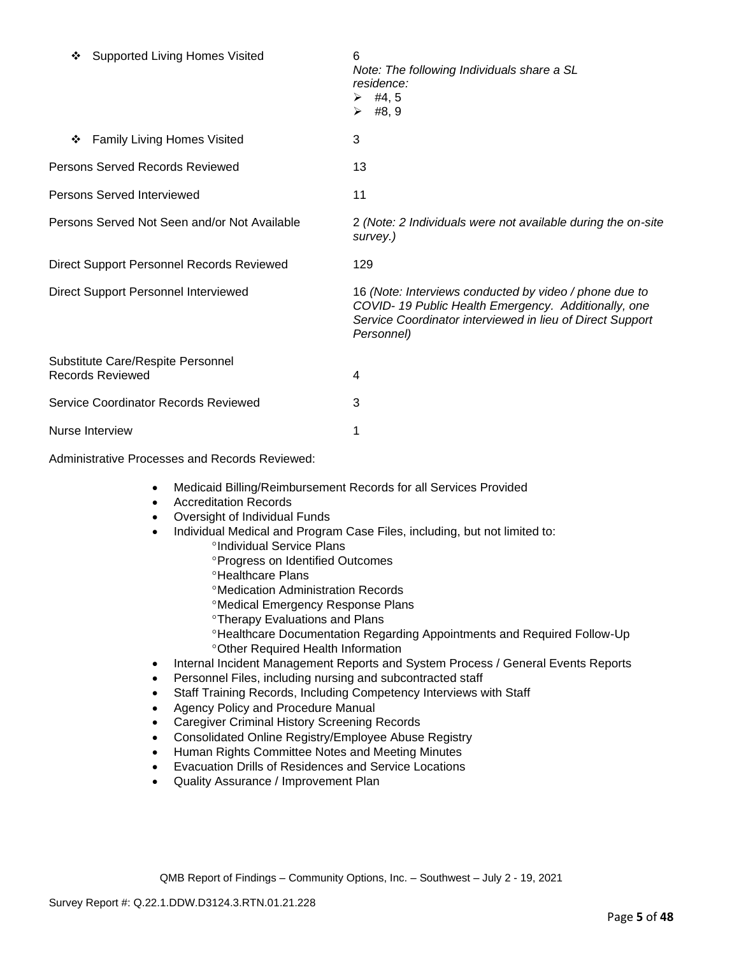| <b>Supported Living Homes Visited</b><br>❖                   | 6<br>Note: The following Individuals share a SL<br>residence:<br>$\triangleright$ #4,5<br>$\triangleright$ #8,9                                                                          |
|--------------------------------------------------------------|------------------------------------------------------------------------------------------------------------------------------------------------------------------------------------------|
| <b>Family Living Homes Visited</b><br>❖                      | 3                                                                                                                                                                                        |
| Persons Served Records Reviewed                              | 13                                                                                                                                                                                       |
| <b>Persons Served Interviewed</b>                            | 11                                                                                                                                                                                       |
| Persons Served Not Seen and/or Not Available                 | 2 (Note: 2 Individuals were not available during the on-site<br>survey.)                                                                                                                 |
| Direct Support Personnel Records Reviewed                    | 129                                                                                                                                                                                      |
| Direct Support Personnel Interviewed                         | 16 (Note: Interviews conducted by video / phone due to<br>COVID-19 Public Health Emergency. Additionally, one<br>Service Coordinator interviewed in lieu of Direct Support<br>Personnel) |
| Substitute Care/Respite Personnel<br><b>Records Reviewed</b> | 4                                                                                                                                                                                        |
| Service Coordinator Records Reviewed                         | 3                                                                                                                                                                                        |
| Nurse Interview                                              | 1                                                                                                                                                                                        |

Administrative Processes and Records Reviewed:

- Medicaid Billing/Reimbursement Records for all Services Provided
- Accreditation Records
- Oversight of Individual Funds
- Individual Medical and Program Case Files, including, but not limited to: <sup>o</sup>Individual Service Plans
	- Progress on Identified Outcomes
	- <sup>o</sup>Healthcare Plans
	- Medication Administration Records
	- Medical Emergency Response Plans
	- Therapy Evaluations and Plans
	- Healthcare Documentation Regarding Appointments and Required Follow-Up Other Required Health Information
- Internal Incident Management Reports and System Process / General Events Reports
- Personnel Files, including nursing and subcontracted staff
- Staff Training Records, Including Competency Interviews with Staff
- Agency Policy and Procedure Manual
- Caregiver Criminal History Screening Records
- Consolidated Online Registry/Employee Abuse Registry
- Human Rights Committee Notes and Meeting Minutes
- Evacuation Drills of Residences and Service Locations
- Quality Assurance / Improvement Plan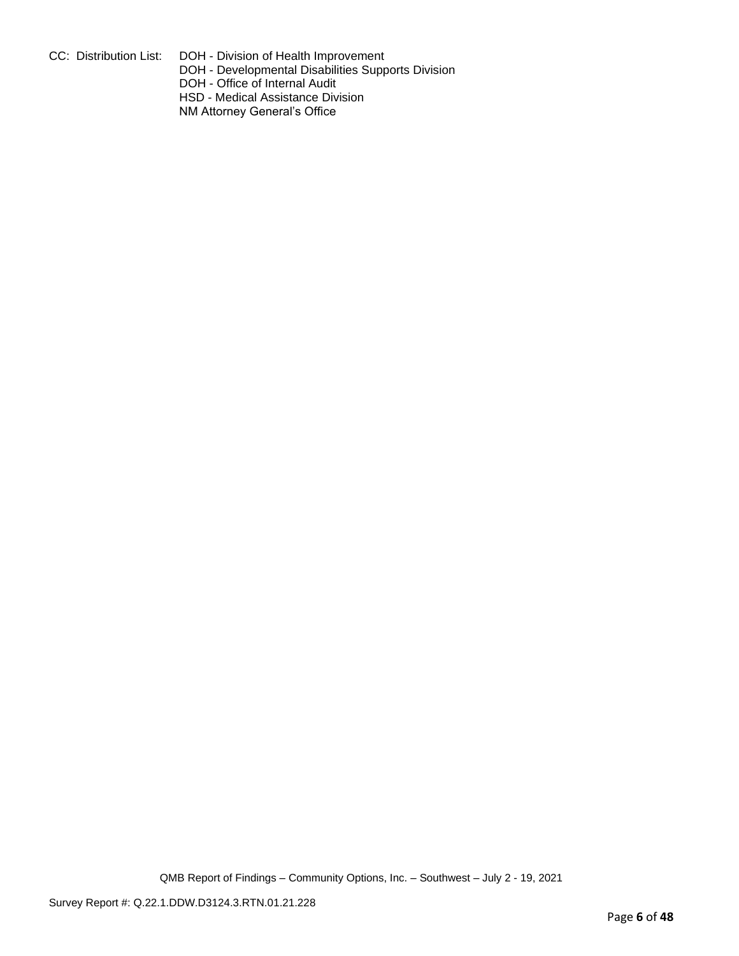CC: Distribution List: DOH - Division of Health Improvement

DOH - Developmental Disabilities Supports Division

DOH - Office of Internal Audit

HSD - Medical Assistance Division

NM Attorney General's Office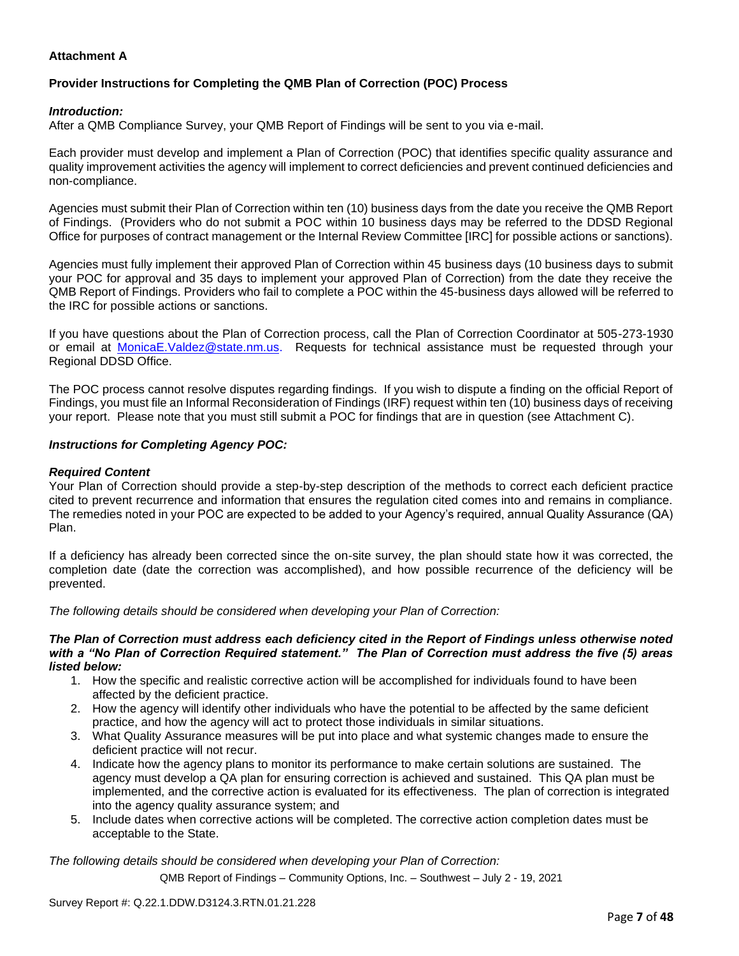## **Attachment A**

## **Provider Instructions for Completing the QMB Plan of Correction (POC) Process**

#### *Introduction:*

After a QMB Compliance Survey, your QMB Report of Findings will be sent to you via e-mail.

Each provider must develop and implement a Plan of Correction (POC) that identifies specific quality assurance and quality improvement activities the agency will implement to correct deficiencies and prevent continued deficiencies and non-compliance.

Agencies must submit their Plan of Correction within ten (10) business days from the date you receive the QMB Report of Findings. (Providers who do not submit a POC within 10 business days may be referred to the DDSD Regional Office for purposes of contract management or the Internal Review Committee [IRC] for possible actions or sanctions).

Agencies must fully implement their approved Plan of Correction within 45 business days (10 business days to submit your POC for approval and 35 days to implement your approved Plan of Correction) from the date they receive the QMB Report of Findings. Providers who fail to complete a POC within the 45-business days allowed will be referred to the IRC for possible actions or sanctions.

If you have questions about the Plan of Correction process, call the Plan of Correction Coordinator at 505-273-1930 or email at [MonicaE.Valdez@state.nm.us.](mailto:MonicaE.Valdez@state.nm.us) Requests for technical assistance must be requested through your Regional DDSD Office.

The POC process cannot resolve disputes regarding findings. If you wish to dispute a finding on the official Report of Findings, you must file an Informal Reconsideration of Findings (IRF) request within ten (10) business days of receiving your report. Please note that you must still submit a POC for findings that are in question (see Attachment C).

#### *Instructions for Completing Agency POC:*

#### *Required Content*

Your Plan of Correction should provide a step-by-step description of the methods to correct each deficient practice cited to prevent recurrence and information that ensures the regulation cited comes into and remains in compliance. The remedies noted in your POC are expected to be added to your Agency's required, annual Quality Assurance (QA) Plan.

If a deficiency has already been corrected since the on-site survey, the plan should state how it was corrected, the completion date (date the correction was accomplished), and how possible recurrence of the deficiency will be prevented.

*The following details should be considered when developing your Plan of Correction:*

#### *The Plan of Correction must address each deficiency cited in the Report of Findings unless otherwise noted with a "No Plan of Correction Required statement." The Plan of Correction must address the five (5) areas listed below:*

- 1. How the specific and realistic corrective action will be accomplished for individuals found to have been affected by the deficient practice.
- 2. How the agency will identify other individuals who have the potential to be affected by the same deficient practice, and how the agency will act to protect those individuals in similar situations.
- 3. What Quality Assurance measures will be put into place and what systemic changes made to ensure the deficient practice will not recur.
- 4. Indicate how the agency plans to monitor its performance to make certain solutions are sustained. The agency must develop a QA plan for ensuring correction is achieved and sustained. This QA plan must be implemented, and the corrective action is evaluated for its effectiveness. The plan of correction is integrated into the agency quality assurance system; and
- 5. Include dates when corrective actions will be completed. The corrective action completion dates must be acceptable to the State.

*The following details should be considered when developing your Plan of Correction:*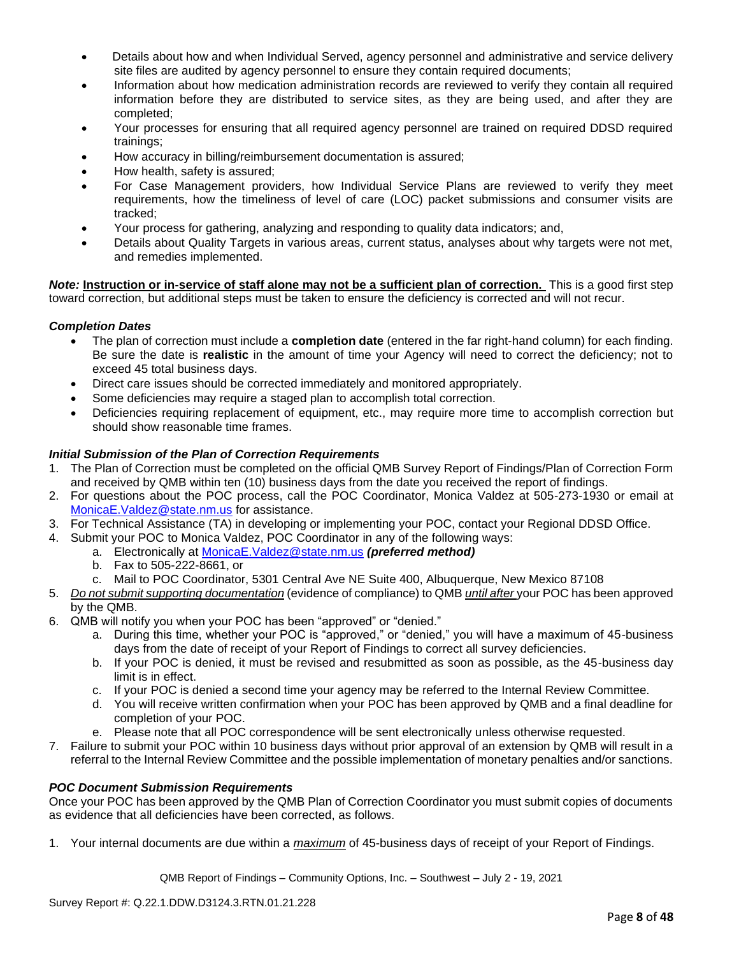- Details about how and when Individual Served, agency personnel and administrative and service delivery site files are audited by agency personnel to ensure they contain required documents;
- Information about how medication administration records are reviewed to verify they contain all required information before they are distributed to service sites, as they are being used, and after they are completed;
- Your processes for ensuring that all required agency personnel are trained on required DDSD required trainings;
- How accuracy in billing/reimbursement documentation is assured;
- How health, safety is assured;
- For Case Management providers, how Individual Service Plans are reviewed to verify they meet requirements, how the timeliness of level of care (LOC) packet submissions and consumer visits are tracked;
- Your process for gathering, analyzing and responding to quality data indicators; and,
- Details about Quality Targets in various areas, current status, analyses about why targets were not met, and remedies implemented.

*Note:* **Instruction or in-service of staff alone may not be a sufficient plan of correction.** This is a good first step toward correction, but additional steps must be taken to ensure the deficiency is corrected and will not recur.

## *Completion Dates*

- The plan of correction must include a **completion date** (entered in the far right-hand column) for each finding. Be sure the date is **realistic** in the amount of time your Agency will need to correct the deficiency; not to exceed 45 total business days.
- Direct care issues should be corrected immediately and monitored appropriately.
- Some deficiencies may require a staged plan to accomplish total correction.
- Deficiencies requiring replacement of equipment, etc., may require more time to accomplish correction but should show reasonable time frames.

## *Initial Submission of the Plan of Correction Requirements*

- 1. The Plan of Correction must be completed on the official QMB Survey Report of Findings/Plan of Correction Form and received by QMB within ten (10) business days from the date you received the report of findings.
- 2. For questions about the POC process, call the POC Coordinator, Monica Valdez at 505-273-1930 or email at [MonicaE.Valdez@state.nm.us](mailto:MonicaE.Valdez@state.nm.us) for assistance.
- 3. For Technical Assistance (TA) in developing or implementing your POC, contact your Regional DDSD Office.
- 4. Submit your POC to Monica Valdez, POC Coordinator in any of the following ways:
	- a. Electronically at [MonicaE.Valdez@state.nm.us](mailto:MonicaE.Valdez@state.nm.us) *(preferred method)*
		- b. Fax to 505-222-8661, or
		- c. Mail to POC Coordinator, 5301 Central Ave NE Suite 400, Albuquerque, New Mexico 87108
- 5. *Do not submit supporting documentation* (evidence of compliance) to QMB *until after* your POC has been approved by the QMB.
- 6. QMB will notify you when your POC has been "approved" or "denied."
	- a. During this time, whether your POC is "approved," or "denied," you will have a maximum of 45-business days from the date of receipt of your Report of Findings to correct all survey deficiencies.
	- b. If your POC is denied, it must be revised and resubmitted as soon as possible, as the 45-business day limit is in effect.
	- c. If your POC is denied a second time your agency may be referred to the Internal Review Committee.
	- d. You will receive written confirmation when your POC has been approved by QMB and a final deadline for completion of your POC.
	- e. Please note that all POC correspondence will be sent electronically unless otherwise requested.
- 7. Failure to submit your POC within 10 business days without prior approval of an extension by QMB will result in a referral to the Internal Review Committee and the possible implementation of monetary penalties and/or sanctions.

#### *POC Document Submission Requirements*

Once your POC has been approved by the QMB Plan of Correction Coordinator you must submit copies of documents as evidence that all deficiencies have been corrected, as follows.

1. Your internal documents are due within a *maximum* of 45-business days of receipt of your Report of Findings.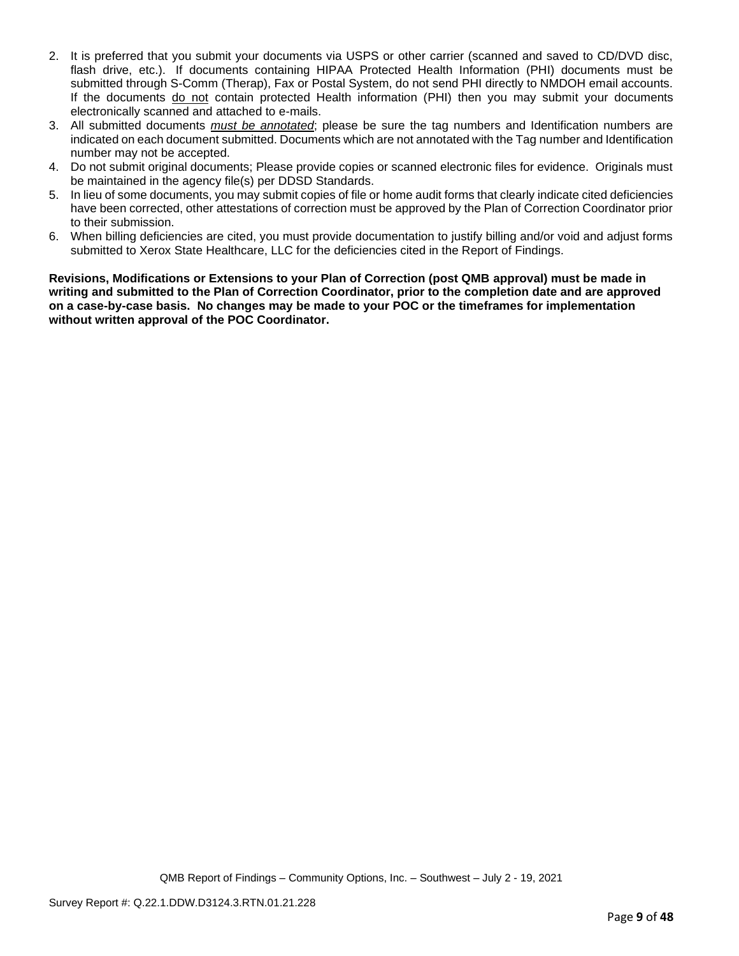- 2. It is preferred that you submit your documents via USPS or other carrier (scanned and saved to CD/DVD disc, flash drive, etc.). If documents containing HIPAA Protected Health Information (PHI) documents must be submitted through S-Comm (Therap), Fax or Postal System, do not send PHI directly to NMDOH email accounts. If the documents do not contain protected Health information (PHI) then you may submit your documents electronically scanned and attached to e-mails.
- 3. All submitted documents *must be annotated*; please be sure the tag numbers and Identification numbers are indicated on each document submitted. Documents which are not annotated with the Tag number and Identification number may not be accepted.
- 4. Do not submit original documents; Please provide copies or scanned electronic files for evidence. Originals must be maintained in the agency file(s) per DDSD Standards.
- 5. In lieu of some documents, you may submit copies of file or home audit forms that clearly indicate cited deficiencies have been corrected, other attestations of correction must be approved by the Plan of Correction Coordinator prior to their submission.
- 6. When billing deficiencies are cited, you must provide documentation to justify billing and/or void and adjust forms submitted to Xerox State Healthcare, LLC for the deficiencies cited in the Report of Findings.

**Revisions, Modifications or Extensions to your Plan of Correction (post QMB approval) must be made in writing and submitted to the Plan of Correction Coordinator, prior to the completion date and are approved on a case-by-case basis. No changes may be made to your POC or the timeframes for implementation without written approval of the POC Coordinator.**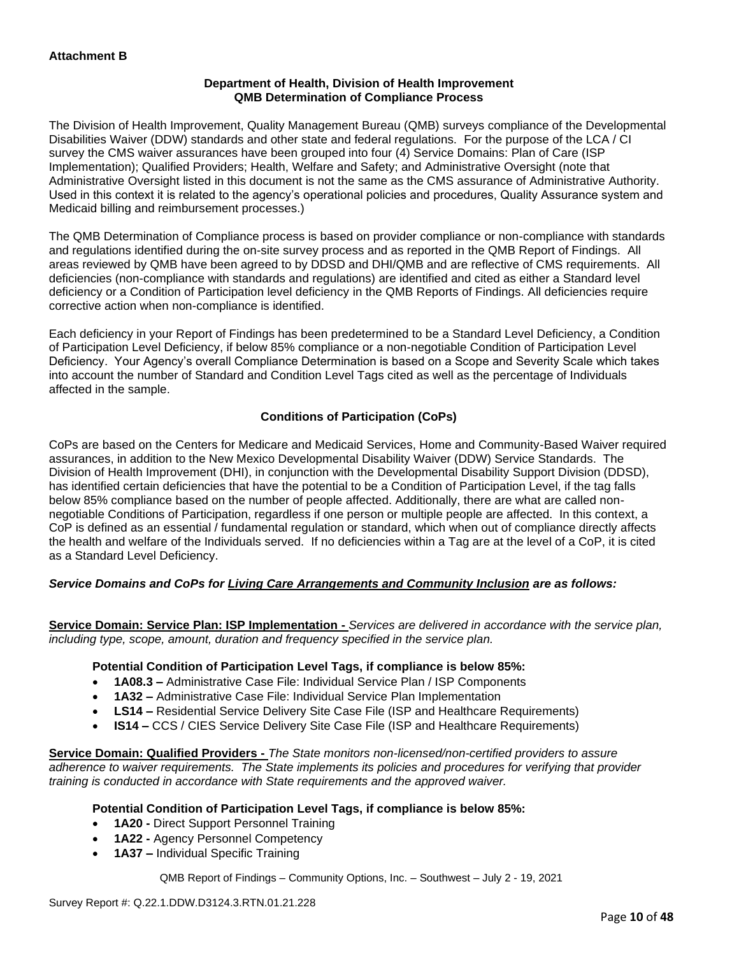## **Department of Health, Division of Health Improvement QMB Determination of Compliance Process**

The Division of Health Improvement, Quality Management Bureau (QMB) surveys compliance of the Developmental Disabilities Waiver (DDW) standards and other state and federal regulations. For the purpose of the LCA / CI survey the CMS waiver assurances have been grouped into four (4) Service Domains: Plan of Care (ISP Implementation); Qualified Providers; Health, Welfare and Safety; and Administrative Oversight (note that Administrative Oversight listed in this document is not the same as the CMS assurance of Administrative Authority. Used in this context it is related to the agency's operational policies and procedures, Quality Assurance system and Medicaid billing and reimbursement processes.)

The QMB Determination of Compliance process is based on provider compliance or non-compliance with standards and regulations identified during the on-site survey process and as reported in the QMB Report of Findings. All areas reviewed by QMB have been agreed to by DDSD and DHI/QMB and are reflective of CMS requirements. All deficiencies (non-compliance with standards and regulations) are identified and cited as either a Standard level deficiency or a Condition of Participation level deficiency in the QMB Reports of Findings. All deficiencies require corrective action when non-compliance is identified.

Each deficiency in your Report of Findings has been predetermined to be a Standard Level Deficiency, a Condition of Participation Level Deficiency, if below 85% compliance or a non-negotiable Condition of Participation Level Deficiency. Your Agency's overall Compliance Determination is based on a Scope and Severity Scale which takes into account the number of Standard and Condition Level Tags cited as well as the percentage of Individuals affected in the sample.

## **Conditions of Participation (CoPs)**

CoPs are based on the Centers for Medicare and Medicaid Services, Home and Community-Based Waiver required assurances, in addition to the New Mexico Developmental Disability Waiver (DDW) Service Standards. The Division of Health Improvement (DHI), in conjunction with the Developmental Disability Support Division (DDSD), has identified certain deficiencies that have the potential to be a Condition of Participation Level, if the tag falls below 85% compliance based on the number of people affected. Additionally, there are what are called nonnegotiable Conditions of Participation, regardless if one person or multiple people are affected. In this context, a CoP is defined as an essential / fundamental regulation or standard, which when out of compliance directly affects the health and welfare of the Individuals served. If no deficiencies within a Tag are at the level of a CoP, it is cited as a Standard Level Deficiency.

## *Service Domains and CoPs for Living Care Arrangements and Community Inclusion are as follows:*

**Service Domain: Service Plan: ISP Implementation -** *Services are delivered in accordance with the service plan, including type, scope, amount, duration and frequency specified in the service plan.*

#### **Potential Condition of Participation Level Tags, if compliance is below 85%:**

- **1A08.3 –** Administrative Case File: Individual Service Plan / ISP Components
- **1A32 –** Administrative Case File: Individual Service Plan Implementation
- **LS14 –** Residential Service Delivery Site Case File (ISP and Healthcare Requirements)
- **IS14 –** CCS / CIES Service Delivery Site Case File (ISP and Healthcare Requirements)

**Service Domain: Qualified Providers -** *The State monitors non-licensed/non-certified providers to assure adherence to waiver requirements. The State implements its policies and procedures for verifying that provider training is conducted in accordance with State requirements and the approved waiver.*

#### **Potential Condition of Participation Level Tags, if compliance is below 85%:**

- **1A20 -** Direct Support Personnel Training
- **1A22 -** Agency Personnel Competency
- **1A37 –** Individual Specific Training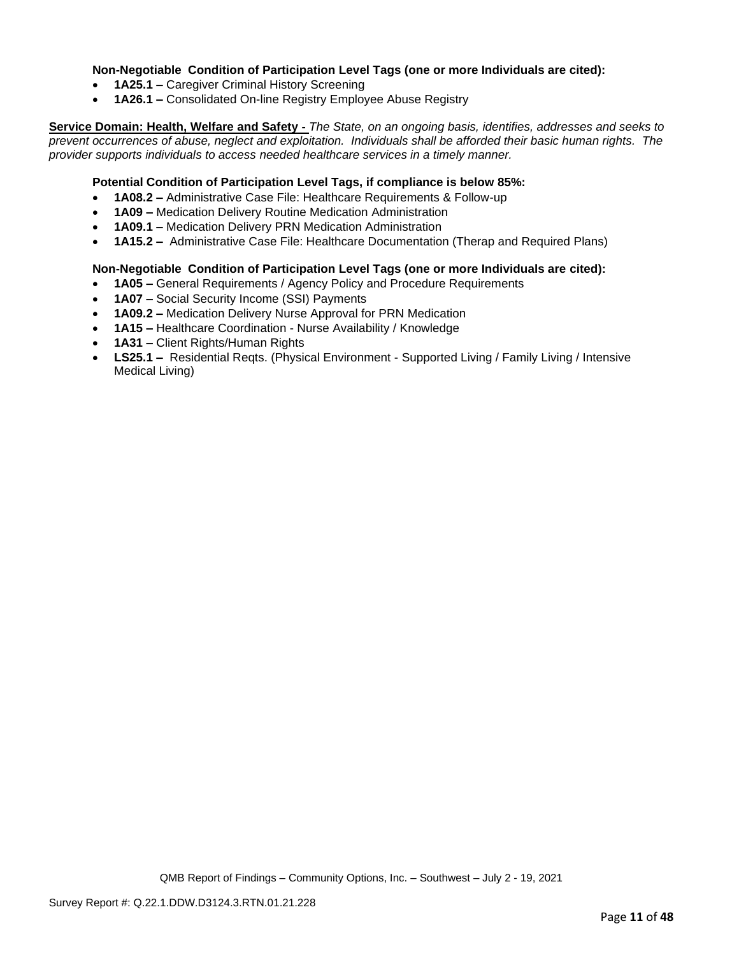### **Non-Negotiable Condition of Participation Level Tags (one or more Individuals are cited):**

- **1A25.1 –** Caregiver Criminal History Screening
- **1A26.1 –** Consolidated On-line Registry Employee Abuse Registry

**Service Domain: Health, Welfare and Safety -** *The State, on an ongoing basis, identifies, addresses and seeks to prevent occurrences of abuse, neglect and exploitation. Individuals shall be afforded their basic human rights. The provider supports individuals to access needed healthcare services in a timely manner.*

#### **Potential Condition of Participation Level Tags, if compliance is below 85%:**

- **1A08.2 –** Administrative Case File: Healthcare Requirements & Follow-up
- **1A09 –** Medication Delivery Routine Medication Administration
- **1A09.1 –** Medication Delivery PRN Medication Administration
- **1A15.2 –** Administrative Case File: Healthcare Documentation (Therap and Required Plans)

## **Non-Negotiable Condition of Participation Level Tags (one or more Individuals are cited):**

- **1A05 –** General Requirements / Agency Policy and Procedure Requirements
- **1A07 –** Social Security Income (SSI) Payments
- **1A09.2 –** Medication Delivery Nurse Approval for PRN Medication
- **1A15 –** Healthcare Coordination Nurse Availability / Knowledge
- **1A31 –** Client Rights/Human Rights
- **LS25.1 –** Residential Reqts. (Physical Environment Supported Living / Family Living / Intensive Medical Living)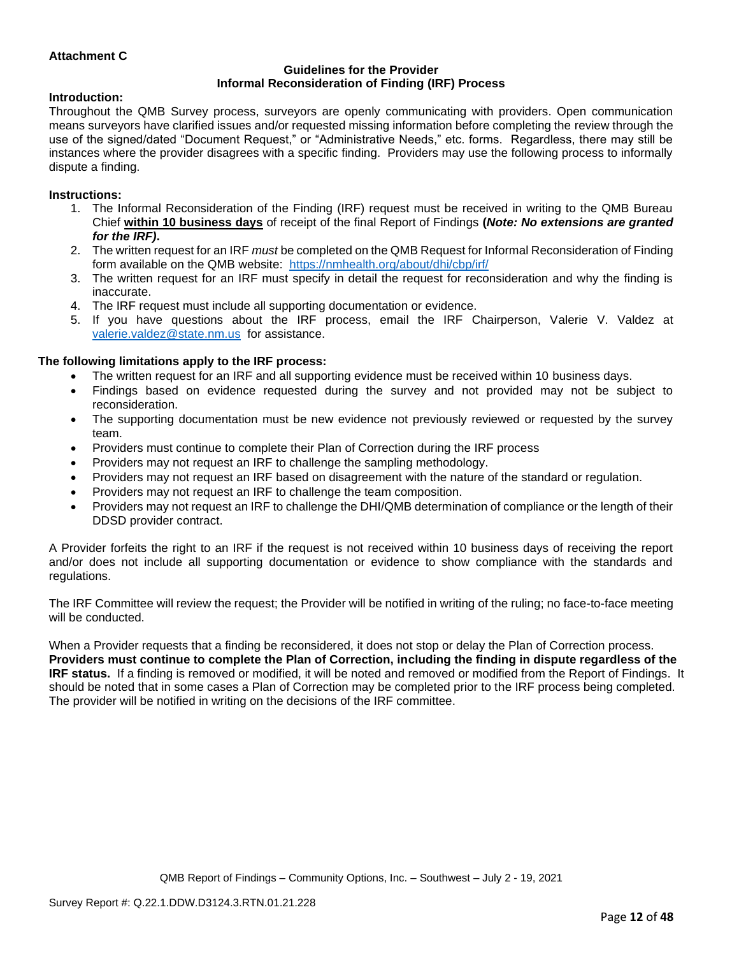## **Attachment C**

#### **Guidelines for the Provider Informal Reconsideration of Finding (IRF) Process**

#### **Introduction:**

Throughout the QMB Survey process, surveyors are openly communicating with providers. Open communication means surveyors have clarified issues and/or requested missing information before completing the review through the use of the signed/dated "Document Request," or "Administrative Needs," etc. forms. Regardless, there may still be instances where the provider disagrees with a specific finding. Providers may use the following process to informally dispute a finding.

#### **Instructions:**

- 1. The Informal Reconsideration of the Finding (IRF) request must be received in writing to the QMB Bureau Chief **within 10 business days** of receipt of the final Report of Findings **(***Note: No extensions are granted for the IRF)***.**
- 2. The written request for an IRF *must* be completed on the QMB Request for Informal Reconsideration of Finding form available on the QMB website: <https://nmhealth.org/about/dhi/cbp/irf/>
- 3. The written request for an IRF must specify in detail the request for reconsideration and why the finding is inaccurate.
- 4. The IRF request must include all supporting documentation or evidence.
- 5. If you have questions about the IRF process, email the IRF Chairperson, Valerie V. Valdez at [valerie.valdez@state.nm.us](mailto:valerie.valdez@state.nm.us) for assistance.

#### **The following limitations apply to the IRF process:**

- The written request for an IRF and all supporting evidence must be received within 10 business days.
- Findings based on evidence requested during the survey and not provided may not be subject to reconsideration.
- The supporting documentation must be new evidence not previously reviewed or requested by the survey team.
- Providers must continue to complete their Plan of Correction during the IRF process
- Providers may not request an IRF to challenge the sampling methodology.
- Providers may not request an IRF based on disagreement with the nature of the standard or regulation.
- Providers may not request an IRF to challenge the team composition.
- Providers may not request an IRF to challenge the DHI/QMB determination of compliance or the length of their DDSD provider contract.

A Provider forfeits the right to an IRF if the request is not received within 10 business days of receiving the report and/or does not include all supporting documentation or evidence to show compliance with the standards and regulations.

The IRF Committee will review the request; the Provider will be notified in writing of the ruling; no face-to-face meeting will be conducted.

When a Provider requests that a finding be reconsidered, it does not stop or delay the Plan of Correction process. **Providers must continue to complete the Plan of Correction, including the finding in dispute regardless of the IRF status.** If a finding is removed or modified, it will be noted and removed or modified from the Report of Findings. It should be noted that in some cases a Plan of Correction may be completed prior to the IRF process being completed. The provider will be notified in writing on the decisions of the IRF committee.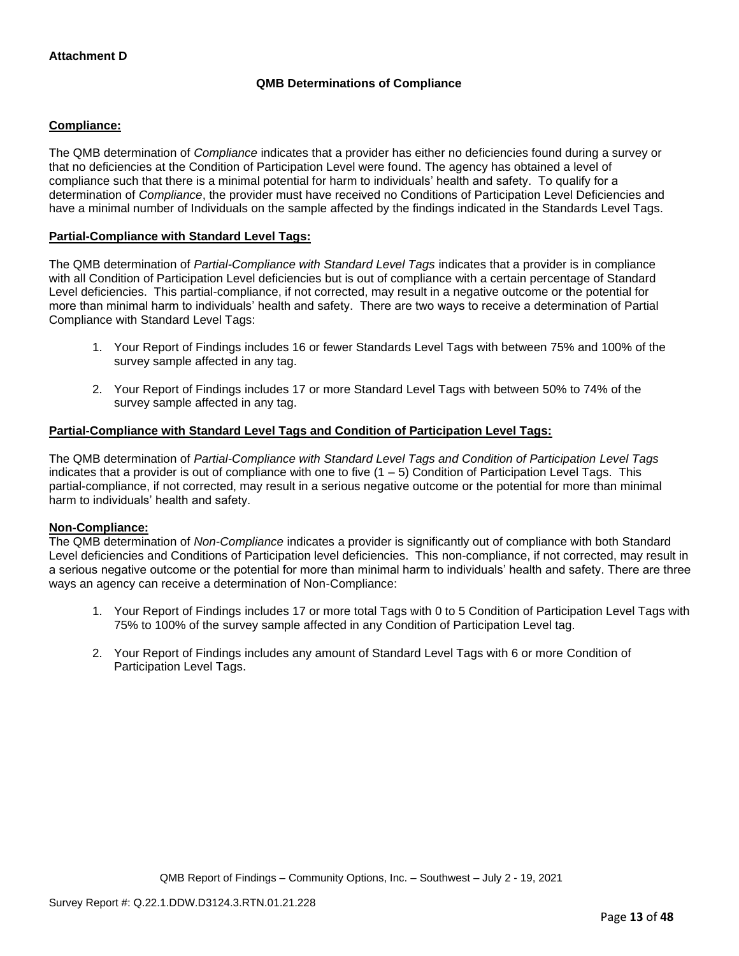## **QMB Determinations of Compliance**

## **Compliance:**

The QMB determination of *Compliance* indicates that a provider has either no deficiencies found during a survey or that no deficiencies at the Condition of Participation Level were found. The agency has obtained a level of compliance such that there is a minimal potential for harm to individuals' health and safety. To qualify for a determination of *Compliance*, the provider must have received no Conditions of Participation Level Deficiencies and have a minimal number of Individuals on the sample affected by the findings indicated in the Standards Level Tags.

### **Partial-Compliance with Standard Level Tags:**

The QMB determination of *Partial-Compliance with Standard Level Tags* indicates that a provider is in compliance with all Condition of Participation Level deficiencies but is out of compliance with a certain percentage of Standard Level deficiencies. This partial-compliance, if not corrected, may result in a negative outcome or the potential for more than minimal harm to individuals' health and safety. There are two ways to receive a determination of Partial Compliance with Standard Level Tags:

- 1. Your Report of Findings includes 16 or fewer Standards Level Tags with between 75% and 100% of the survey sample affected in any tag.
- 2. Your Report of Findings includes 17 or more Standard Level Tags with between 50% to 74% of the survey sample affected in any tag.

## **Partial-Compliance with Standard Level Tags and Condition of Participation Level Tags:**

The QMB determination of *Partial-Compliance with Standard Level Tags and Condition of Participation Level Tags*  indicates that a provider is out of compliance with one to five (1 – 5) Condition of Participation Level Tags. This partial-compliance, if not corrected, may result in a serious negative outcome or the potential for more than minimal harm to individuals' health and safety.

#### **Non-Compliance:**

The QMB determination of *Non-Compliance* indicates a provider is significantly out of compliance with both Standard Level deficiencies and Conditions of Participation level deficiencies. This non-compliance, if not corrected, may result in a serious negative outcome or the potential for more than minimal harm to individuals' health and safety. There are three ways an agency can receive a determination of Non-Compliance:

- 1. Your Report of Findings includes 17 or more total Tags with 0 to 5 Condition of Participation Level Tags with 75% to 100% of the survey sample affected in any Condition of Participation Level tag.
- 2. Your Report of Findings includes any amount of Standard Level Tags with 6 or more Condition of Participation Level Tags.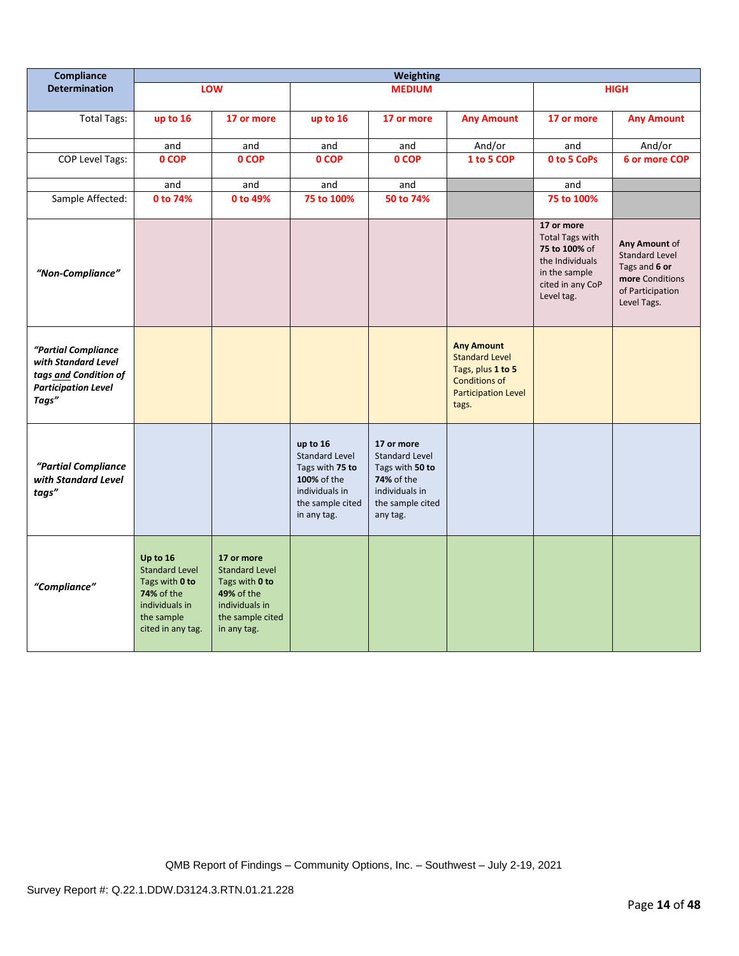| Compliance                                                                                                 | <b>Weighting</b>                                                                                                              |                                                                                                                                 |                                                                                                                          |                                                                                                                        |                                                                                                                                |                                                                                                                             |                                                                                                               |
|------------------------------------------------------------------------------------------------------------|-------------------------------------------------------------------------------------------------------------------------------|---------------------------------------------------------------------------------------------------------------------------------|--------------------------------------------------------------------------------------------------------------------------|------------------------------------------------------------------------------------------------------------------------|--------------------------------------------------------------------------------------------------------------------------------|-----------------------------------------------------------------------------------------------------------------------------|---------------------------------------------------------------------------------------------------------------|
| <b>Determination</b>                                                                                       |                                                                                                                               | LOW                                                                                                                             |                                                                                                                          | <b>MEDIUM</b>                                                                                                          |                                                                                                                                |                                                                                                                             | <b>HIGH</b>                                                                                                   |
| <b>Total Tags:</b>                                                                                         | up to 16                                                                                                                      | 17 or more                                                                                                                      | up to 16                                                                                                                 | 17 or more                                                                                                             | <b>Any Amount</b>                                                                                                              | 17 or more                                                                                                                  | <b>Any Amount</b>                                                                                             |
|                                                                                                            | and                                                                                                                           | and                                                                                                                             | and                                                                                                                      | and                                                                                                                    | And/or                                                                                                                         | and                                                                                                                         | And/or                                                                                                        |
| <b>COP Level Tags:</b>                                                                                     | 0 COP                                                                                                                         | 0 COP                                                                                                                           | 0 COP                                                                                                                    | 0 COP                                                                                                                  | 1 to 5 COP                                                                                                                     | 0 to 5 CoPs                                                                                                                 | 6 or more COP                                                                                                 |
|                                                                                                            | and                                                                                                                           | and                                                                                                                             | and                                                                                                                      | and                                                                                                                    |                                                                                                                                | and                                                                                                                         |                                                                                                               |
| Sample Affected:                                                                                           | 0 to 74%                                                                                                                      | 0 to 49%                                                                                                                        | 75 to 100%                                                                                                               | 50 to 74%                                                                                                              |                                                                                                                                | 75 to 100%                                                                                                                  |                                                                                                               |
| "Non-Compliance"                                                                                           |                                                                                                                               |                                                                                                                                 |                                                                                                                          |                                                                                                                        |                                                                                                                                | 17 or more<br><b>Total Tags with</b><br>75 to 100% of<br>the Individuals<br>in the sample<br>cited in any CoP<br>Level tag. | Any Amount of<br><b>Standard Level</b><br>Tags and 6 or<br>more Conditions<br>of Participation<br>Level Tags. |
| "Partial Compliance<br>with Standard Level<br>tags and Condition of<br><b>Participation Level</b><br>Tags" |                                                                                                                               |                                                                                                                                 |                                                                                                                          |                                                                                                                        | <b>Any Amount</b><br><b>Standard Level</b><br>Tags, plus 1 to 5<br><b>Conditions of</b><br><b>Participation Level</b><br>tags. |                                                                                                                             |                                                                                                               |
| "Partial Compliance<br>with Standard Level<br>tags"                                                        |                                                                                                                               |                                                                                                                                 | up to 16<br><b>Standard Level</b><br>Tags with 75 to<br>100% of the<br>individuals in<br>the sample cited<br>in any tag. | 17 or more<br><b>Standard Level</b><br>Tags with 50 to<br>74% of the<br>individuals in<br>the sample cited<br>any tag. |                                                                                                                                |                                                                                                                             |                                                                                                               |
| "Compliance"                                                                                               | Up to 16<br><b>Standard Level</b><br>Tags with 0 to<br><b>74% of the</b><br>individuals in<br>the sample<br>cited in any tag. | 17 or more<br><b>Standard Level</b><br>Tags with 0 to<br><b>49% of the</b><br>individuals in<br>the sample cited<br>in any tag. |                                                                                                                          |                                                                                                                        |                                                                                                                                |                                                                                                                             |                                                                                                               |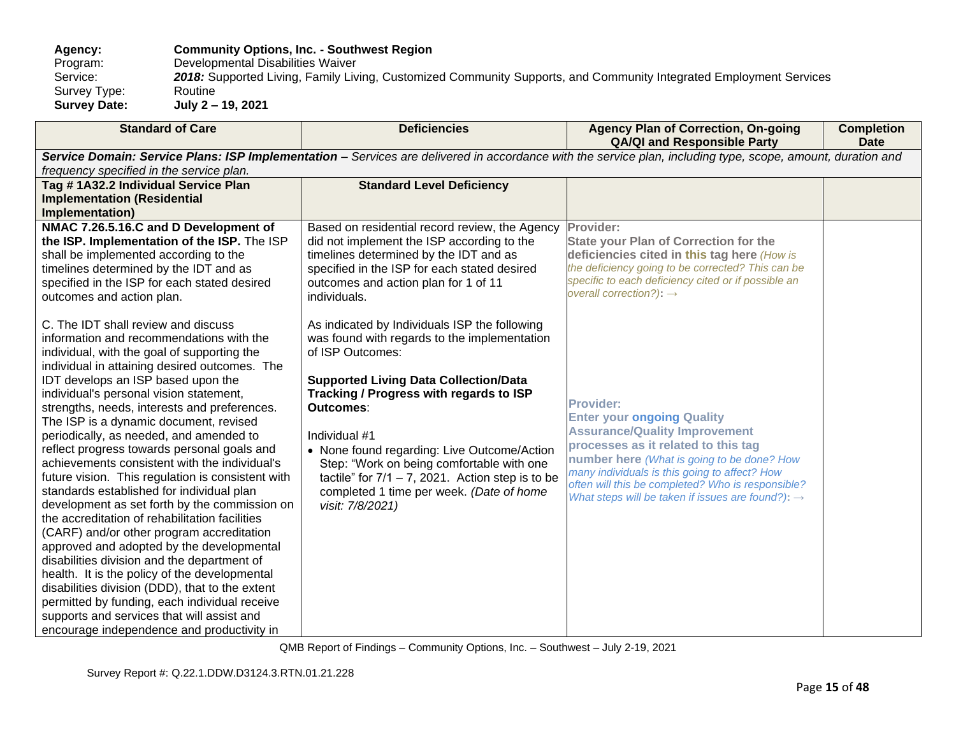**Agency: Community Options, Inc. - Southwest Region** Program: Developmental Disabilities Waiver<br>Service: 2018: Supported Living, Family Liv 2018: Supported Living, Family Living, Customized Community Supports, and Community Integrated Employment Services<br>Routine Survey Type:<br>Survey Date: **Survey Date: July 2 – 19, 2021**

| <b>Standard of Care</b>                                                                                                                                                                                                                                                                                                                                                                                                                                                                                                                                                                                                                                                                                                                                                                                                                                                                                                                                                                                                                                                                              | <b>Deficiencies</b>                                                                                                                                                                                                                                                                                                                                                                                                                                           | <b>Agency Plan of Correction, On-going</b><br><b>QA/QI and Responsible Party</b>                                                                                                                                                                                                                                                                          | <b>Completion</b><br><b>Date</b> |
|------------------------------------------------------------------------------------------------------------------------------------------------------------------------------------------------------------------------------------------------------------------------------------------------------------------------------------------------------------------------------------------------------------------------------------------------------------------------------------------------------------------------------------------------------------------------------------------------------------------------------------------------------------------------------------------------------------------------------------------------------------------------------------------------------------------------------------------------------------------------------------------------------------------------------------------------------------------------------------------------------------------------------------------------------------------------------------------------------|---------------------------------------------------------------------------------------------------------------------------------------------------------------------------------------------------------------------------------------------------------------------------------------------------------------------------------------------------------------------------------------------------------------------------------------------------------------|-----------------------------------------------------------------------------------------------------------------------------------------------------------------------------------------------------------------------------------------------------------------------------------------------------------------------------------------------------------|----------------------------------|
| frequency specified in the service plan.                                                                                                                                                                                                                                                                                                                                                                                                                                                                                                                                                                                                                                                                                                                                                                                                                                                                                                                                                                                                                                                             | Service Domain: Service Plans: ISP Implementation - Services are delivered in accordance with the service plan, including type, scope, amount, duration and                                                                                                                                                                                                                                                                                                   |                                                                                                                                                                                                                                                                                                                                                           |                                  |
| Tag # 1A32.2 Individual Service Plan                                                                                                                                                                                                                                                                                                                                                                                                                                                                                                                                                                                                                                                                                                                                                                                                                                                                                                                                                                                                                                                                 | <b>Standard Level Deficiency</b>                                                                                                                                                                                                                                                                                                                                                                                                                              |                                                                                                                                                                                                                                                                                                                                                           |                                  |
| <b>Implementation (Residential</b><br>Implementation)                                                                                                                                                                                                                                                                                                                                                                                                                                                                                                                                                                                                                                                                                                                                                                                                                                                                                                                                                                                                                                                |                                                                                                                                                                                                                                                                                                                                                                                                                                                               |                                                                                                                                                                                                                                                                                                                                                           |                                  |
| NMAC 7.26.5.16.C and D Development of<br>the ISP. Implementation of the ISP. The ISP<br>shall be implemented according to the<br>timelines determined by the IDT and as<br>specified in the ISP for each stated desired<br>outcomes and action plan.                                                                                                                                                                                                                                                                                                                                                                                                                                                                                                                                                                                                                                                                                                                                                                                                                                                 | Based on residential record review, the Agency<br>did not implement the ISP according to the<br>timelines determined by the IDT and as<br>specified in the ISP for each stated desired<br>outcomes and action plan for 1 of 11<br>individuals.                                                                                                                                                                                                                | Provider:<br><b>State your Plan of Correction for the</b><br>deficiencies cited in this tag here (How is<br>the deficiency going to be corrected? This can be<br>specific to each deficiency cited or if possible an<br>overall correction?): $\rightarrow$                                                                                               |                                  |
| C. The IDT shall review and discuss<br>information and recommendations with the<br>individual, with the goal of supporting the<br>individual in attaining desired outcomes. The<br>IDT develops an ISP based upon the<br>individual's personal vision statement,<br>strengths, needs, interests and preferences.<br>The ISP is a dynamic document, revised<br>periodically, as needed, and amended to<br>reflect progress towards personal goals and<br>achievements consistent with the individual's<br>future vision. This regulation is consistent with<br>standards established for individual plan<br>development as set forth by the commission on<br>the accreditation of rehabilitation facilities<br>(CARF) and/or other program accreditation<br>approved and adopted by the developmental<br>disabilities division and the department of<br>health. It is the policy of the developmental<br>disabilities division (DDD), that to the extent<br>permitted by funding, each individual receive<br>supports and services that will assist and<br>encourage independence and productivity in | As indicated by Individuals ISP the following<br>was found with regards to the implementation<br>of ISP Outcomes:<br><b>Supported Living Data Collection/Data</b><br>Tracking / Progress with regards to ISP<br>Outcomes:<br>Individual #1<br>• None found regarding: Live Outcome/Action<br>Step: "Work on being comfortable with one<br>tactile" for $7/1 - 7$ , 2021. Action step is to be<br>completed 1 time per week. (Date of home<br>visit: 7/8/2021) | <b>Provider:</b><br><b>Enter your ongoing Quality</b><br><b>Assurance/Quality Improvement</b><br>processes as it related to this tag<br>number here (What is going to be done? How<br>many individuals is this going to affect? How<br>often will this be completed? Who is responsible?<br>What steps will be taken if issues are found?): $\rightarrow$ |                                  |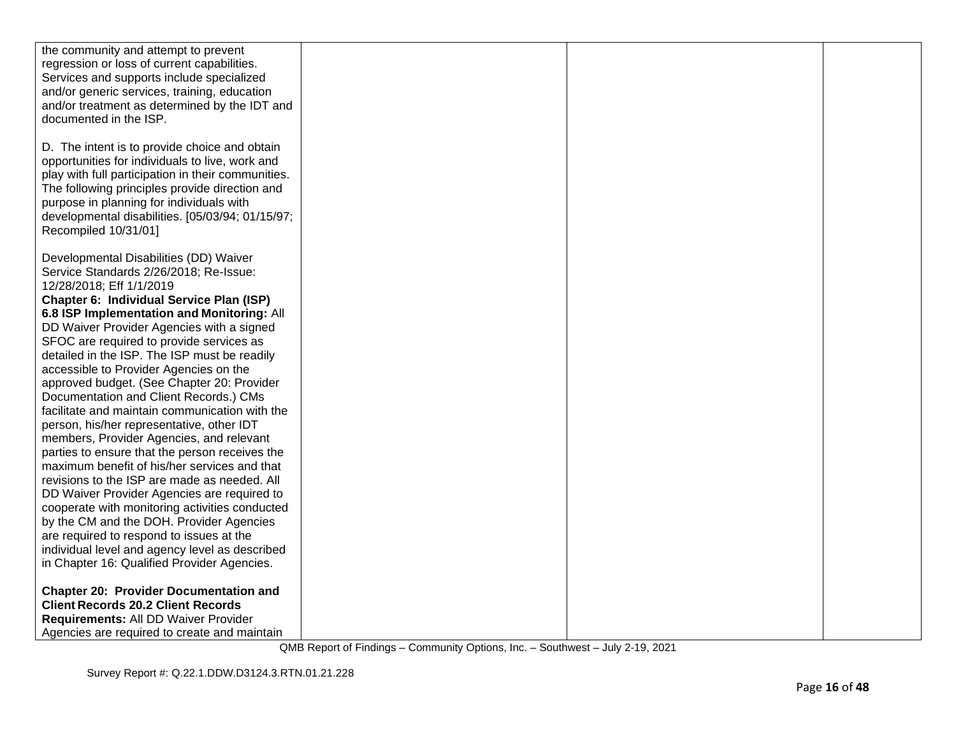| the community and attempt to prevent               |  |  |
|----------------------------------------------------|--|--|
| regression or loss of current capabilities.        |  |  |
| Services and supports include specialized          |  |  |
| and/or generic services, training, education       |  |  |
| and/or treatment as determined by the IDT and      |  |  |
| documented in the ISP.                             |  |  |
|                                                    |  |  |
|                                                    |  |  |
| D. The intent is to provide choice and obtain      |  |  |
| opportunities for individuals to live, work and    |  |  |
| play with full participation in their communities. |  |  |
| The following principles provide direction and     |  |  |
| purpose in planning for individuals with           |  |  |
| developmental disabilities. [05/03/94; 01/15/97;   |  |  |
| Recompiled 10/31/01]                               |  |  |
|                                                    |  |  |
| Developmental Disabilities (DD) Waiver             |  |  |
| Service Standards 2/26/2018; Re-Issue:             |  |  |
| 12/28/2018; Eff 1/1/2019                           |  |  |
| <b>Chapter 6: Individual Service Plan (ISP)</b>    |  |  |
| 6.8 ISP Implementation and Monitoring: All         |  |  |
| DD Waiver Provider Agencies with a signed          |  |  |
|                                                    |  |  |
| SFOC are required to provide services as           |  |  |
| detailed in the ISP. The ISP must be readily       |  |  |
| accessible to Provider Agencies on the             |  |  |
| approved budget. (See Chapter 20: Provider         |  |  |
| Documentation and Client Records.) CMs             |  |  |
| facilitate and maintain communication with the     |  |  |
| person, his/her representative, other IDT          |  |  |
| members, Provider Agencies, and relevant           |  |  |
| parties to ensure that the person receives the     |  |  |
| maximum benefit of his/her services and that       |  |  |
| revisions to the ISP are made as needed. All       |  |  |
| DD Waiver Provider Agencies are required to        |  |  |
| cooperate with monitoring activities conducted     |  |  |
| by the CM and the DOH. Provider Agencies           |  |  |
| are required to respond to issues at the           |  |  |
| individual level and agency level as described     |  |  |
| in Chapter 16: Qualified Provider Agencies.        |  |  |
|                                                    |  |  |
| <b>Chapter 20: Provider Documentation and</b>      |  |  |
|                                                    |  |  |
| <b>Client Records 20.2 Client Records</b>          |  |  |
| Requirements: All DD Waiver Provider               |  |  |
| Agencies are required to create and maintain       |  |  |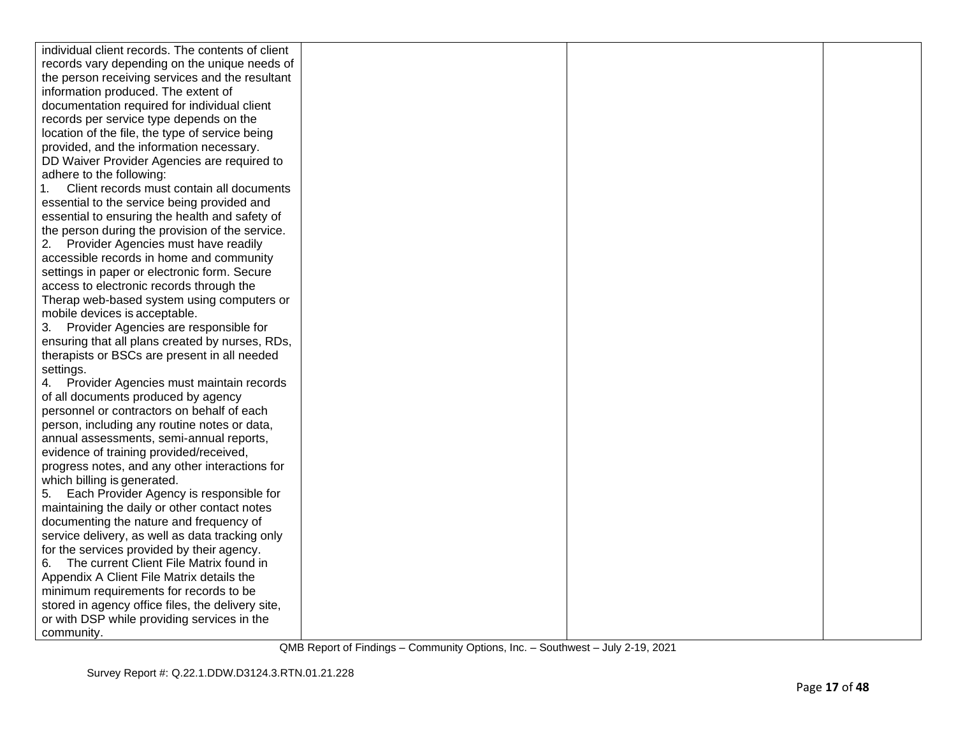| individual client records. The contents of client                                           |  |  |
|---------------------------------------------------------------------------------------------|--|--|
| records vary depending on the unique needs of                                               |  |  |
| the person receiving services and the resultant                                             |  |  |
| information produced. The extent of                                                         |  |  |
| documentation required for individual client                                                |  |  |
| records per service type depends on the                                                     |  |  |
| location of the file, the type of service being                                             |  |  |
| provided, and the information necessary.                                                    |  |  |
| DD Waiver Provider Agencies are required to                                                 |  |  |
| adhere to the following:                                                                    |  |  |
| Client records must contain all documents<br>1.                                             |  |  |
| essential to the service being provided and                                                 |  |  |
| essential to ensuring the health and safety of                                              |  |  |
| the person during the provision of the service.                                             |  |  |
| 2. Provider Agencies must have readily                                                      |  |  |
| accessible records in home and community                                                    |  |  |
| settings in paper or electronic form. Secure                                                |  |  |
| access to electronic records through the                                                    |  |  |
| Therap web-based system using computers or                                                  |  |  |
| mobile devices is acceptable.                                                               |  |  |
| 3. Provider Agencies are responsible for                                                    |  |  |
| ensuring that all plans created by nurses, RDs,                                             |  |  |
| therapists or BSCs are present in all needed                                                |  |  |
| settings.                                                                                   |  |  |
| 4. Provider Agencies must maintain records                                                  |  |  |
| of all documents produced by agency                                                         |  |  |
| personnel or contractors on behalf of each                                                  |  |  |
| person, including any routine notes or data,                                                |  |  |
| annual assessments, semi-annual reports,                                                    |  |  |
| evidence of training provided/received,                                                     |  |  |
| progress notes, and any other interactions for                                              |  |  |
| which billing is generated.                                                                 |  |  |
| Each Provider Agency is responsible for<br>5.                                               |  |  |
| maintaining the daily or other contact notes                                                |  |  |
| documenting the nature and frequency of                                                     |  |  |
| service delivery, as well as data tracking only                                             |  |  |
| for the services provided by their agency.                                                  |  |  |
| 6. The current Client File Matrix found in                                                  |  |  |
| Appendix A Client File Matrix details the                                                   |  |  |
| minimum requirements for records to be<br>stored in agency office files, the delivery site, |  |  |
| or with DSP while providing services in the                                                 |  |  |
| community.                                                                                  |  |  |
|                                                                                             |  |  |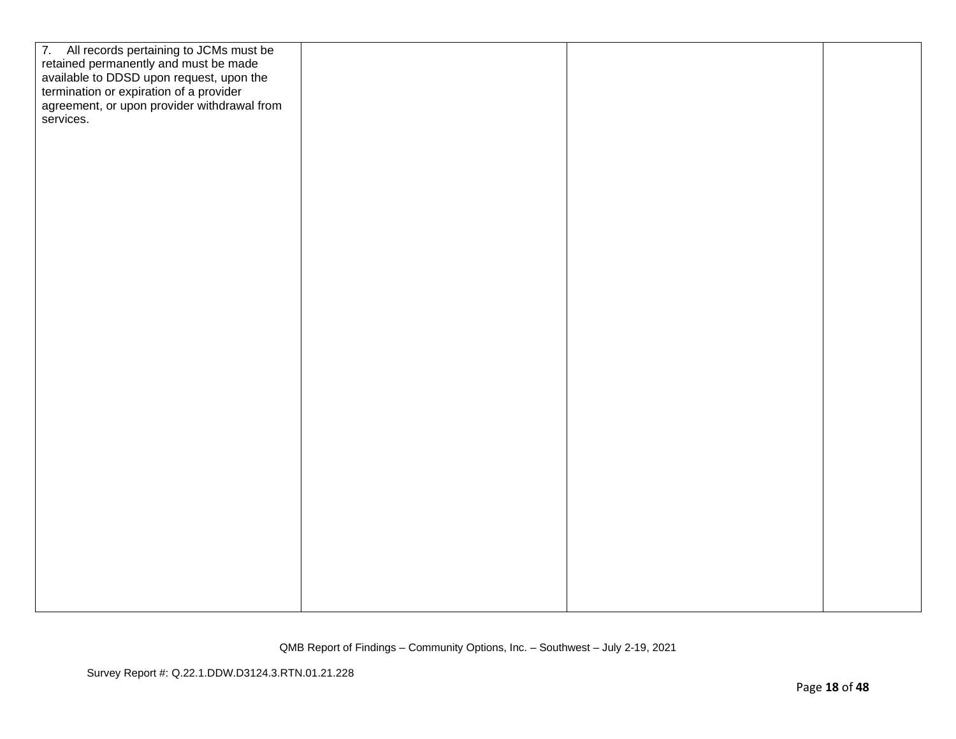| 7. All records pertaining to JCMs must be<br>retained permanently and must be made<br>available to DDSD upon request, upon the<br>termination or expiration of a provider<br>agreement, or upon provider withdrawal from<br>services. |  |  |
|---------------------------------------------------------------------------------------------------------------------------------------------------------------------------------------------------------------------------------------|--|--|
|                                                                                                                                                                                                                                       |  |  |
|                                                                                                                                                                                                                                       |  |  |
|                                                                                                                                                                                                                                       |  |  |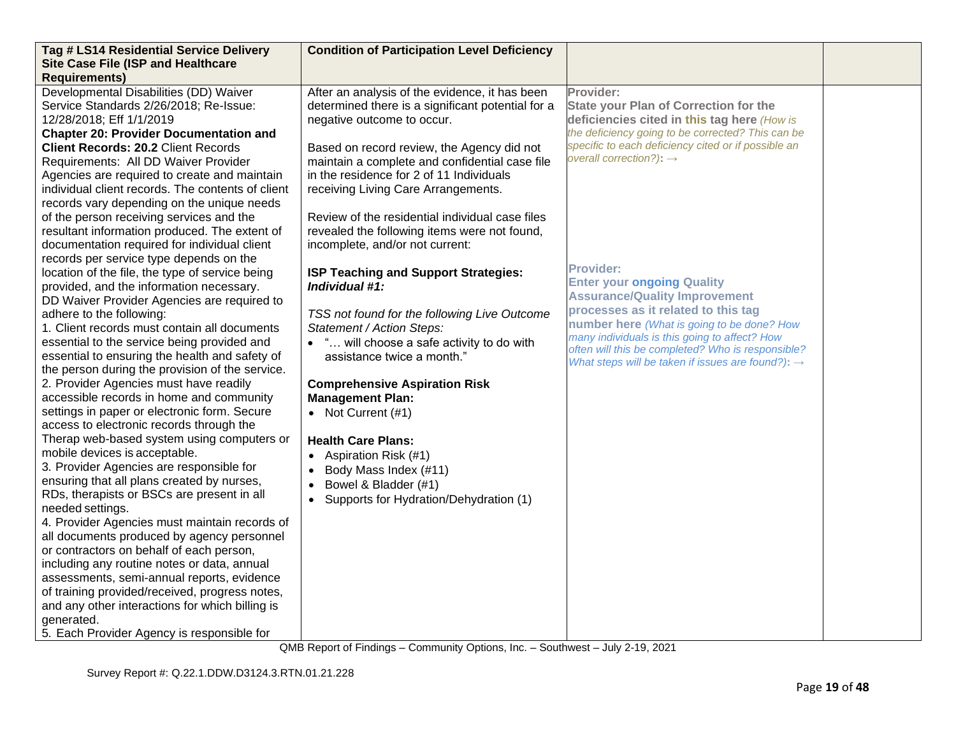| Tag # LS14 Residential Service Delivery<br><b>Site Case File (ISP and Healthcare</b> | <b>Condition of Participation Level Deficiency</b>     |                                                               |  |
|--------------------------------------------------------------------------------------|--------------------------------------------------------|---------------------------------------------------------------|--|
| <b>Requirements)</b>                                                                 |                                                        |                                                               |  |
| Developmental Disabilities (DD) Waiver                                               | After an analysis of the evidence, it has been         | Provider:                                                     |  |
| Service Standards 2/26/2018; Re-Issue:                                               | determined there is a significant potential for a      | <b>State your Plan of Correction for the</b>                  |  |
| 12/28/2018; Eff 1/1/2019                                                             | negative outcome to occur.                             | deficiencies cited in this tag here (How is                   |  |
| <b>Chapter 20: Provider Documentation and</b>                                        |                                                        | the deficiency going to be corrected? This can be             |  |
| <b>Client Records: 20.2 Client Records</b>                                           | Based on record review, the Agency did not             | specific to each deficiency cited or if possible an           |  |
| Requirements: All DD Waiver Provider                                                 | maintain a complete and confidential case file         | overall correction?): $\rightarrow$                           |  |
| Agencies are required to create and maintain                                         | in the residence for 2 of 11 Individuals               |                                                               |  |
| individual client records. The contents of client                                    | receiving Living Care Arrangements.                    |                                                               |  |
| records vary depending on the unique needs                                           |                                                        |                                                               |  |
| of the person receiving services and the                                             | Review of the residential individual case files        |                                                               |  |
| resultant information produced. The extent of                                        | revealed the following items were not found,           |                                                               |  |
| documentation required for individual client                                         | incomplete, and/or not current:                        |                                                               |  |
| records per service type depends on the                                              |                                                        | <b>Provider:</b>                                              |  |
| location of the file, the type of service being                                      | ISP Teaching and Support Strategies:<br>Individual #1: | <b>Enter your ongoing Quality</b>                             |  |
| provided, and the information necessary.                                             |                                                        | <b>Assurance/Quality Improvement</b>                          |  |
| DD Waiver Provider Agencies are required to<br>adhere to the following:              | TSS not found for the following Live Outcome           | processes as it related to this tag                           |  |
| 1. Client records must contain all documents                                         | Statement / Action Steps:                              | number here (What is going to be done? How                    |  |
| essential to the service being provided and                                          | • " will choose a safe activity to do with             | many individuals is this going to affect? How                 |  |
| essential to ensuring the health and safety of                                       | assistance twice a month."                             | often will this be completed? Who is responsible?             |  |
| the person during the provision of the service.                                      |                                                        | What steps will be taken if issues are found?): $\rightarrow$ |  |
| 2. Provider Agencies must have readily                                               | <b>Comprehensive Aspiration Risk</b>                   |                                                               |  |
| accessible records in home and community                                             | <b>Management Plan:</b>                                |                                                               |  |
| settings in paper or electronic form. Secure                                         | • Not Current $(#1)$                                   |                                                               |  |
| access to electronic records through the                                             |                                                        |                                                               |  |
| Therap web-based system using computers or                                           | <b>Health Care Plans:</b>                              |                                                               |  |
| mobile devices is acceptable.                                                        | Aspiration Risk (#1)<br>$\bullet$                      |                                                               |  |
| 3. Provider Agencies are responsible for                                             | Body Mass Index (#11)<br>$\bullet$                     |                                                               |  |
| ensuring that all plans created by nurses,                                           | Bowel & Bladder (#1)<br>$\bullet$                      |                                                               |  |
| RDs, therapists or BSCs are present in all                                           | Supports for Hydration/Dehydration (1)<br>$\bullet$    |                                                               |  |
| needed settings.                                                                     |                                                        |                                                               |  |
| 4. Provider Agencies must maintain records of                                        |                                                        |                                                               |  |
| all documents produced by agency personnel                                           |                                                        |                                                               |  |
| or contractors on behalf of each person,                                             |                                                        |                                                               |  |
| including any routine notes or data, annual                                          |                                                        |                                                               |  |
| assessments, semi-annual reports, evidence                                           |                                                        |                                                               |  |
| of training provided/received, progress notes,                                       |                                                        |                                                               |  |
| and any other interactions for which billing is                                      |                                                        |                                                               |  |
| generated.                                                                           |                                                        |                                                               |  |
| 5. Each Provider Agency is responsible for                                           |                                                        |                                                               |  |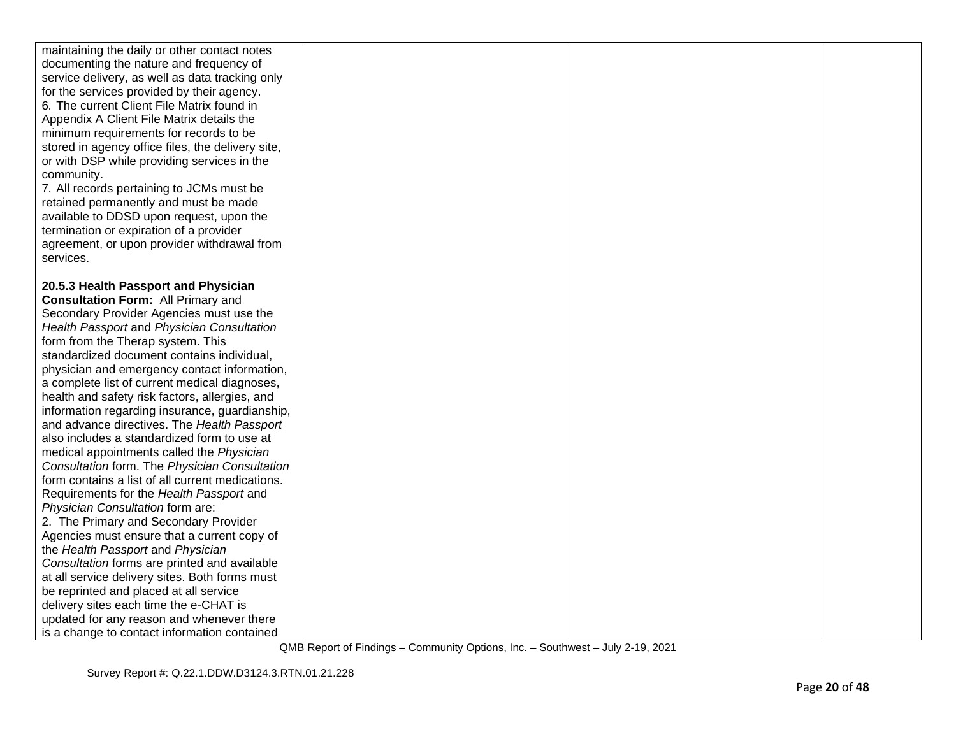| maintaining the daily or other contact notes<br>documenting the nature and frequency of<br>service delivery, as well as data tracking only<br>for the services provided by their agency.<br>6. The current Client File Matrix found in<br>Appendix A Client File Matrix details the<br>minimum requirements for records to be<br>stored in agency office files, the delivery site,<br>or with DSP while providing services in the<br>community.<br>7. All records pertaining to JCMs must be<br>retained permanently and must be made<br>available to DDSD upon request, upon the<br>termination or expiration of a provider<br>agreement, or upon provider withdrawal from<br>services. |  |  |
|------------------------------------------------------------------------------------------------------------------------------------------------------------------------------------------------------------------------------------------------------------------------------------------------------------------------------------------------------------------------------------------------------------------------------------------------------------------------------------------------------------------------------------------------------------------------------------------------------------------------------------------------------------------------------------------|--|--|
|                                                                                                                                                                                                                                                                                                                                                                                                                                                                                                                                                                                                                                                                                          |  |  |
| 20.5.3 Health Passport and Physician                                                                                                                                                                                                                                                                                                                                                                                                                                                                                                                                                                                                                                                     |  |  |
| <b>Consultation Form: All Primary and</b>                                                                                                                                                                                                                                                                                                                                                                                                                                                                                                                                                                                                                                                |  |  |
| Secondary Provider Agencies must use the                                                                                                                                                                                                                                                                                                                                                                                                                                                                                                                                                                                                                                                 |  |  |
| Health Passport and Physician Consultation                                                                                                                                                                                                                                                                                                                                                                                                                                                                                                                                                                                                                                               |  |  |
| form from the Therap system. This                                                                                                                                                                                                                                                                                                                                                                                                                                                                                                                                                                                                                                                        |  |  |
| standardized document contains individual,                                                                                                                                                                                                                                                                                                                                                                                                                                                                                                                                                                                                                                               |  |  |
| physician and emergency contact information,                                                                                                                                                                                                                                                                                                                                                                                                                                                                                                                                                                                                                                             |  |  |
| a complete list of current medical diagnoses,                                                                                                                                                                                                                                                                                                                                                                                                                                                                                                                                                                                                                                            |  |  |
| health and safety risk factors, allergies, and                                                                                                                                                                                                                                                                                                                                                                                                                                                                                                                                                                                                                                           |  |  |
| information regarding insurance, guardianship,                                                                                                                                                                                                                                                                                                                                                                                                                                                                                                                                                                                                                                           |  |  |
| and advance directives. The Health Passport<br>also includes a standardized form to use at                                                                                                                                                                                                                                                                                                                                                                                                                                                                                                                                                                                               |  |  |
| medical appointments called the Physician                                                                                                                                                                                                                                                                                                                                                                                                                                                                                                                                                                                                                                                |  |  |
| Consultation form. The Physician Consultation                                                                                                                                                                                                                                                                                                                                                                                                                                                                                                                                                                                                                                            |  |  |
| form contains a list of all current medications.                                                                                                                                                                                                                                                                                                                                                                                                                                                                                                                                                                                                                                         |  |  |
| Requirements for the Health Passport and                                                                                                                                                                                                                                                                                                                                                                                                                                                                                                                                                                                                                                                 |  |  |
| Physician Consultation form are:                                                                                                                                                                                                                                                                                                                                                                                                                                                                                                                                                                                                                                                         |  |  |
| 2. The Primary and Secondary Provider                                                                                                                                                                                                                                                                                                                                                                                                                                                                                                                                                                                                                                                    |  |  |
| Agencies must ensure that a current copy of                                                                                                                                                                                                                                                                                                                                                                                                                                                                                                                                                                                                                                              |  |  |
| the Health Passport and Physician                                                                                                                                                                                                                                                                                                                                                                                                                                                                                                                                                                                                                                                        |  |  |
| Consultation forms are printed and available                                                                                                                                                                                                                                                                                                                                                                                                                                                                                                                                                                                                                                             |  |  |
| at all service delivery sites. Both forms must                                                                                                                                                                                                                                                                                                                                                                                                                                                                                                                                                                                                                                           |  |  |
| be reprinted and placed at all service                                                                                                                                                                                                                                                                                                                                                                                                                                                                                                                                                                                                                                                   |  |  |
| delivery sites each time the e-CHAT is                                                                                                                                                                                                                                                                                                                                                                                                                                                                                                                                                                                                                                                   |  |  |
| updated for any reason and whenever there                                                                                                                                                                                                                                                                                                                                                                                                                                                                                                                                                                                                                                                |  |  |
| is a change to contact information contained                                                                                                                                                                                                                                                                                                                                                                                                                                                                                                                                                                                                                                             |  |  |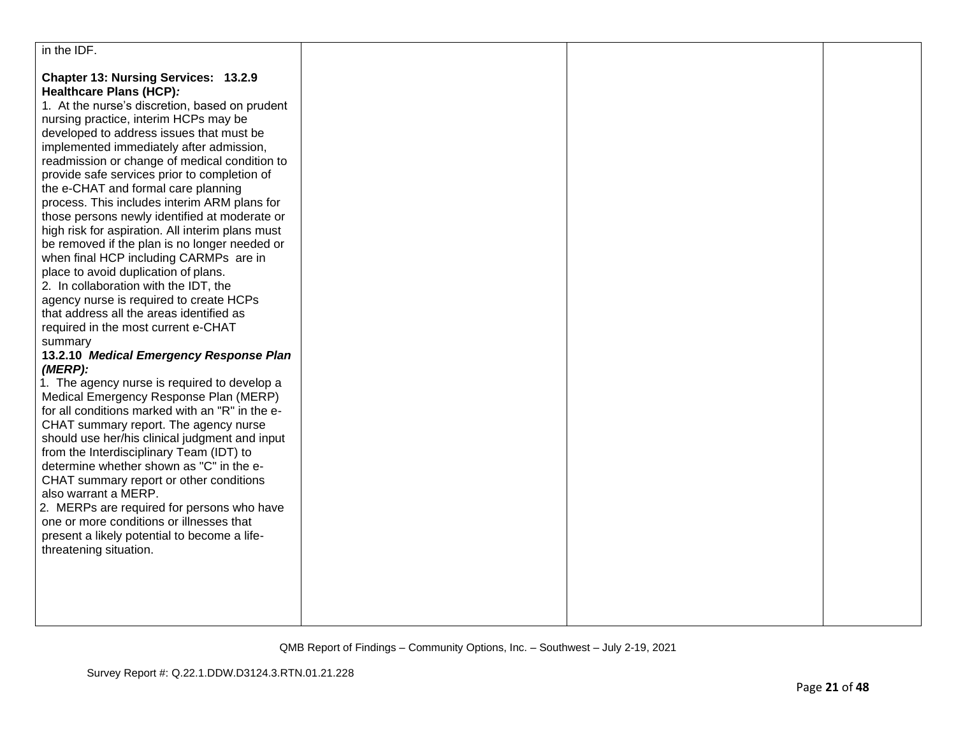| in the IDF.                                                                                                                                                                                                                                                                                                                                                                                                                                                                                                                                                                                                                                                                                                                                                                                                                                                                                                                                                                                                                                                                                                                                                                                                                                                                                                                                                                                                                                                                                       |  |  |
|---------------------------------------------------------------------------------------------------------------------------------------------------------------------------------------------------------------------------------------------------------------------------------------------------------------------------------------------------------------------------------------------------------------------------------------------------------------------------------------------------------------------------------------------------------------------------------------------------------------------------------------------------------------------------------------------------------------------------------------------------------------------------------------------------------------------------------------------------------------------------------------------------------------------------------------------------------------------------------------------------------------------------------------------------------------------------------------------------------------------------------------------------------------------------------------------------------------------------------------------------------------------------------------------------------------------------------------------------------------------------------------------------------------------------------------------------------------------------------------------------|--|--|
| Chapter 13: Nursing Services: 13.2.9<br>Healthcare Plans (HCP):<br>1. At the nurse's discretion, based on prudent<br>nursing practice, interim HCPs may be<br>developed to address issues that must be<br>implemented immediately after admission,<br>readmission or change of medical condition to<br>provide safe services prior to completion of<br>the e-CHAT and formal care planning<br>process. This includes interim ARM plans for<br>those persons newly identified at moderate or<br>high risk for aspiration. All interim plans must<br>be removed if the plan is no longer needed or<br>when final HCP including CARMPs are in<br>place to avoid duplication of plans.<br>2. In collaboration with the IDT, the<br>agency nurse is required to create HCPs<br>that address all the areas identified as<br>required in the most current e-CHAT<br>summary<br>13.2.10 Medical Emergency Response Plan<br>(MERP):<br>1. The agency nurse is required to develop a<br>Medical Emergency Response Plan (MERP)<br>for all conditions marked with an "R" in the e-<br>CHAT summary report. The agency nurse<br>should use her/his clinical judgment and input<br>from the Interdisciplinary Team (IDT) to<br>determine whether shown as "C" in the e-<br>CHAT summary report or other conditions<br>also warrant a MERP.<br>2. MERPs are required for persons who have<br>one or more conditions or illnesses that<br>present a likely potential to become a life-<br>threatening situation. |  |  |
|                                                                                                                                                                                                                                                                                                                                                                                                                                                                                                                                                                                                                                                                                                                                                                                                                                                                                                                                                                                                                                                                                                                                                                                                                                                                                                                                                                                                                                                                                                   |  |  |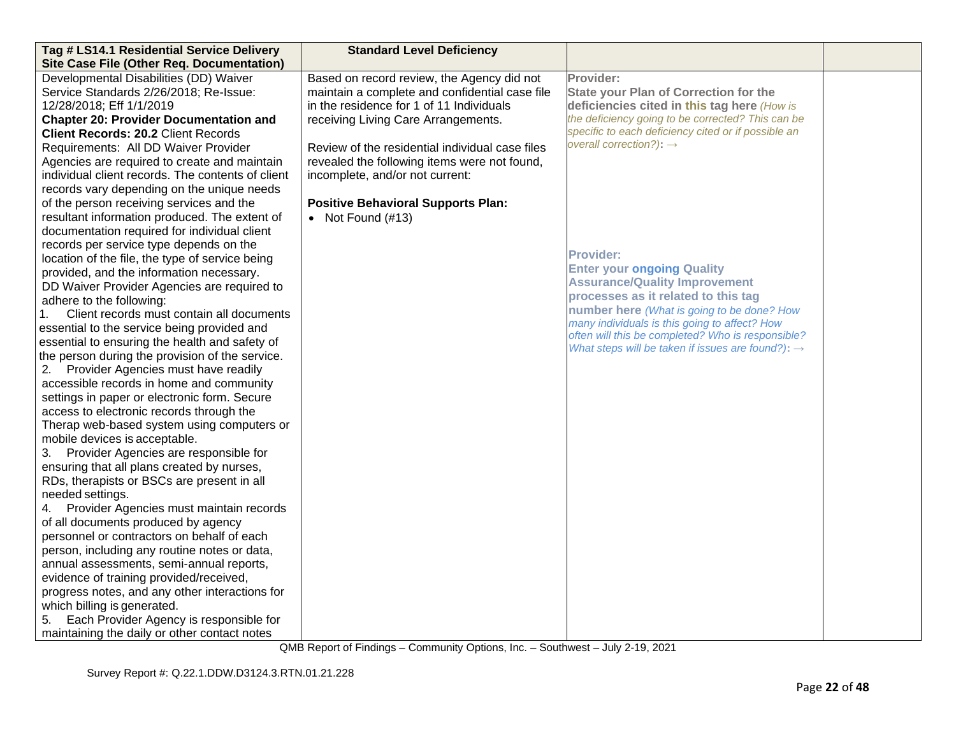| Tag # LS14.1 Residential Service Delivery<br><b>Site Case File (Other Req. Documentation)</b> | <b>Standard Level Deficiency</b>                |                                                                                             |  |
|-----------------------------------------------------------------------------------------------|-------------------------------------------------|---------------------------------------------------------------------------------------------|--|
| Developmental Disabilities (DD) Waiver                                                        | Based on record review, the Agency did not      | Provider:                                                                                   |  |
| Service Standards 2/26/2018; Re-Issue:                                                        | maintain a complete and confidential case file  | <b>State your Plan of Correction for the</b>                                                |  |
| 12/28/2018; Eff 1/1/2019                                                                      | in the residence for 1 of 11 Individuals        | deficiencies cited in this tag here (How is                                                 |  |
| <b>Chapter 20: Provider Documentation and</b>                                                 | receiving Living Care Arrangements.             | the deficiency going to be corrected? This can be                                           |  |
| <b>Client Records: 20.2 Client Records</b>                                                    |                                                 | specific to each deficiency cited or if possible an                                         |  |
| Requirements: All DD Waiver Provider                                                          | Review of the residential individual case files | overall correction?): $\rightarrow$                                                         |  |
| Agencies are required to create and maintain                                                  | revealed the following items were not found,    |                                                                                             |  |
| individual client records. The contents of client                                             | incomplete, and/or not current:                 |                                                                                             |  |
| records vary depending on the unique needs                                                    |                                                 |                                                                                             |  |
| of the person receiving services and the                                                      | <b>Positive Behavioral Supports Plan:</b>       |                                                                                             |  |
| resultant information produced. The extent of                                                 | • Not Found $(\#13)$                            |                                                                                             |  |
| documentation required for individual client                                                  |                                                 |                                                                                             |  |
| records per service type depends on the                                                       |                                                 |                                                                                             |  |
| location of the file, the type of service being                                               |                                                 | <b>Provider:</b>                                                                            |  |
| provided, and the information necessary.                                                      |                                                 | <b>Enter your ongoing Quality</b>                                                           |  |
| DD Waiver Provider Agencies are required to                                                   |                                                 | <b>Assurance/Quality Improvement</b>                                                        |  |
| adhere to the following:                                                                      |                                                 | processes as it related to this tag                                                         |  |
| Client records must contain all documents                                                     |                                                 | number here (What is going to be done? How<br>many individuals is this going to affect? How |  |
| essential to the service being provided and                                                   |                                                 | often will this be completed? Who is responsible?                                           |  |
| essential to ensuring the health and safety of                                                |                                                 | What steps will be taken if issues are found?): $\rightarrow$                               |  |
| the person during the provision of the service.                                               |                                                 |                                                                                             |  |
| 2. Provider Agencies must have readily                                                        |                                                 |                                                                                             |  |
| accessible records in home and community                                                      |                                                 |                                                                                             |  |
| settings in paper or electronic form. Secure                                                  |                                                 |                                                                                             |  |
| access to electronic records through the                                                      |                                                 |                                                                                             |  |
| Therap web-based system using computers or<br>mobile devices is acceptable.                   |                                                 |                                                                                             |  |
| 3. Provider Agencies are responsible for                                                      |                                                 |                                                                                             |  |
| ensuring that all plans created by nurses,                                                    |                                                 |                                                                                             |  |
| RDs, therapists or BSCs are present in all                                                    |                                                 |                                                                                             |  |
| needed settings.                                                                              |                                                 |                                                                                             |  |
| Provider Agencies must maintain records<br>4.                                                 |                                                 |                                                                                             |  |
| of all documents produced by agency                                                           |                                                 |                                                                                             |  |
| personnel or contractors on behalf of each                                                    |                                                 |                                                                                             |  |
| person, including any routine notes or data,                                                  |                                                 |                                                                                             |  |
| annual assessments, semi-annual reports,                                                      |                                                 |                                                                                             |  |
| evidence of training provided/received,                                                       |                                                 |                                                                                             |  |
| progress notes, and any other interactions for                                                |                                                 |                                                                                             |  |
| which billing is generated.                                                                   |                                                 |                                                                                             |  |
| Each Provider Agency is responsible for<br>5.                                                 |                                                 |                                                                                             |  |
| maintaining the daily or other contact notes                                                  |                                                 |                                                                                             |  |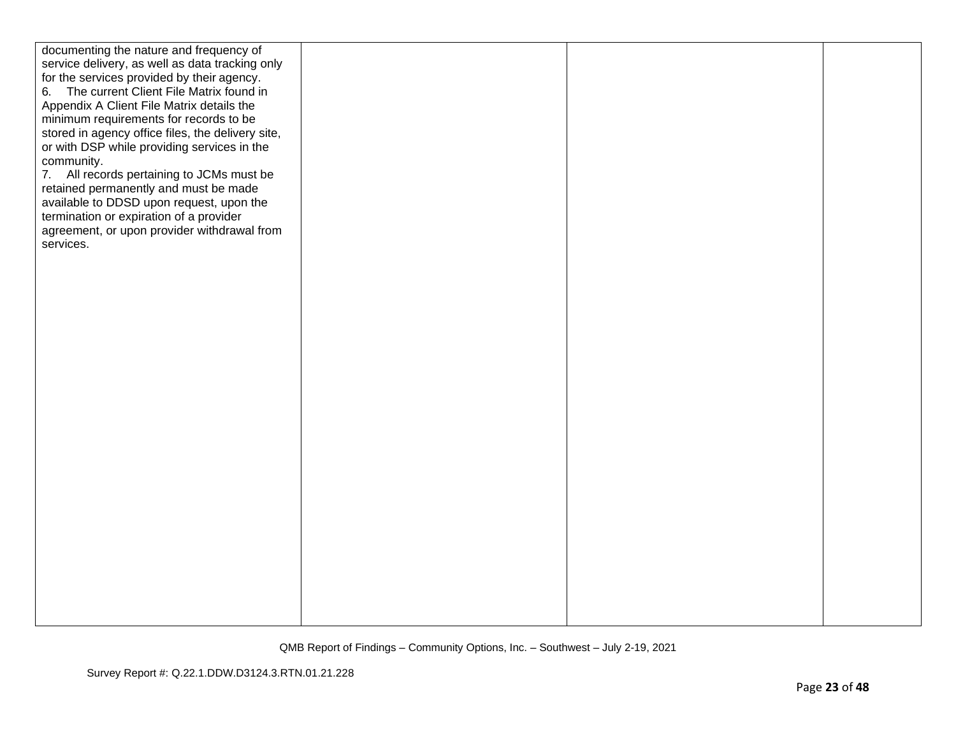| documenting the nature and frequency of<br>service delivery, as well as data tracking only<br>for the services provided by their agency.<br>6. The current Client File Matrix found in<br>Appendix A Client File Matrix details the<br>minimum requirements for records to be<br>stored in agency office files, the delivery site,<br>or with DSP while providing services in the<br>community.<br>7. All records pertaining to JCMs must be<br>retained permanently and must be made<br>available to DDSD upon request, upon the<br>termination or expiration of a provider<br>agreement, or upon provider withdrawal from<br>services. |  |  |
|------------------------------------------------------------------------------------------------------------------------------------------------------------------------------------------------------------------------------------------------------------------------------------------------------------------------------------------------------------------------------------------------------------------------------------------------------------------------------------------------------------------------------------------------------------------------------------------------------------------------------------------|--|--|
|                                                                                                                                                                                                                                                                                                                                                                                                                                                                                                                                                                                                                                          |  |  |
|                                                                                                                                                                                                                                                                                                                                                                                                                                                                                                                                                                                                                                          |  |  |
|                                                                                                                                                                                                                                                                                                                                                                                                                                                                                                                                                                                                                                          |  |  |
|                                                                                                                                                                                                                                                                                                                                                                                                                                                                                                                                                                                                                                          |  |  |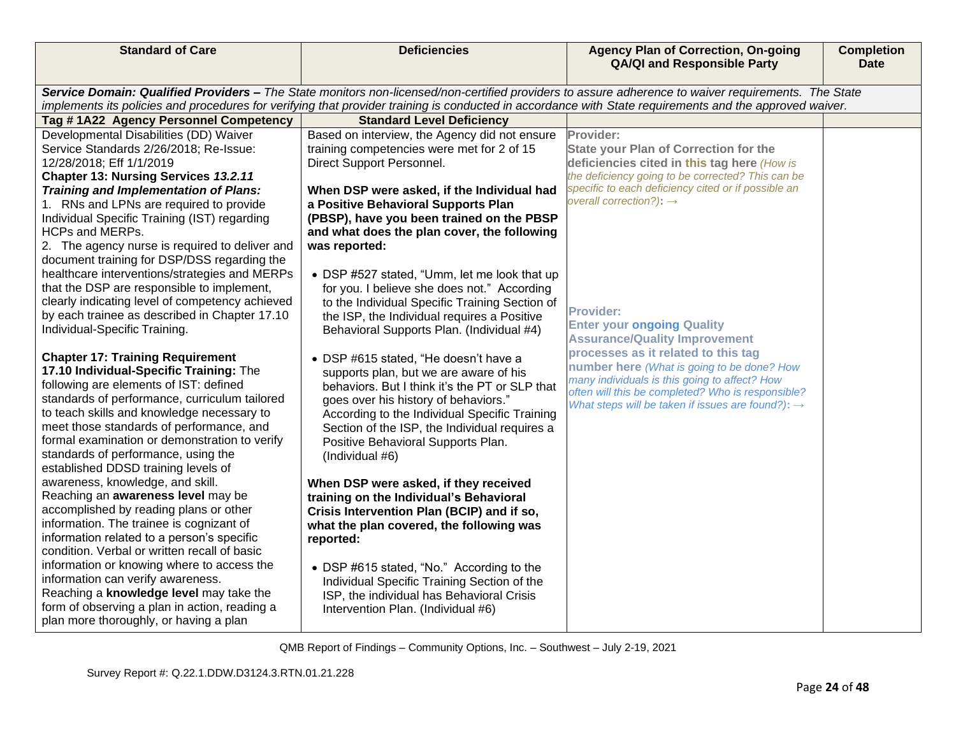| <b>Standard of Care</b>                                                                                                                                                                                                                                                                                        | <b>Deficiencies</b>                                                                           | <b>Agency Plan of Correction, On-going</b><br><b>QA/QI and Responsible Party</b>                         | <b>Completion</b><br><b>Date</b> |  |
|----------------------------------------------------------------------------------------------------------------------------------------------------------------------------------------------------------------------------------------------------------------------------------------------------------------|-----------------------------------------------------------------------------------------------|----------------------------------------------------------------------------------------------------------|----------------------------------|--|
| Service Domain: Qualified Providers - The State monitors non-licensed/non-certified providers to assure adherence to waiver requirements. The State<br>implements its policies and procedures for verifying that provider training is conducted in accordance with State requirements and the approved waiver. |                                                                                               |                                                                                                          |                                  |  |
| Tag #1A22 Agency Personnel Competency                                                                                                                                                                                                                                                                          | <b>Standard Level Deficiency</b>                                                              |                                                                                                          |                                  |  |
| Developmental Disabilities (DD) Waiver                                                                                                                                                                                                                                                                         | Based on interview, the Agency did not ensure                                                 | Provider:                                                                                                |                                  |  |
| Service Standards 2/26/2018; Re-Issue:                                                                                                                                                                                                                                                                         | training competencies were met for 2 of 15                                                    | <b>State your Plan of Correction for the</b>                                                             |                                  |  |
| 12/28/2018; Eff 1/1/2019                                                                                                                                                                                                                                                                                       | Direct Support Personnel.                                                                     | deficiencies cited in this tag here (How is                                                              |                                  |  |
| Chapter 13: Nursing Services 13.2.11                                                                                                                                                                                                                                                                           |                                                                                               | the deficiency going to be corrected? This can be<br>specific to each deficiency cited or if possible an |                                  |  |
| <b>Training and Implementation of Plans:</b><br>1. RNs and LPNs are required to provide                                                                                                                                                                                                                        | When DSP were asked, if the Individual had<br>a Positive Behavioral Supports Plan             | overall correction?): $\rightarrow$                                                                      |                                  |  |
| Individual Specific Training (IST) regarding                                                                                                                                                                                                                                                                   | (PBSP), have you been trained on the PBSP                                                     |                                                                                                          |                                  |  |
| <b>HCPs and MERPs.</b>                                                                                                                                                                                                                                                                                         | and what does the plan cover, the following                                                   |                                                                                                          |                                  |  |
| 2. The agency nurse is required to deliver and<br>document training for DSP/DSS regarding the                                                                                                                                                                                                                  | was reported:                                                                                 |                                                                                                          |                                  |  |
| healthcare interventions/strategies and MERPs                                                                                                                                                                                                                                                                  | • DSP #527 stated, "Umm, let me look that up                                                  |                                                                                                          |                                  |  |
| that the DSP are responsible to implement,<br>clearly indicating level of competency achieved                                                                                                                                                                                                                  | for you. I believe she does not." According                                                   |                                                                                                          |                                  |  |
| by each trainee as described in Chapter 17.10                                                                                                                                                                                                                                                                  | to the Individual Specific Training Section of<br>the ISP, the Individual requires a Positive | <b>Provider:</b>                                                                                         |                                  |  |
| Individual-Specific Training.                                                                                                                                                                                                                                                                                  | Behavioral Supports Plan. (Individual #4)                                                     | <b>Enter your ongoing Quality</b>                                                                        |                                  |  |
|                                                                                                                                                                                                                                                                                                                |                                                                                               | <b>Assurance/Quality Improvement</b>                                                                     |                                  |  |
| <b>Chapter 17: Training Requirement</b>                                                                                                                                                                                                                                                                        | • DSP #615 stated, "He doesn't have a                                                         | processes as it related to this tag<br>number here (What is going to be done? How                        |                                  |  |
| 17.10 Individual-Specific Training: The<br>following are elements of IST: defined                                                                                                                                                                                                                              | supports plan, but we are aware of his<br>behaviors. But I think it's the PT or SLP that      | many individuals is this going to affect? How                                                            |                                  |  |
| standards of performance, curriculum tailored                                                                                                                                                                                                                                                                  | goes over his history of behaviors."                                                          | often will this be completed? Who is responsible?                                                        |                                  |  |
| to teach skills and knowledge necessary to                                                                                                                                                                                                                                                                     | According to the Individual Specific Training                                                 | What steps will be taken if issues are found?): $\rightarrow$                                            |                                  |  |
| meet those standards of performance, and                                                                                                                                                                                                                                                                       | Section of the ISP, the Individual requires a                                                 |                                                                                                          |                                  |  |
| formal examination or demonstration to verify                                                                                                                                                                                                                                                                  | Positive Behavioral Supports Plan.                                                            |                                                                                                          |                                  |  |
| standards of performance, using the<br>established DDSD training levels of                                                                                                                                                                                                                                     | (Individual #6)                                                                               |                                                                                                          |                                  |  |
| awareness, knowledge, and skill.                                                                                                                                                                                                                                                                               | When DSP were asked, if they received                                                         |                                                                                                          |                                  |  |
| Reaching an awareness level may be                                                                                                                                                                                                                                                                             | training on the Individual's Behavioral                                                       |                                                                                                          |                                  |  |
| accomplished by reading plans or other                                                                                                                                                                                                                                                                         | Crisis Intervention Plan (BCIP) and if so,                                                    |                                                                                                          |                                  |  |
| information. The trainee is cognizant of                                                                                                                                                                                                                                                                       | what the plan covered, the following was                                                      |                                                                                                          |                                  |  |
| information related to a person's specific<br>condition. Verbal or written recall of basic                                                                                                                                                                                                                     | reported:                                                                                     |                                                                                                          |                                  |  |
| information or knowing where to access the                                                                                                                                                                                                                                                                     | • DSP #615 stated, "No." According to the                                                     |                                                                                                          |                                  |  |
| information can verify awareness.                                                                                                                                                                                                                                                                              | Individual Specific Training Section of the                                                   |                                                                                                          |                                  |  |
| Reaching a knowledge level may take the                                                                                                                                                                                                                                                                        | ISP, the individual has Behavioral Crisis                                                     |                                                                                                          |                                  |  |
| form of observing a plan in action, reading a                                                                                                                                                                                                                                                                  | Intervention Plan. (Individual #6)                                                            |                                                                                                          |                                  |  |
| plan more thoroughly, or having a plan                                                                                                                                                                                                                                                                         |                                                                                               |                                                                                                          |                                  |  |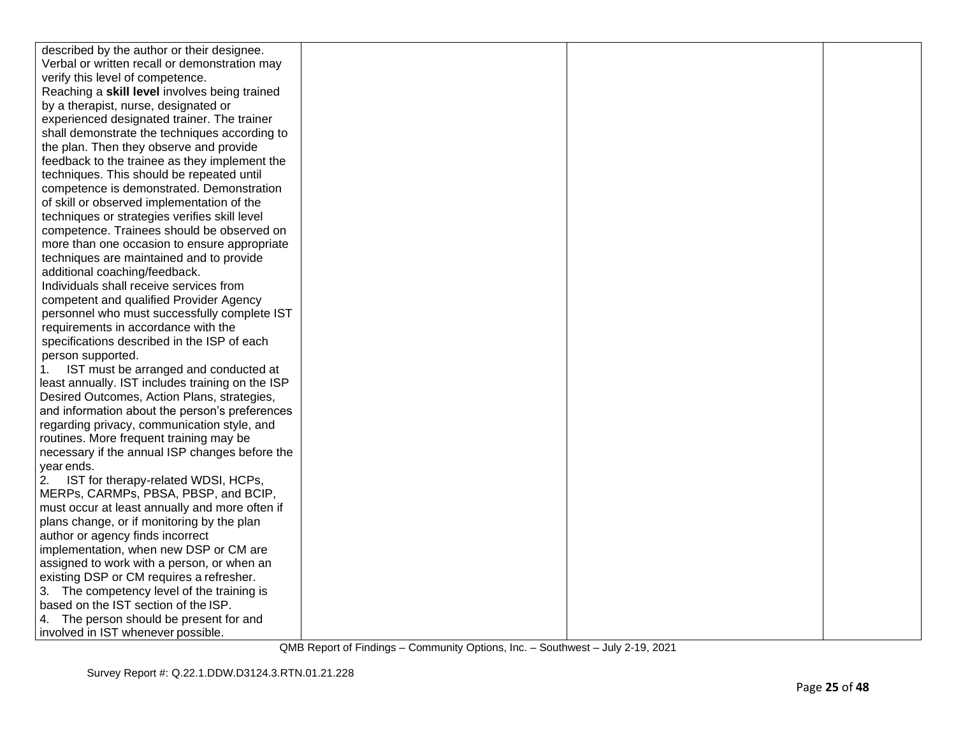| described by the author or their designee.       |  |  |
|--------------------------------------------------|--|--|
| Verbal or written recall or demonstration may    |  |  |
| verify this level of competence.                 |  |  |
| Reaching a skill level involves being trained    |  |  |
| by a therapist, nurse, designated or             |  |  |
| experienced designated trainer. The trainer      |  |  |
| shall demonstrate the techniques according to    |  |  |
| the plan. Then they observe and provide          |  |  |
| feedback to the trainee as they implement the    |  |  |
| techniques. This should be repeated until        |  |  |
| competence is demonstrated. Demonstration        |  |  |
| of skill or observed implementation of the       |  |  |
| techniques or strategies verifies skill level    |  |  |
| competence. Trainees should be observed on       |  |  |
| more than one occasion to ensure appropriate     |  |  |
| techniques are maintained and to provide         |  |  |
| additional coaching/feedback.                    |  |  |
| Individuals shall receive services from          |  |  |
| competent and qualified Provider Agency          |  |  |
| personnel who must successfully complete IST     |  |  |
| requirements in accordance with the              |  |  |
| specifications described in the ISP of each      |  |  |
| person supported.                                |  |  |
| IST must be arranged and conducted at<br>1.      |  |  |
| least annually. IST includes training on the ISP |  |  |
| Desired Outcomes, Action Plans, strategies,      |  |  |
| and information about the person's preferences   |  |  |
| regarding privacy, communication style, and      |  |  |
| routines. More frequent training may be          |  |  |
| necessary if the annual ISP changes before the   |  |  |
| year ends.                                       |  |  |
| 2.<br>IST for therapy-related WDSI, HCPs,        |  |  |
| MERPs, CARMPs, PBSA, PBSP, and BCIP,             |  |  |
| must occur at least annually and more often if   |  |  |
| plans change, or if monitoring by the plan       |  |  |
| author or agency finds incorrect                 |  |  |
| implementation, when new DSP or CM are           |  |  |
| assigned to work with a person, or when an       |  |  |
| existing DSP or CM requires a refresher.         |  |  |
| 3. The competency level of the training is       |  |  |
| based on the IST section of the ISP.             |  |  |
| 4. The person should be present for and          |  |  |
| involved in IST whenever possible.               |  |  |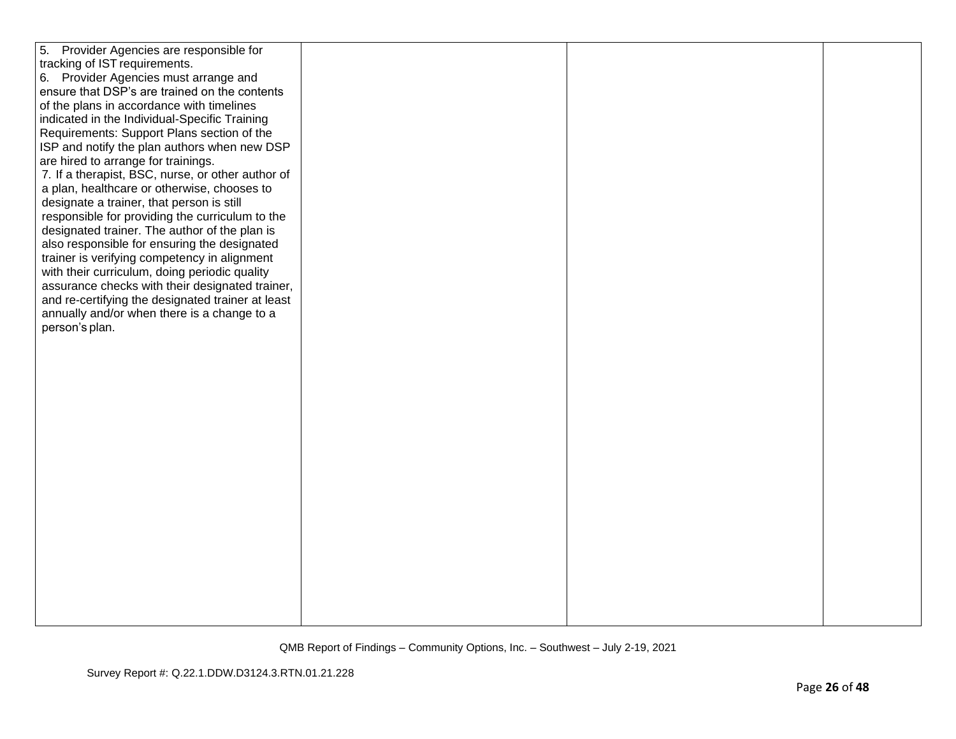| 5. Provider Agencies are responsible for          |  |
|---------------------------------------------------|--|
|                                                   |  |
| tracking of IST requirements.                     |  |
| 6. Provider Agencies must arrange and             |  |
| ensure that DSP's are trained on the contents     |  |
| of the plans in accordance with timelines         |  |
| indicated in the Individual-Specific Training     |  |
| Requirements: Support Plans section of the        |  |
| ISP and notify the plan authors when new DSP      |  |
|                                                   |  |
| are hired to arrange for trainings.               |  |
| 7. If a therapist, BSC, nurse, or other author of |  |
| a plan, healthcare or otherwise, chooses to       |  |
| designate a trainer, that person is still         |  |
| responsible for providing the curriculum to the   |  |
| designated trainer. The author of the plan is     |  |
| also responsible for ensuring the designated      |  |
| trainer is verifying competency in alignment      |  |
| with their curriculum, doing periodic quality     |  |
| assurance checks with their designated trainer,   |  |
| and re-certifying the designated trainer at least |  |
|                                                   |  |
| annually and/or when there is a change to a       |  |
| person's plan.                                    |  |
|                                                   |  |
|                                                   |  |
|                                                   |  |
|                                                   |  |
|                                                   |  |
|                                                   |  |
|                                                   |  |
|                                                   |  |
|                                                   |  |
|                                                   |  |
|                                                   |  |
|                                                   |  |
|                                                   |  |
|                                                   |  |
|                                                   |  |
|                                                   |  |
|                                                   |  |
|                                                   |  |
|                                                   |  |
|                                                   |  |
|                                                   |  |
|                                                   |  |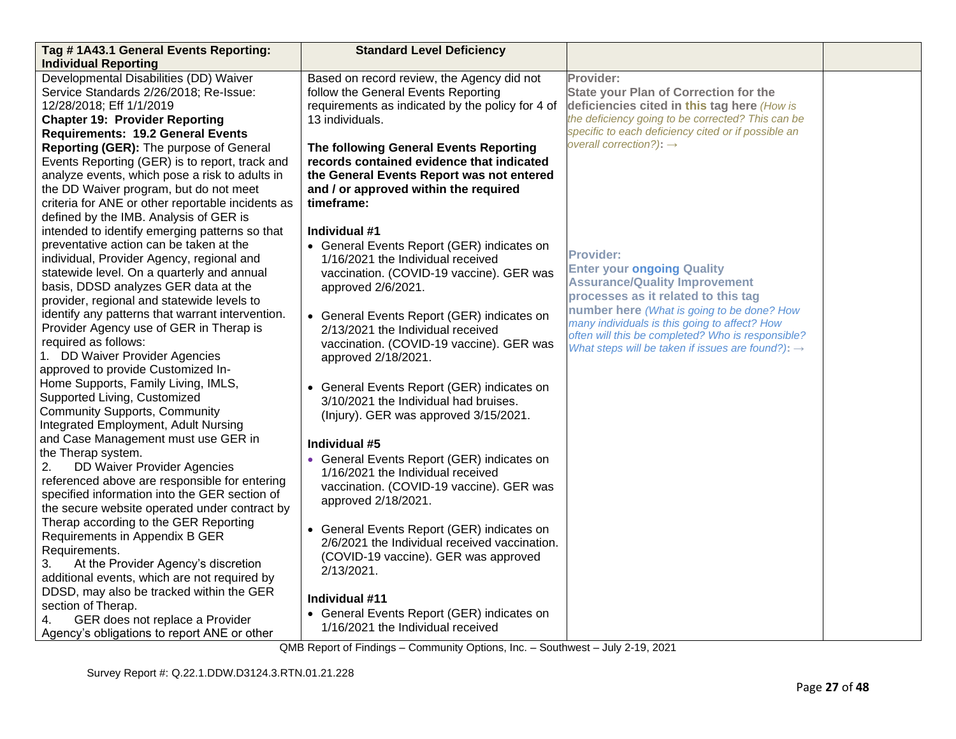| Tag #1A43.1 General Events Reporting:                                                                                                                                                                                                                                                | <b>Standard Level Deficiency</b>                                                                                                                                                        |                                                                                                                                                                                                                      |  |
|--------------------------------------------------------------------------------------------------------------------------------------------------------------------------------------------------------------------------------------------------------------------------------------|-----------------------------------------------------------------------------------------------------------------------------------------------------------------------------------------|----------------------------------------------------------------------------------------------------------------------------------------------------------------------------------------------------------------------|--|
| <b>Individual Reporting</b>                                                                                                                                                                                                                                                          |                                                                                                                                                                                         |                                                                                                                                                                                                                      |  |
| Developmental Disabilities (DD) Waiver<br>Service Standards 2/26/2018; Re-Issue:<br>12/28/2018; Eff 1/1/2019<br><b>Chapter 19: Provider Reporting</b><br><b>Requirements: 19.2 General Events</b>                                                                                    | Based on record review, the Agency did not<br>follow the General Events Reporting<br>requirements as indicated by the policy for 4 of<br>13 individuals.                                | Provider:<br><b>State your Plan of Correction for the</b><br>deficiencies cited in this tag here (How is<br>the deficiency going to be corrected? This can be<br>specific to each deficiency cited or if possible an |  |
| Reporting (GER): The purpose of General<br>Events Reporting (GER) is to report, track and<br>analyze events, which pose a risk to adults in<br>the DD Waiver program, but do not meet<br>criteria for ANE or other reportable incidents as<br>defined by the IMB. Analysis of GER is | The following General Events Reporting<br>records contained evidence that indicated<br>the General Events Report was not entered<br>and / or approved within the required<br>timeframe: | overall correction?): $\rightarrow$                                                                                                                                                                                  |  |
| intended to identify emerging patterns so that<br>preventative action can be taken at the<br>individual, Provider Agency, regional and<br>statewide level. On a quarterly and annual<br>basis, DDSD analyzes GER data at the<br>provider, regional and statewide levels to           | Individual #1<br>• General Events Report (GER) indicates on<br>1/16/2021 the Individual received<br>vaccination. (COVID-19 vaccine). GER was<br>approved 2/6/2021.                      | <b>Provider:</b><br><b>Enter your ongoing Quality</b><br><b>Assurance/Quality Improvement</b><br>processes as it related to this tag                                                                                 |  |
| identify any patterns that warrant intervention.<br>Provider Agency use of GER in Therap is<br>required as follows:<br>1. DD Waiver Provider Agencies<br>approved to provide Customized In-                                                                                          | • General Events Report (GER) indicates on<br>2/13/2021 the Individual received<br>vaccination. (COVID-19 vaccine). GER was<br>approved 2/18/2021.                                      | number here (What is going to be done? How<br>many individuals is this going to affect? How<br>often will this be completed? Who is responsible?<br>What steps will be taken if issues are found?): $\rightarrow$    |  |
| Home Supports, Family Living, IMLS,<br>Supported Living, Customized<br><b>Community Supports, Community</b><br>Integrated Employment, Adult Nursing                                                                                                                                  | • General Events Report (GER) indicates on<br>3/10/2021 the Individual had bruises.<br>(Injury). GER was approved 3/15/2021.                                                            |                                                                                                                                                                                                                      |  |
| and Case Management must use GER in<br>the Therap system.<br>DD Waiver Provider Agencies<br>2.<br>referenced above are responsible for entering<br>specified information into the GER section of<br>the secure website operated under contract by                                    | Individual #5<br>• General Events Report (GER) indicates on<br>1/16/2021 the Individual received<br>vaccination. (COVID-19 vaccine). GER was<br>approved 2/18/2021.                     |                                                                                                                                                                                                                      |  |
| Therap according to the GER Reporting<br>Requirements in Appendix B GER<br>Requirements.<br>3.<br>At the Provider Agency's discretion<br>additional events, which are not required by                                                                                                | • General Events Report (GER) indicates on<br>2/6/2021 the Individual received vaccination.<br>(COVID-19 vaccine). GER was approved<br>2/13/2021.                                       |                                                                                                                                                                                                                      |  |
| DDSD, may also be tracked within the GER<br>section of Therap.<br>GER does not replace a Provider<br>4.<br>Agency's obligations to report ANE or other                                                                                                                               | Individual #11<br>• General Events Report (GER) indicates on<br>1/16/2021 the Individual received                                                                                       |                                                                                                                                                                                                                      |  |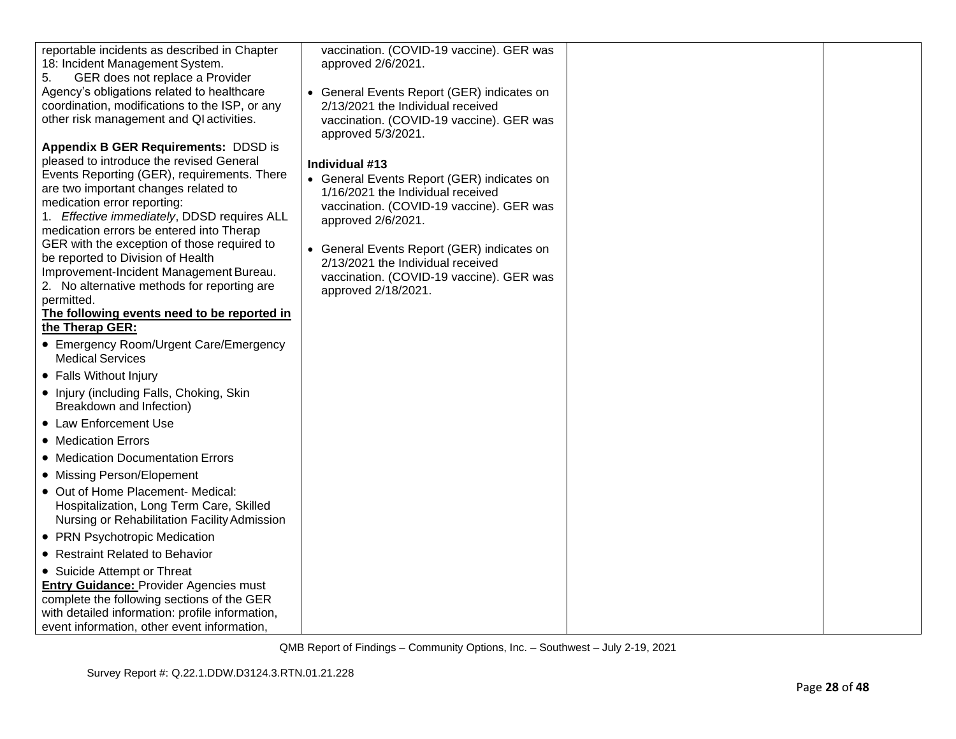| reportable incidents as described in Chapter<br>18: Incident Management System.               | vaccination. (COVID-19 vaccine). GER was<br>approved 2/6/2021.                |  |
|-----------------------------------------------------------------------------------------------|-------------------------------------------------------------------------------|--|
| GER does not replace a Provider<br>5.                                                         |                                                                               |  |
| Agency's obligations related to healthcare                                                    | • General Events Report (GER) indicates on                                    |  |
| coordination, modifications to the ISP, or any<br>other risk management and QI activities.    | 2/13/2021 the Individual received<br>vaccination. (COVID-19 vaccine). GER was |  |
|                                                                                               | approved 5/3/2021.                                                            |  |
| <b>Appendix B GER Requirements: DDSD is</b>                                                   |                                                                               |  |
| pleased to introduce the revised General                                                      | Individual #13                                                                |  |
| Events Reporting (GER), requirements. There                                                   | • General Events Report (GER) indicates on                                    |  |
| are two important changes related to<br>medication error reporting:                           | 1/16/2021 the Individual received                                             |  |
| 1. Effective immediately, DDSD requires ALL                                                   | vaccination. (COVID-19 vaccine). GER was                                      |  |
| medication errors be entered into Therap                                                      | approved 2/6/2021.                                                            |  |
| GER with the exception of those required to                                                   | • General Events Report (GER) indicates on                                    |  |
| be reported to Division of Health                                                             | 2/13/2021 the Individual received                                             |  |
| Improvement-Incident Management Bureau.                                                       | vaccination. (COVID-19 vaccine). GER was                                      |  |
| 2. No alternative methods for reporting are<br>permitted.                                     | approved 2/18/2021.                                                           |  |
| The following events need to be reported in                                                   |                                                                               |  |
| the Therap GER:                                                                               |                                                                               |  |
| • Emergency Room/Urgent Care/Emergency<br><b>Medical Services</b>                             |                                                                               |  |
| • Falls Without Injury                                                                        |                                                                               |  |
| • Injury (including Falls, Choking, Skin<br>Breakdown and Infection)                          |                                                                               |  |
| • Law Enforcement Use                                                                         |                                                                               |  |
| • Medication Errors                                                                           |                                                                               |  |
| • Medication Documentation Errors                                                             |                                                                               |  |
| • Missing Person/Elopement                                                                    |                                                                               |  |
| • Out of Home Placement- Medical:                                                             |                                                                               |  |
| Hospitalization, Long Term Care, Skilled                                                      |                                                                               |  |
| Nursing or Rehabilitation Facility Admission                                                  |                                                                               |  |
| • PRN Psychotropic Medication                                                                 |                                                                               |  |
| • Restraint Related to Behavior                                                               |                                                                               |  |
| • Suicide Attempt or Threat                                                                   |                                                                               |  |
| <b>Entry Guidance: Provider Agencies must</b>                                                 |                                                                               |  |
| complete the following sections of the GER<br>with detailed information: profile information, |                                                                               |  |
| event information, other event information,                                                   |                                                                               |  |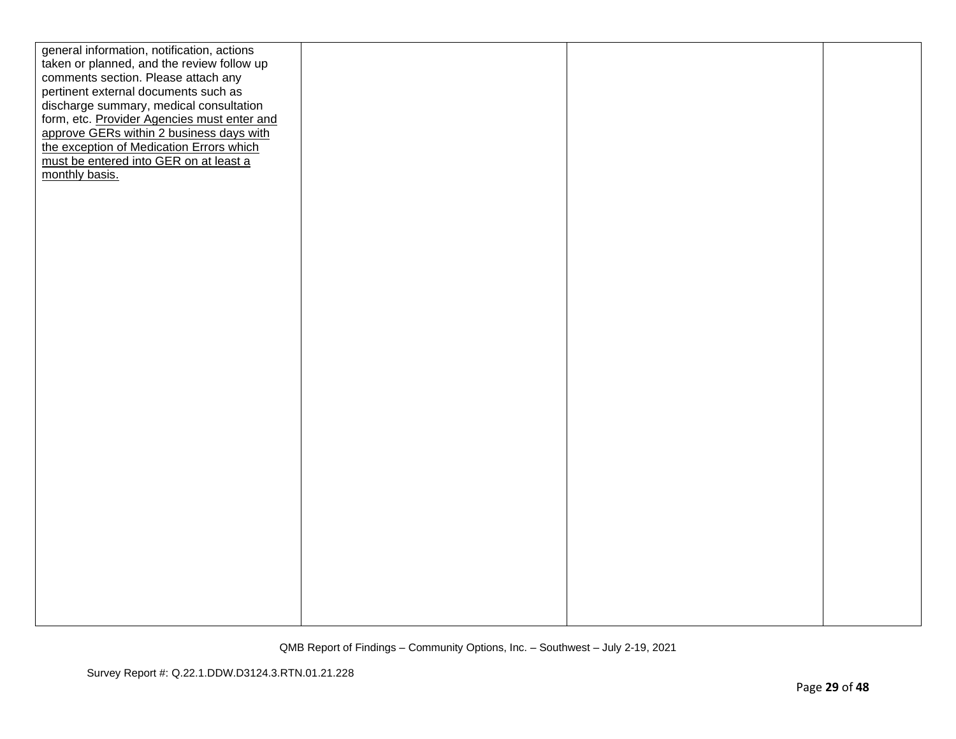| general information, notification, actions  |  |  |
|---------------------------------------------|--|--|
| taken or planned, and the review follow up  |  |  |
| comments section. Please attach any         |  |  |
| pertinent external documents such as        |  |  |
| discharge summary, medical consultation     |  |  |
| form, etc. Provider Agencies must enter and |  |  |
| approve GERs within 2 business days with    |  |  |
| the exception of Medication Errors which    |  |  |
| must be entered into GER on at least a      |  |  |
| monthly basis.                              |  |  |
|                                             |  |  |
|                                             |  |  |
|                                             |  |  |
|                                             |  |  |
|                                             |  |  |
|                                             |  |  |
|                                             |  |  |
|                                             |  |  |
|                                             |  |  |
|                                             |  |  |
|                                             |  |  |
|                                             |  |  |
|                                             |  |  |
|                                             |  |  |
|                                             |  |  |
|                                             |  |  |
|                                             |  |  |
|                                             |  |  |
|                                             |  |  |
|                                             |  |  |
|                                             |  |  |
|                                             |  |  |
|                                             |  |  |
|                                             |  |  |
|                                             |  |  |
|                                             |  |  |
|                                             |  |  |
|                                             |  |  |
|                                             |  |  |
|                                             |  |  |
|                                             |  |  |
|                                             |  |  |
|                                             |  |  |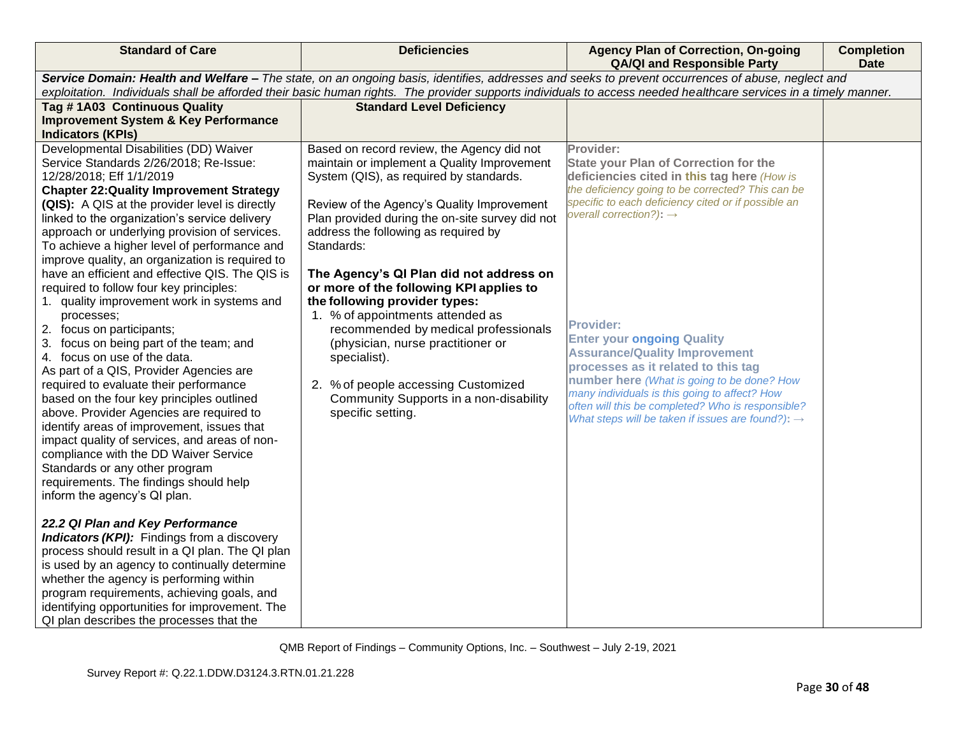| <b>Standard of Care</b>                                                                                                                                                                                                                                                                                                                                                                                                                                                                                                                                                                                                                                                                                                                                                                                                                                                                                                                                                                                                                                                                    | <b>Deficiencies</b>                                                                                                                                                                                                                                                                                                                                                                                                                                                                                                                                                                                                                                       | <b>Agency Plan of Correction, On-going</b><br><b>QA/QI and Responsible Party</b>                                                                                                                                                                                                                                                                                                                                                                                                                                                                                                                                         | <b>Completion</b><br><b>Date</b> |  |
|--------------------------------------------------------------------------------------------------------------------------------------------------------------------------------------------------------------------------------------------------------------------------------------------------------------------------------------------------------------------------------------------------------------------------------------------------------------------------------------------------------------------------------------------------------------------------------------------------------------------------------------------------------------------------------------------------------------------------------------------------------------------------------------------------------------------------------------------------------------------------------------------------------------------------------------------------------------------------------------------------------------------------------------------------------------------------------------------|-----------------------------------------------------------------------------------------------------------------------------------------------------------------------------------------------------------------------------------------------------------------------------------------------------------------------------------------------------------------------------------------------------------------------------------------------------------------------------------------------------------------------------------------------------------------------------------------------------------------------------------------------------------|--------------------------------------------------------------------------------------------------------------------------------------------------------------------------------------------------------------------------------------------------------------------------------------------------------------------------------------------------------------------------------------------------------------------------------------------------------------------------------------------------------------------------------------------------------------------------------------------------------------------------|----------------------------------|--|
|                                                                                                                                                                                                                                                                                                                                                                                                                                                                                                                                                                                                                                                                                                                                                                                                                                                                                                                                                                                                                                                                                            | Service Domain: Health and Welfare - The state, on an ongoing basis, identifies, addresses and seeks to prevent occurrences of abuse, neglect and<br>exploitation. Individuals shall be afforded their basic human rights. The provider supports individuals to access needed healthcare services in a timely manner.                                                                                                                                                                                                                                                                                                                                     |                                                                                                                                                                                                                                                                                                                                                                                                                                                                                                                                                                                                                          |                                  |  |
| Tag #1A03 Continuous Quality                                                                                                                                                                                                                                                                                                                                                                                                                                                                                                                                                                                                                                                                                                                                                                                                                                                                                                                                                                                                                                                               | <b>Standard Level Deficiency</b>                                                                                                                                                                                                                                                                                                                                                                                                                                                                                                                                                                                                                          |                                                                                                                                                                                                                                                                                                                                                                                                                                                                                                                                                                                                                          |                                  |  |
| <b>Improvement System &amp; Key Performance</b>                                                                                                                                                                                                                                                                                                                                                                                                                                                                                                                                                                                                                                                                                                                                                                                                                                                                                                                                                                                                                                            |                                                                                                                                                                                                                                                                                                                                                                                                                                                                                                                                                                                                                                                           |                                                                                                                                                                                                                                                                                                                                                                                                                                                                                                                                                                                                                          |                                  |  |
| <b>Indicators (KPIs)</b>                                                                                                                                                                                                                                                                                                                                                                                                                                                                                                                                                                                                                                                                                                                                                                                                                                                                                                                                                                                                                                                                   |                                                                                                                                                                                                                                                                                                                                                                                                                                                                                                                                                                                                                                                           |                                                                                                                                                                                                                                                                                                                                                                                                                                                                                                                                                                                                                          |                                  |  |
| Developmental Disabilities (DD) Waiver<br>Service Standards 2/26/2018; Re-Issue:<br>12/28/2018; Eff 1/1/2019<br><b>Chapter 22: Quality Improvement Strategy</b><br>(QIS): A QIS at the provider level is directly<br>linked to the organization's service delivery<br>approach or underlying provision of services.<br>To achieve a higher level of performance and<br>improve quality, an organization is required to<br>have an efficient and effective QIS. The QIS is<br>required to follow four key principles:<br>1. quality improvement work in systems and<br>processes;<br>2. focus on participants;<br>3. focus on being part of the team; and<br>4. focus on use of the data.<br>As part of a QIS, Provider Agencies are<br>required to evaluate their performance<br>based on the four key principles outlined<br>above. Provider Agencies are required to<br>identify areas of improvement, issues that<br>impact quality of services, and areas of non-<br>compliance with the DD Waiver Service<br>Standards or any other program<br>requirements. The findings should help | Based on record review, the Agency did not<br>maintain or implement a Quality Improvement<br>System (QIS), as required by standards.<br>Review of the Agency's Quality Improvement<br>Plan provided during the on-site survey did not<br>address the following as required by<br>Standards:<br>The Agency's QI Plan did not address on<br>or more of the following KPI applies to<br>the following provider types:<br>1. % of appointments attended as<br>recommended by medical professionals<br>(physician, nurse practitioner or<br>specialist).<br>2. % of people accessing Customized<br>Community Supports in a non-disability<br>specific setting. | Provider:<br><b>State your Plan of Correction for the</b><br>deficiencies cited in this tag here (How is<br>the deficiency going to be corrected? This can be<br>specific to each deficiency cited or if possible an<br>overall correction?): $\rightarrow$<br><b>Provider:</b><br><b>Enter your ongoing Quality</b><br><b>Assurance/Quality Improvement</b><br>processes as it related to this tag<br>number here (What is going to be done? How<br>many individuals is this going to affect? How<br>often will this be completed? Who is responsible?<br>What steps will be taken if issues are found?): $\rightarrow$ |                                  |  |
| inform the agency's QI plan.                                                                                                                                                                                                                                                                                                                                                                                                                                                                                                                                                                                                                                                                                                                                                                                                                                                                                                                                                                                                                                                               |                                                                                                                                                                                                                                                                                                                                                                                                                                                                                                                                                                                                                                                           |                                                                                                                                                                                                                                                                                                                                                                                                                                                                                                                                                                                                                          |                                  |  |
| 22.2 QI Plan and Key Performance<br><b>Indicators (KPI):</b> Findings from a discovery<br>process should result in a QI plan. The QI plan<br>is used by an agency to continually determine<br>whether the agency is performing within<br>program requirements, achieving goals, and<br>identifying opportunities for improvement. The<br>QI plan describes the processes that the                                                                                                                                                                                                                                                                                                                                                                                                                                                                                                                                                                                                                                                                                                          |                                                                                                                                                                                                                                                                                                                                                                                                                                                                                                                                                                                                                                                           |                                                                                                                                                                                                                                                                                                                                                                                                                                                                                                                                                                                                                          |                                  |  |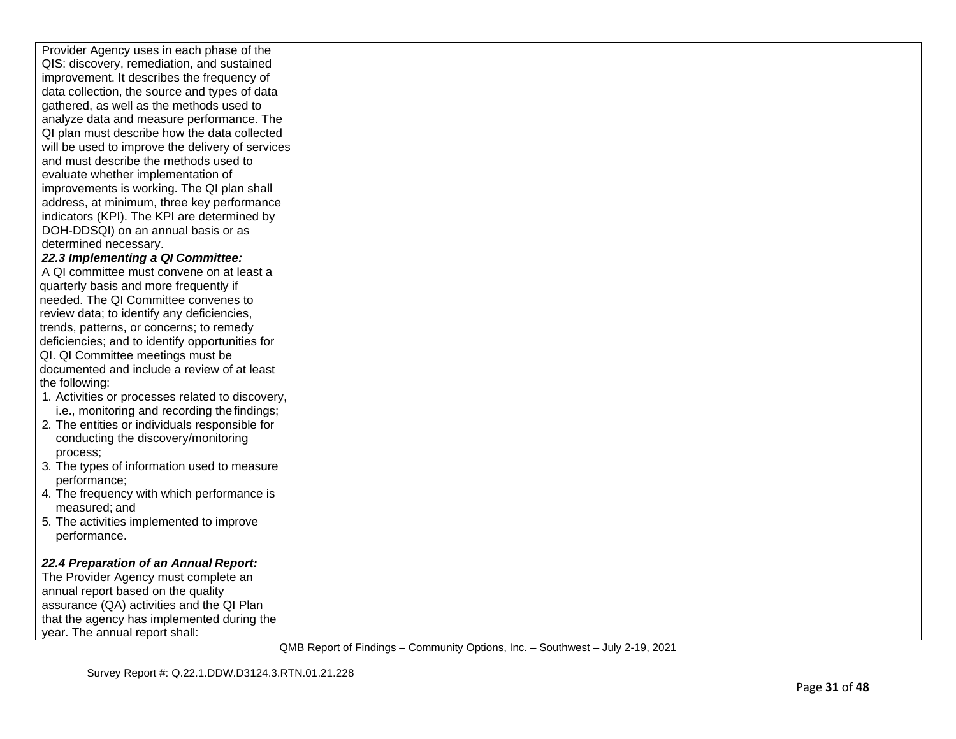| Provider Agency uses in each phase of the        |  |  |
|--------------------------------------------------|--|--|
| QIS: discovery, remediation, and sustained       |  |  |
| improvement. It describes the frequency of       |  |  |
| data collection, the source and types of data    |  |  |
| gathered, as well as the methods used to         |  |  |
| analyze data and measure performance. The        |  |  |
| QI plan must describe how the data collected     |  |  |
| will be used to improve the delivery of services |  |  |
| and must describe the methods used to            |  |  |
| evaluate whether implementation of               |  |  |
| improvements is working. The QI plan shall       |  |  |
| address, at minimum, three key performance       |  |  |
| indicators (KPI). The KPI are determined by      |  |  |
| DOH-DDSQI) on an annual basis or as              |  |  |
| determined necessary.                            |  |  |
| 22.3 Implementing a QI Committee:                |  |  |
| A QI committee must convene on at least a        |  |  |
| quarterly basis and more frequently if           |  |  |
| needed. The QI Committee convenes to             |  |  |
| review data; to identify any deficiencies,       |  |  |
| trends, patterns, or concerns; to remedy         |  |  |
| deficiencies; and to identify opportunities for  |  |  |
| QI. QI Committee meetings must be                |  |  |
| documented and include a review of at least      |  |  |
| the following:                                   |  |  |
| 1. Activities or processes related to discovery, |  |  |
| i.e., monitoring and recording the findings;     |  |  |
| 2. The entities or individuals responsible for   |  |  |
| conducting the discovery/monitoring              |  |  |
| process:                                         |  |  |
| 3. The types of information used to measure      |  |  |
| performance;                                     |  |  |
| 4. The frequency with which performance is       |  |  |
| measured; and                                    |  |  |
| 5. The activities implemented to improve         |  |  |
| performance.                                     |  |  |
|                                                  |  |  |
| 22.4 Preparation of an Annual Report:            |  |  |
| The Provider Agency must complete an             |  |  |
| annual report based on the quality               |  |  |
| assurance (QA) activities and the QI Plan        |  |  |
| that the agency has implemented during the       |  |  |
| year. The annual report shall:                   |  |  |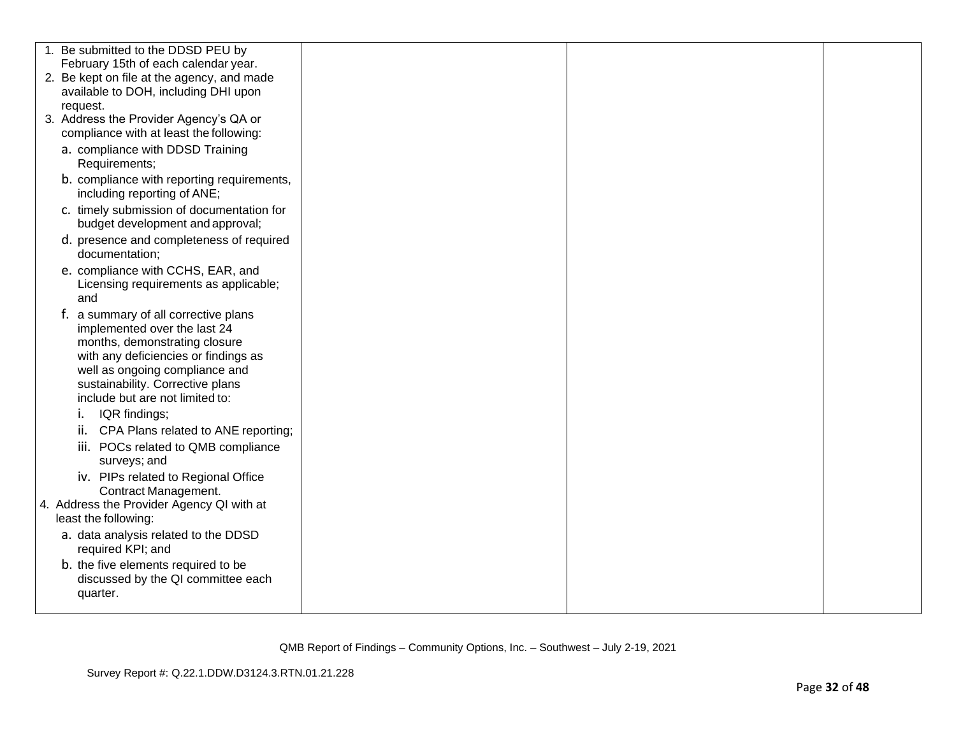| 1. Be submitted to the DDSD PEU by                                                                                                                                                                                                                     |  |  |
|--------------------------------------------------------------------------------------------------------------------------------------------------------------------------------------------------------------------------------------------------------|--|--|
| February 15th of each calendar year.                                                                                                                                                                                                                   |  |  |
| 2. Be kept on file at the agency, and made                                                                                                                                                                                                             |  |  |
| available to DOH, including DHI upon                                                                                                                                                                                                                   |  |  |
| request.                                                                                                                                                                                                                                               |  |  |
| 3. Address the Provider Agency's QA or                                                                                                                                                                                                                 |  |  |
| compliance with at least the following:                                                                                                                                                                                                                |  |  |
| a. compliance with DDSD Training<br>Requirements;                                                                                                                                                                                                      |  |  |
| b. compliance with reporting requirements,<br>including reporting of ANE;                                                                                                                                                                              |  |  |
| c. timely submission of documentation for<br>budget development and approval;                                                                                                                                                                          |  |  |
| d. presence and completeness of required<br>documentation;                                                                                                                                                                                             |  |  |
| e. compliance with CCHS, EAR, and<br>Licensing requirements as applicable;<br>and                                                                                                                                                                      |  |  |
| f. a summary of all corrective plans<br>implemented over the last 24<br>months, demonstrating closure<br>with any deficiencies or findings as<br>well as ongoing compliance and<br>sustainability. Corrective plans<br>include but are not limited to: |  |  |
| IQR findings;<br>Ι.                                                                                                                                                                                                                                    |  |  |
| ii. CPA Plans related to ANE reporting;                                                                                                                                                                                                                |  |  |
| iii. POCs related to QMB compliance<br>surveys; and                                                                                                                                                                                                    |  |  |
| iv. PIPs related to Regional Office<br>Contract Management.                                                                                                                                                                                            |  |  |
| 4. Address the Provider Agency QI with at<br>least the following:                                                                                                                                                                                      |  |  |
| a. data analysis related to the DDSD<br>required KPI; and                                                                                                                                                                                              |  |  |
| b. the five elements required to be<br>discussed by the QI committee each<br>quarter.                                                                                                                                                                  |  |  |
|                                                                                                                                                                                                                                                        |  |  |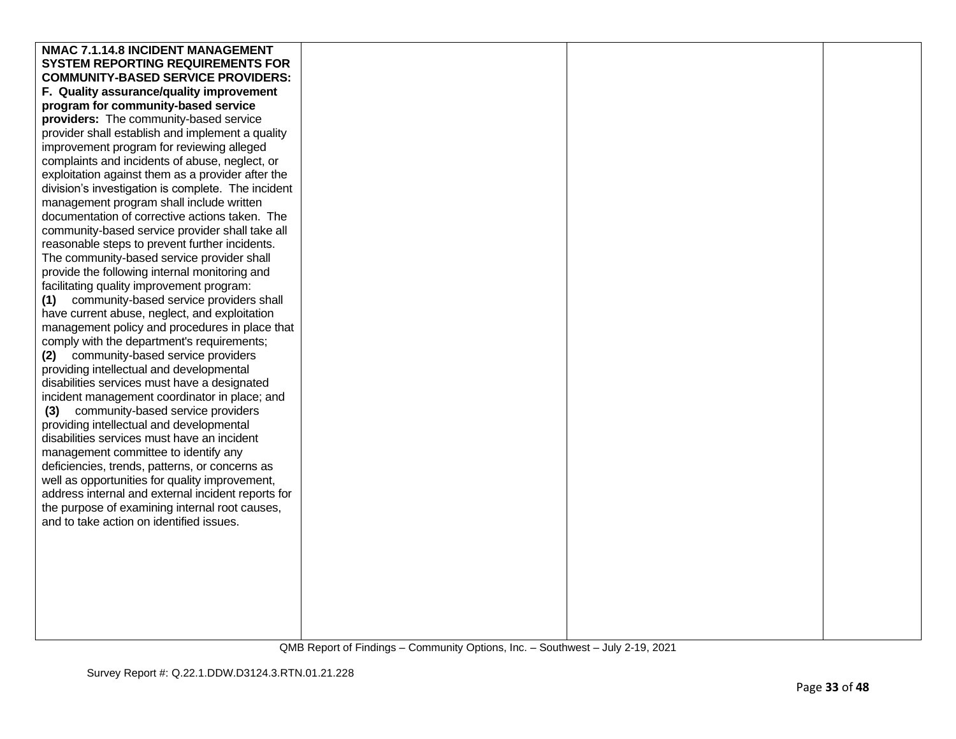| NMAC 7.1.14.8 INCIDENT MANAGEMENT                                                          |  |  |
|--------------------------------------------------------------------------------------------|--|--|
| <b>SYSTEM REPORTING REQUIREMENTS FOR</b>                                                   |  |  |
| <b>COMMUNITY-BASED SERVICE PROVIDERS:</b>                                                  |  |  |
| F. Quality assurance/quality improvement                                                   |  |  |
| program for community-based service                                                        |  |  |
| providers: The community-based service                                                     |  |  |
| provider shall establish and implement a quality                                           |  |  |
| improvement program for reviewing alleged                                                  |  |  |
| complaints and incidents of abuse, neglect, or                                             |  |  |
| exploitation against them as a provider after the                                          |  |  |
| division's investigation is complete. The incident                                         |  |  |
| management program shall include written                                                   |  |  |
| documentation of corrective actions taken. The                                             |  |  |
| community-based service provider shall take all                                            |  |  |
| reasonable steps to prevent further incidents.                                             |  |  |
| The community-based service provider shall                                                 |  |  |
| provide the following internal monitoring and                                              |  |  |
| facilitating quality improvement program:                                                  |  |  |
| community-based service providers shall<br>(1)                                             |  |  |
| have current abuse, neglect, and exploitation                                              |  |  |
| management policy and procedures in place that                                             |  |  |
| comply with the department's requirements;                                                 |  |  |
| (2) community-based service providers                                                      |  |  |
| providing intellectual and developmental                                                   |  |  |
| disabilities services must have a designated                                               |  |  |
| incident management coordinator in place; and                                              |  |  |
| community-based service providers<br>(3)                                                   |  |  |
| providing intellectual and developmental                                                   |  |  |
| disabilities services must have an incident                                                |  |  |
| management committee to identify any                                                       |  |  |
| deficiencies, trends, patterns, or concerns as                                             |  |  |
| well as opportunities for quality improvement,                                             |  |  |
| address internal and external incident reports for                                         |  |  |
| the purpose of examining internal root causes,<br>and to take action on identified issues. |  |  |
|                                                                                            |  |  |
|                                                                                            |  |  |
|                                                                                            |  |  |
|                                                                                            |  |  |
|                                                                                            |  |  |
|                                                                                            |  |  |
|                                                                                            |  |  |
|                                                                                            |  |  |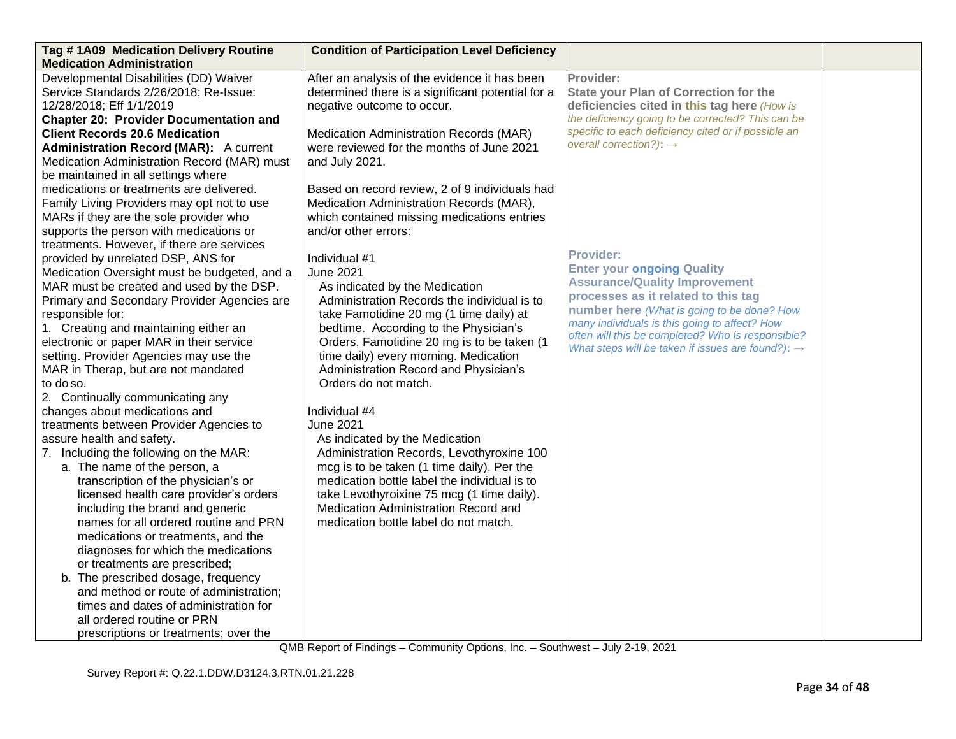| Tag #1A09 Medication Delivery Routine                                            | <b>Condition of Participation Level Deficiency</b> |                                                                                            |  |
|----------------------------------------------------------------------------------|----------------------------------------------------|--------------------------------------------------------------------------------------------|--|
| <b>Medication Administration</b>                                                 |                                                    |                                                                                            |  |
| Developmental Disabilities (DD) Waiver                                           | After an analysis of the evidence it has been      | Provider:                                                                                  |  |
| Service Standards 2/26/2018; Re-Issue:                                           | determined there is a significant potential for a  | <b>State your Plan of Correction for the</b>                                               |  |
| 12/28/2018; Eff 1/1/2019                                                         | negative outcome to occur.                         | deficiencies cited in this tag here (How is                                                |  |
| <b>Chapter 20: Provider Documentation and</b>                                    |                                                    | the deficiency going to be corrected? This can be                                          |  |
| <b>Client Records 20.6 Medication</b>                                            | Medication Administration Records (MAR)            | specific to each deficiency cited or if possible an<br>overall correction?): $\rightarrow$ |  |
| <b>Administration Record (MAR):</b> A current                                    | were reviewed for the months of June 2021          |                                                                                            |  |
| Medication Administration Record (MAR) must                                      | and July 2021.                                     |                                                                                            |  |
| be maintained in all settings where                                              |                                                    |                                                                                            |  |
| medications or treatments are delivered.                                         | Based on record review, 2 of 9 individuals had     |                                                                                            |  |
| Family Living Providers may opt not to use                                       | Medication Administration Records (MAR),           |                                                                                            |  |
| MARs if they are the sole provider who                                           | which contained missing medications entries        |                                                                                            |  |
| supports the person with medications or                                          | and/or other errors:                               |                                                                                            |  |
| treatments. However, if there are services<br>provided by unrelated DSP, ANS for | Individual #1                                      | <b>Provider:</b>                                                                           |  |
| Medication Oversight must be budgeted, and a                                     | <b>June 2021</b>                                   | <b>Enter your ongoing Quality</b>                                                          |  |
| MAR must be created and used by the DSP.                                         | As indicated by the Medication                     | <b>Assurance/Quality Improvement</b>                                                       |  |
| Primary and Secondary Provider Agencies are                                      | Administration Records the individual is to        | processes as it related to this tag                                                        |  |
| responsible for:                                                                 | take Famotidine 20 mg (1 time daily) at            | number here (What is going to be done? How                                                 |  |
| 1. Creating and maintaining either an                                            | bedtime. According to the Physician's              | many individuals is this going to affect? How                                              |  |
| electronic or paper MAR in their service                                         | Orders, Famotidine 20 mg is to be taken (1         | often will this be completed? Who is responsible?                                          |  |
| setting. Provider Agencies may use the                                           | time daily) every morning. Medication              | What steps will be taken if issues are found?): $\rightarrow$                              |  |
| MAR in Therap, but are not mandated                                              | Administration Record and Physician's              |                                                                                            |  |
| to do so.                                                                        | Orders do not match.                               |                                                                                            |  |
| 2. Continually communicating any                                                 |                                                    |                                                                                            |  |
| changes about medications and                                                    | Individual #4                                      |                                                                                            |  |
| treatments between Provider Agencies to                                          | <b>June 2021</b>                                   |                                                                                            |  |
| assure health and safety.                                                        | As indicated by the Medication                     |                                                                                            |  |
| 7. Including the following on the MAR:                                           | Administration Records, Levothyroxine 100          |                                                                                            |  |
| a. The name of the person, a                                                     | mcg is to be taken (1 time daily). Per the         |                                                                                            |  |
| transcription of the physician's or                                              | medication bottle label the individual is to       |                                                                                            |  |
| licensed health care provider's orders                                           | take Levothyroixine 75 mcg (1 time daily).         |                                                                                            |  |
| including the brand and generic                                                  | Medication Administration Record and               |                                                                                            |  |
| names for all ordered routine and PRN                                            | medication bottle label do not match.              |                                                                                            |  |
| medications or treatments, and the                                               |                                                    |                                                                                            |  |
| diagnoses for which the medications                                              |                                                    |                                                                                            |  |
| or treatments are prescribed;                                                    |                                                    |                                                                                            |  |
| b. The prescribed dosage, frequency                                              |                                                    |                                                                                            |  |
| and method or route of administration;                                           |                                                    |                                                                                            |  |
| times and dates of administration for                                            |                                                    |                                                                                            |  |
| all ordered routine or PRN                                                       |                                                    |                                                                                            |  |
| prescriptions or treatments; over the                                            |                                                    |                                                                                            |  |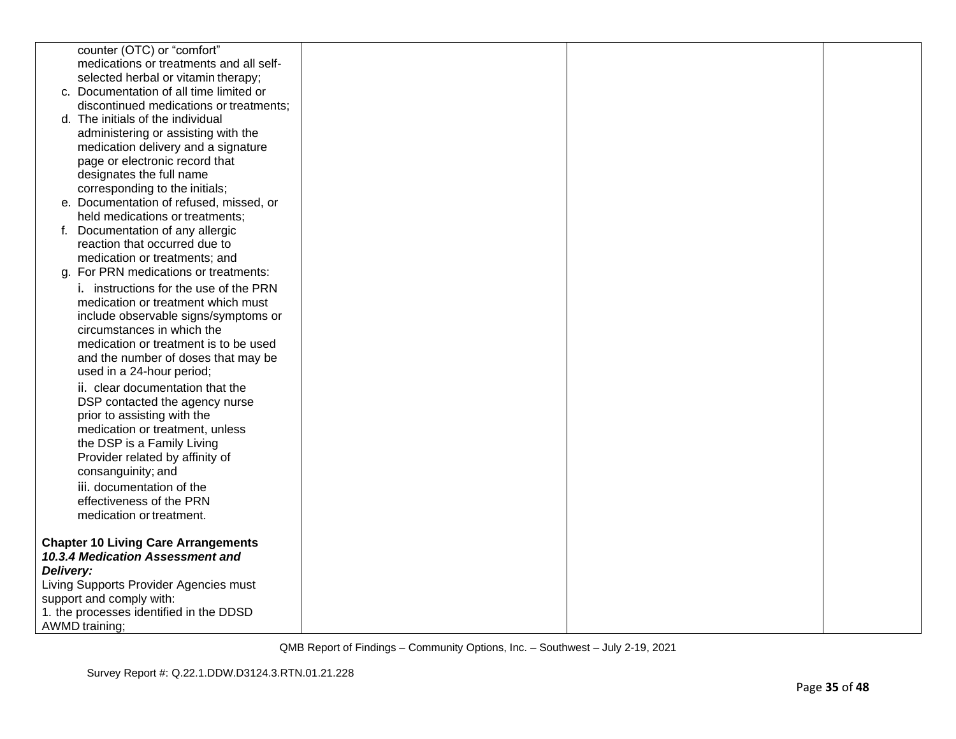|           | counter (OTC) or "comfort"                                          |  |  |
|-----------|---------------------------------------------------------------------|--|--|
|           | medications or treatments and all self-                             |  |  |
|           | selected herbal or vitamin therapy;                                 |  |  |
|           | c. Documentation of all time limited or                             |  |  |
|           | discontinued medications or treatments;                             |  |  |
|           | d. The initials of the individual                                   |  |  |
|           | administering or assisting with the                                 |  |  |
|           | medication delivery and a signature                                 |  |  |
|           | page or electronic record that                                      |  |  |
|           | designates the full name                                            |  |  |
|           | corresponding to the initials;                                      |  |  |
|           | e. Documentation of refused, missed, or                             |  |  |
|           | held medications or treatments;                                     |  |  |
|           | f. Documentation of any allergic                                    |  |  |
|           | reaction that occurred due to                                       |  |  |
|           | medication or treatments; and                                       |  |  |
|           | g. For PRN medications or treatments:                               |  |  |
|           | i. instructions for the use of the PRN                              |  |  |
|           | medication or treatment which must                                  |  |  |
|           | include observable signs/symptoms or                                |  |  |
|           | circumstances in which the<br>medication or treatment is to be used |  |  |
|           |                                                                     |  |  |
|           | and the number of doses that may be<br>used in a 24-hour period;    |  |  |
|           |                                                                     |  |  |
|           | ii. clear documentation that the                                    |  |  |
|           | DSP contacted the agency nurse<br>prior to assisting with the       |  |  |
|           | medication or treatment, unless                                     |  |  |
|           | the DSP is a Family Living                                          |  |  |
|           | Provider related by affinity of                                     |  |  |
|           | consanguinity; and                                                  |  |  |
|           | iii. documentation of the                                           |  |  |
|           | effectiveness of the PRN                                            |  |  |
|           | medication or treatment.                                            |  |  |
|           |                                                                     |  |  |
|           | <b>Chapter 10 Living Care Arrangements</b>                          |  |  |
|           | 10.3.4 Medication Assessment and                                    |  |  |
| Delivery: |                                                                     |  |  |
|           | Living Supports Provider Agencies must                              |  |  |
|           | support and comply with:                                            |  |  |
|           | 1. the processes identified in the DDSD                             |  |  |
|           | AWMD training;                                                      |  |  |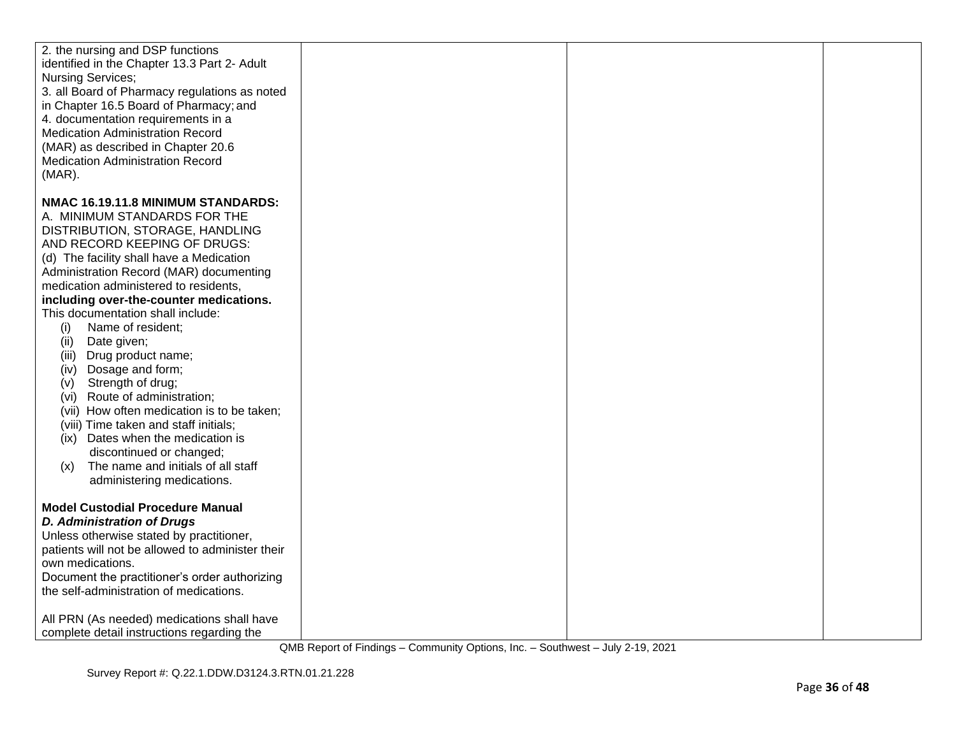| 2. the nursing and DSP functions<br>identified in the Chapter 13.3 Part 2- Adult<br>Nursing Services;<br>3. all Board of Pharmacy regulations as noted<br>in Chapter 16.5 Board of Pharmacy; and<br>4. documentation requirements in a<br><b>Medication Administration Record</b><br>(MAR) as described in Chapter 20.6<br>Medication Administration Record<br>$(MAR)$ .                                                                                                                                                                                                                                                                                                                                                                                      |  |  |
|---------------------------------------------------------------------------------------------------------------------------------------------------------------------------------------------------------------------------------------------------------------------------------------------------------------------------------------------------------------------------------------------------------------------------------------------------------------------------------------------------------------------------------------------------------------------------------------------------------------------------------------------------------------------------------------------------------------------------------------------------------------|--|--|
| NMAC 16.19.11.8 MINIMUM STANDARDS:<br>A. MINIMUM STANDARDS FOR THE<br>DISTRIBUTION, STORAGE, HANDLING<br>AND RECORD KEEPING OF DRUGS:<br>(d) The facility shall have a Medication<br>Administration Record (MAR) documenting<br>medication administered to residents,<br>including over-the-counter medications.<br>This documentation shall include:<br>Name of resident;<br>(i)<br>Date given;<br>(ii)<br>(iii) Drug product name;<br>(iv) Dosage and form;<br>(v) Strength of drug;<br>(vi) Route of administration;<br>(vii) How often medication is to be taken;<br>(viii) Time taken and staff initials;<br>Dates when the medication is<br>(ix)<br>discontinued or changed;<br>The name and initials of all staff<br>(x)<br>administering medications. |  |  |
| <b>Model Custodial Procedure Manual</b><br><b>D. Administration of Drugs</b><br>Unless otherwise stated by practitioner,<br>patients will not be allowed to administer their<br>own medications.<br>Document the practitioner's order authorizing<br>the self-administration of medications.<br>All PRN (As needed) medications shall have<br>complete detail instructions regarding the                                                                                                                                                                                                                                                                                                                                                                      |  |  |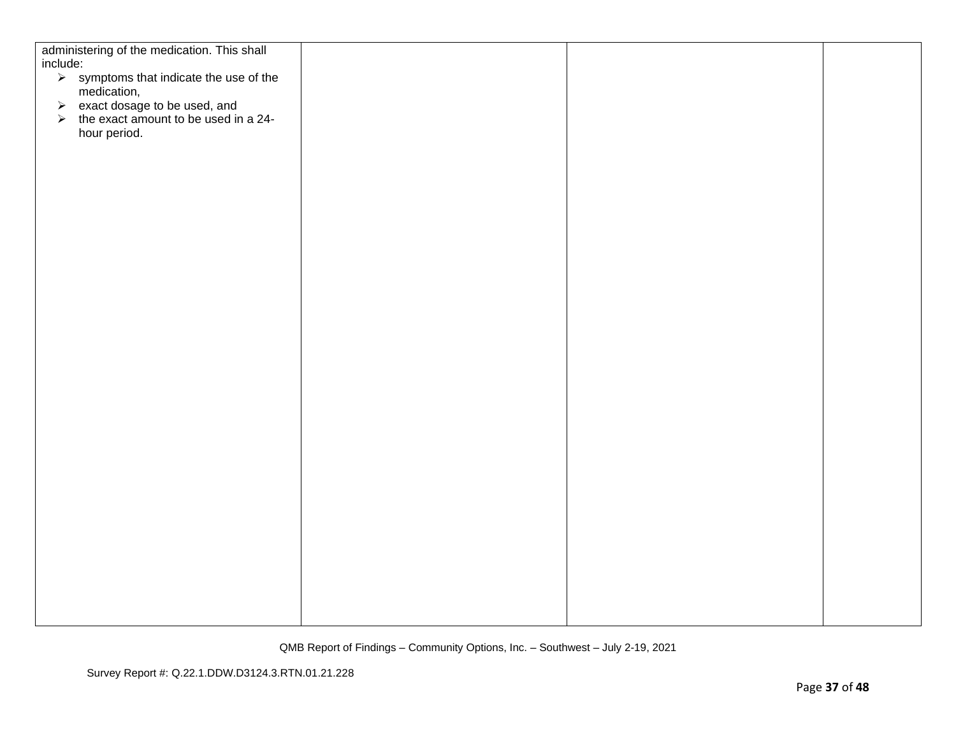| administering of the medication. This shall                                                            |  |  |
|--------------------------------------------------------------------------------------------------------|--|--|
| include:                                                                                               |  |  |
| $\triangleright$ symptoms that indicate the use of the                                                 |  |  |
| medication,                                                                                            |  |  |
| $\triangleright$ exact dosage to be used, and<br>$\triangleright$ the exact amount to be used in a 24- |  |  |
|                                                                                                        |  |  |
| hour period.                                                                                           |  |  |
|                                                                                                        |  |  |
|                                                                                                        |  |  |
|                                                                                                        |  |  |
|                                                                                                        |  |  |
|                                                                                                        |  |  |
|                                                                                                        |  |  |
|                                                                                                        |  |  |
|                                                                                                        |  |  |
|                                                                                                        |  |  |
|                                                                                                        |  |  |
|                                                                                                        |  |  |
|                                                                                                        |  |  |
|                                                                                                        |  |  |
|                                                                                                        |  |  |
|                                                                                                        |  |  |
|                                                                                                        |  |  |
|                                                                                                        |  |  |
|                                                                                                        |  |  |
|                                                                                                        |  |  |
|                                                                                                        |  |  |
|                                                                                                        |  |  |
|                                                                                                        |  |  |
|                                                                                                        |  |  |
|                                                                                                        |  |  |
|                                                                                                        |  |  |
|                                                                                                        |  |  |
|                                                                                                        |  |  |
|                                                                                                        |  |  |
|                                                                                                        |  |  |
|                                                                                                        |  |  |
|                                                                                                        |  |  |
|                                                                                                        |  |  |
|                                                                                                        |  |  |
|                                                                                                        |  |  |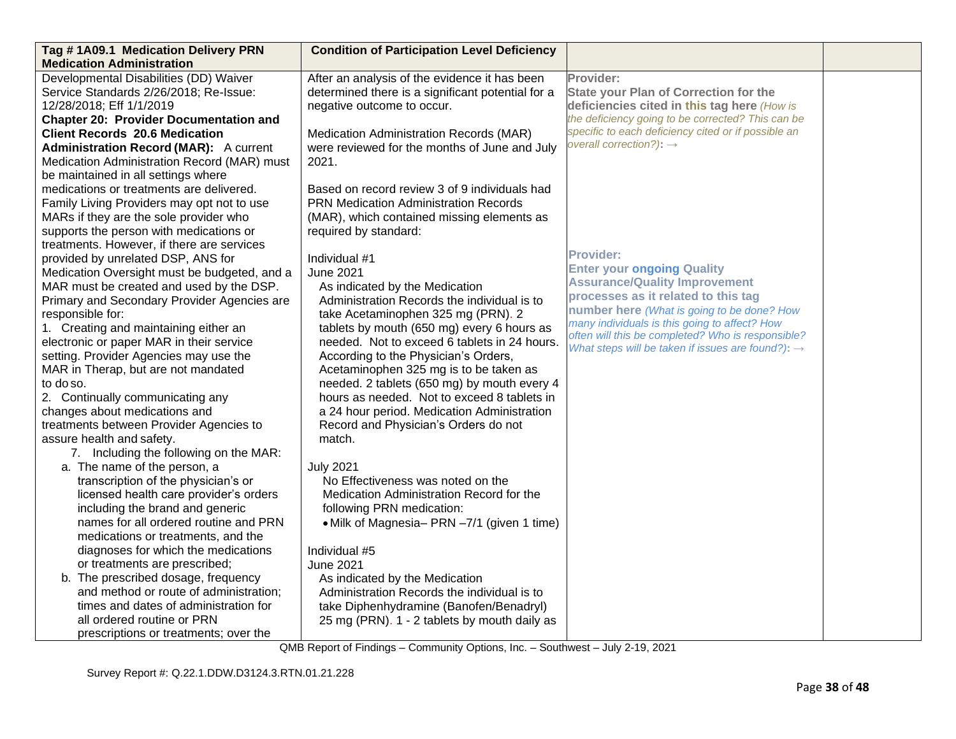| Tag #1A09.1 Medication Delivery PRN           | <b>Condition of Participation Level Deficiency</b> |                                                                                                    |  |
|-----------------------------------------------|----------------------------------------------------|----------------------------------------------------------------------------------------------------|--|
| <b>Medication Administration</b>              |                                                    |                                                                                                    |  |
| Developmental Disabilities (DD) Waiver        | After an analysis of the evidence it has been      | Provider:                                                                                          |  |
| Service Standards 2/26/2018; Re-Issue:        | determined there is a significant potential for a  | <b>State your Plan of Correction for the</b>                                                       |  |
| 12/28/2018; Eff 1/1/2019                      | negative outcome to occur.                         | deficiencies cited in this tag here (How is                                                        |  |
| <b>Chapter 20: Provider Documentation and</b> |                                                    | the deficiency going to be corrected? This can be                                                  |  |
| <b>Client Records 20.6 Medication</b>         | Medication Administration Records (MAR)            | specific to each deficiency cited or if possible an                                                |  |
| <b>Administration Record (MAR):</b> A current | were reviewed for the months of June and July      | overall correction?): $\rightarrow$                                                                |  |
| Medication Administration Record (MAR) must   | 2021.                                              |                                                                                                    |  |
| be maintained in all settings where           |                                                    |                                                                                                    |  |
| medications or treatments are delivered.      | Based on record review 3 of 9 individuals had      |                                                                                                    |  |
| Family Living Providers may opt not to use    | <b>PRN Medication Administration Records</b>       |                                                                                                    |  |
| MARs if they are the sole provider who        | (MAR), which contained missing elements as         |                                                                                                    |  |
| supports the person with medications or       | required by standard:                              |                                                                                                    |  |
| treatments. However, if there are services    |                                                    |                                                                                                    |  |
| provided by unrelated DSP, ANS for            | Individual #1                                      | <b>Provider:</b>                                                                                   |  |
| Medication Oversight must be budgeted, and a  | <b>June 2021</b>                                   | <b>Enter your ongoing Quality</b>                                                                  |  |
| MAR must be created and used by the DSP.      | As indicated by the Medication                     | <b>Assurance/Quality Improvement</b>                                                               |  |
| Primary and Secondary Provider Agencies are   | Administration Records the individual is to        | processes as it related to this tag                                                                |  |
| responsible for:                              | take Acetaminophen 325 mg (PRN). 2                 | number here (What is going to be done? How                                                         |  |
| 1. Creating and maintaining either an         | tablets by mouth (650 mg) every 6 hours as         | many individuals is this going to affect? How<br>often will this be completed? Who is responsible? |  |
| electronic or paper MAR in their service      | needed. Not to exceed 6 tablets in 24 hours.       | What steps will be taken if issues are found?): $\rightarrow$                                      |  |
| setting. Provider Agencies may use the        | According to the Physician's Orders,               |                                                                                                    |  |
| MAR in Therap, but are not mandated           | Acetaminophen 325 mg is to be taken as             |                                                                                                    |  |
| to do so.                                     | needed. 2 tablets (650 mg) by mouth every 4        |                                                                                                    |  |
| 2. Continually communicating any              | hours as needed. Not to exceed 8 tablets in        |                                                                                                    |  |
| changes about medications and                 | a 24 hour period. Medication Administration        |                                                                                                    |  |
| treatments between Provider Agencies to       | Record and Physician's Orders do not               |                                                                                                    |  |
| assure health and safety.                     | match.                                             |                                                                                                    |  |
| 7. Including the following on the MAR:        |                                                    |                                                                                                    |  |
| a. The name of the person, a                  | <b>July 2021</b>                                   |                                                                                                    |  |
| transcription of the physician's or           | No Effectiveness was noted on the                  |                                                                                                    |  |
| licensed health care provider's orders        | Medication Administration Record for the           |                                                                                                    |  |
| including the brand and generic               | following PRN medication:                          |                                                                                                    |  |
| names for all ordered routine and PRN         | • Milk of Magnesia - PRN -7/1 (given 1 time)       |                                                                                                    |  |
| medications or treatments, and the            |                                                    |                                                                                                    |  |
| diagnoses for which the medications           | Individual #5                                      |                                                                                                    |  |
| or treatments are prescribed;                 | <b>June 2021</b>                                   |                                                                                                    |  |
| b. The prescribed dosage, frequency           | As indicated by the Medication                     |                                                                                                    |  |
| and method or route of administration;        | Administration Records the individual is to        |                                                                                                    |  |
| times and dates of administration for         | take Diphenhydramine (Banofen/Benadryl)            |                                                                                                    |  |
| all ordered routine or PRN                    | 25 mg (PRN). 1 - 2 tablets by mouth daily as       |                                                                                                    |  |
| prescriptions or treatments; over the         |                                                    |                                                                                                    |  |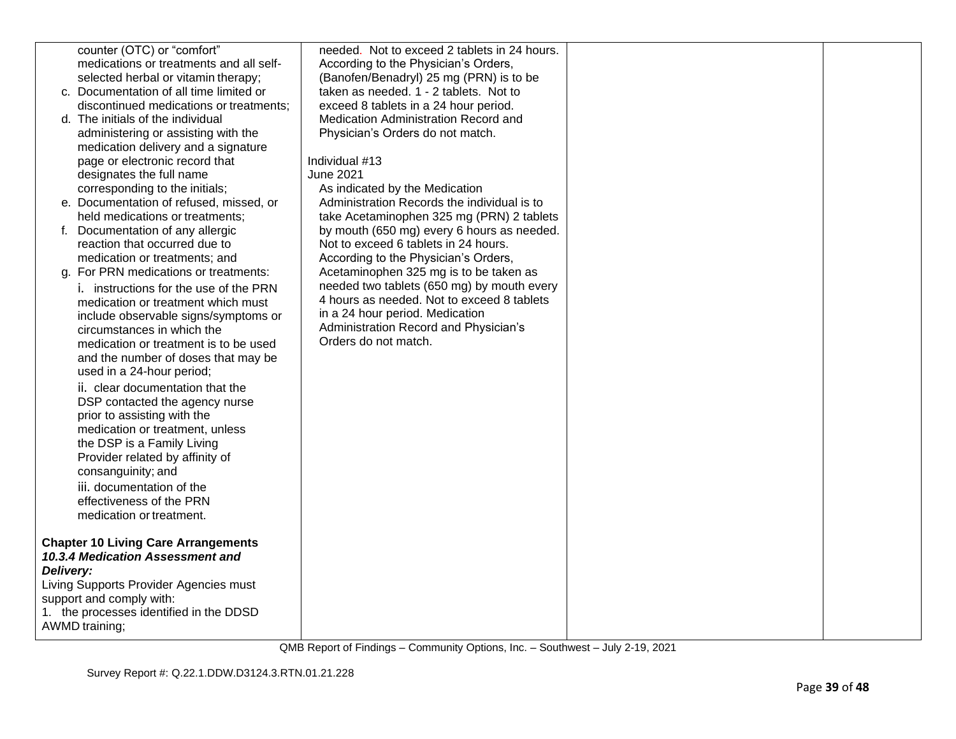|           | counter (OTC) or "comfort"                 | needed. Not to exceed 2 tablets in 24 hours. |  |
|-----------|--------------------------------------------|----------------------------------------------|--|
|           | medications or treatments and all self-    | According to the Physician's Orders,         |  |
|           | selected herbal or vitamin therapy;        | (Banofen/Benadryl) 25 mg (PRN) is to be      |  |
|           | c. Documentation of all time limited or    | taken as needed. 1 - 2 tablets. Not to       |  |
|           | discontinued medications or treatments;    |                                              |  |
|           |                                            | exceed 8 tablets in a 24 hour period.        |  |
|           | d. The initials of the individual          | Medication Administration Record and         |  |
|           | administering or assisting with the        | Physician's Orders do not match.             |  |
|           | medication delivery and a signature        |                                              |  |
|           | page or electronic record that             | Individual #13                               |  |
|           | designates the full name                   | <b>June 2021</b>                             |  |
|           | corresponding to the initials;             | As indicated by the Medication               |  |
|           | e. Documentation of refused, missed, or    | Administration Records the individual is to  |  |
|           | held medications or treatments;            | take Acetaminophen 325 mg (PRN) 2 tablets    |  |
| f.        | Documentation of any allergic              | by mouth (650 mg) every 6 hours as needed.   |  |
|           | reaction that occurred due to              | Not to exceed 6 tablets in 24 hours.         |  |
|           | medication or treatments; and              | According to the Physician's Orders,         |  |
|           | g. For PRN medications or treatments:      | Acetaminophen 325 mg is to be taken as       |  |
|           | i. instructions for the use of the PRN     | needed two tablets (650 mg) by mouth every   |  |
|           | medication or treatment which must         | 4 hours as needed. Not to exceed 8 tablets   |  |
|           | include observable signs/symptoms or       | in a 24 hour period. Medication              |  |
|           | circumstances in which the                 | Administration Record and Physician's        |  |
|           | medication or treatment is to be used      | Orders do not match.                         |  |
|           | and the number of doses that may be        |                                              |  |
|           | used in a 24-hour period;                  |                                              |  |
|           |                                            |                                              |  |
|           | ii. clear documentation that the           |                                              |  |
|           | DSP contacted the agency nurse             |                                              |  |
|           | prior to assisting with the                |                                              |  |
|           | medication or treatment, unless            |                                              |  |
|           | the DSP is a Family Living                 |                                              |  |
|           | Provider related by affinity of            |                                              |  |
|           | consanguinity; and                         |                                              |  |
|           | iii. documentation of the                  |                                              |  |
|           | effectiveness of the PRN                   |                                              |  |
|           | medication or treatment.                   |                                              |  |
|           |                                            |                                              |  |
|           | <b>Chapter 10 Living Care Arrangements</b> |                                              |  |
|           | 10.3.4 Medication Assessment and           |                                              |  |
| Delivery: |                                            |                                              |  |
|           | Living Supports Provider Agencies must     |                                              |  |
|           | support and comply with:                   |                                              |  |
|           | 1. the processes identified in the DDSD    |                                              |  |
|           | AWMD training;                             |                                              |  |
|           |                                            |                                              |  |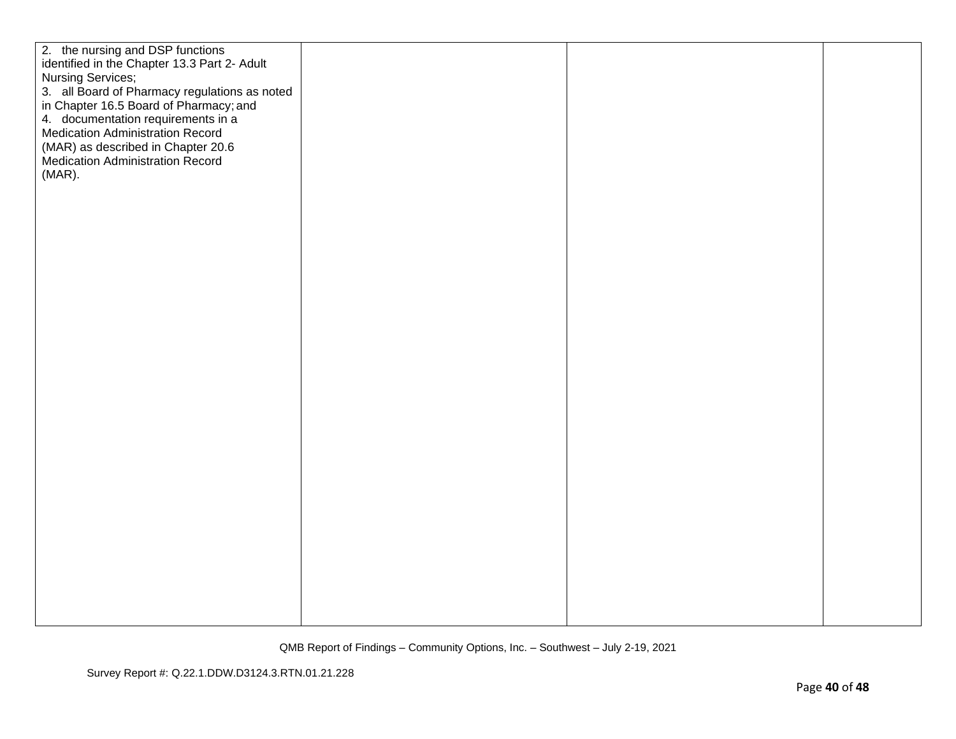| 2. the nursing and DSP functions              |  |  |
|-----------------------------------------------|--|--|
| identified in the Chapter 13.3 Part 2- Adult  |  |  |
| <b>Nursing Services;</b>                      |  |  |
|                                               |  |  |
| 3. all Board of Pharmacy regulations as noted |  |  |
| in Chapter 16.5 Board of Pharmacy; and        |  |  |
| 4. documentation requirements in a            |  |  |
| <b>Medication Administration Record</b>       |  |  |
| (MAR) as described in Chapter 20.6            |  |  |
| Medication Administration Record              |  |  |
| $(MAR)$ .                                     |  |  |
|                                               |  |  |
|                                               |  |  |
|                                               |  |  |
|                                               |  |  |
|                                               |  |  |
|                                               |  |  |
|                                               |  |  |
|                                               |  |  |
|                                               |  |  |
|                                               |  |  |
|                                               |  |  |
|                                               |  |  |
|                                               |  |  |
|                                               |  |  |
|                                               |  |  |
|                                               |  |  |
|                                               |  |  |
|                                               |  |  |
|                                               |  |  |
|                                               |  |  |
|                                               |  |  |
|                                               |  |  |
|                                               |  |  |
|                                               |  |  |
|                                               |  |  |
|                                               |  |  |
|                                               |  |  |
|                                               |  |  |
|                                               |  |  |
|                                               |  |  |
|                                               |  |  |
|                                               |  |  |
|                                               |  |  |
|                                               |  |  |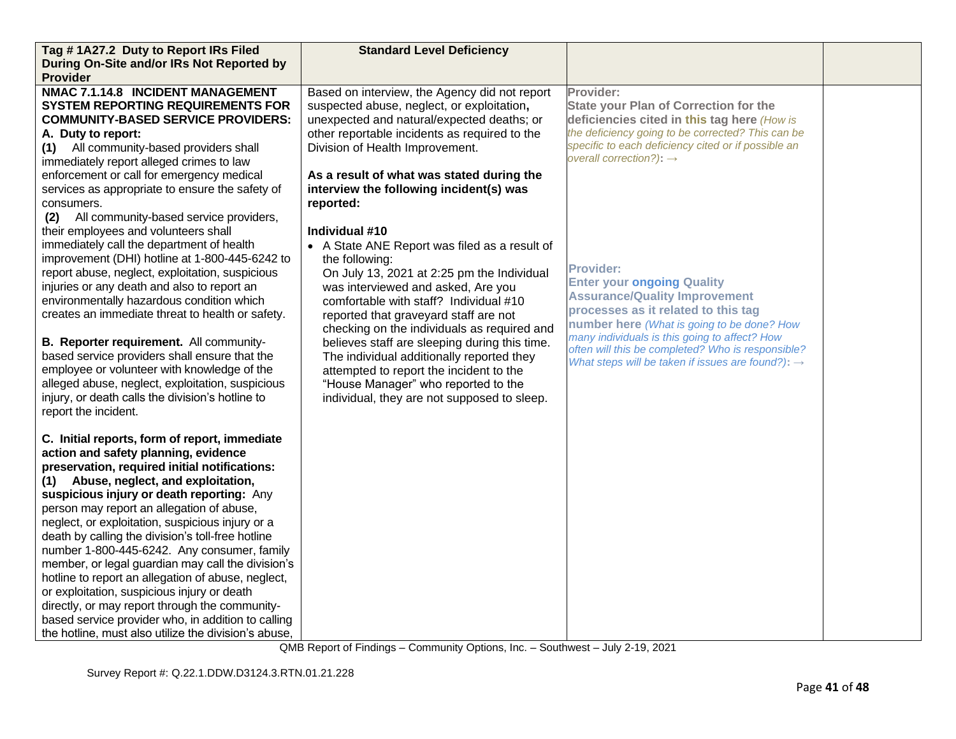| Tag #1A27.2 Duty to Report IRs Filed                                                                                                                                                                                                                                                                                                                                                                                                                                                                                                                                                                                                                                                                                                                        | <b>Standard Level Deficiency</b>                                                                                                                                                                                                                                                                                                                                                                                                                                                                                                       |                                                                                                                                                                                                                                                                                                                                                           |  |
|-------------------------------------------------------------------------------------------------------------------------------------------------------------------------------------------------------------------------------------------------------------------------------------------------------------------------------------------------------------------------------------------------------------------------------------------------------------------------------------------------------------------------------------------------------------------------------------------------------------------------------------------------------------------------------------------------------------------------------------------------------------|----------------------------------------------------------------------------------------------------------------------------------------------------------------------------------------------------------------------------------------------------------------------------------------------------------------------------------------------------------------------------------------------------------------------------------------------------------------------------------------------------------------------------------------|-----------------------------------------------------------------------------------------------------------------------------------------------------------------------------------------------------------------------------------------------------------------------------------------------------------------------------------------------------------|--|
| During On-Site and/or IRs Not Reported by                                                                                                                                                                                                                                                                                                                                                                                                                                                                                                                                                                                                                                                                                                                   |                                                                                                                                                                                                                                                                                                                                                                                                                                                                                                                                        |                                                                                                                                                                                                                                                                                                                                                           |  |
| <b>Provider</b>                                                                                                                                                                                                                                                                                                                                                                                                                                                                                                                                                                                                                                                                                                                                             |                                                                                                                                                                                                                                                                                                                                                                                                                                                                                                                                        |                                                                                                                                                                                                                                                                                                                                                           |  |
| NMAC 7.1.14.8 INCIDENT MANAGEMENT<br><b>SYSTEM REPORTING REQUIREMENTS FOR</b><br><b>COMMUNITY-BASED SERVICE PROVIDERS:</b><br>A. Duty to report:<br>All community-based providers shall<br>(1)<br>immediately report alleged crimes to law                                                                                                                                                                                                                                                                                                                                                                                                                                                                                                                  | Based on interview, the Agency did not report<br>suspected abuse, neglect, or exploitation,<br>unexpected and natural/expected deaths; or<br>other reportable incidents as required to the<br>Division of Health Improvement.                                                                                                                                                                                                                                                                                                          | Provider:<br><b>State your Plan of Correction for the</b><br>deficiencies cited in this tag here (How is<br>the deficiency going to be corrected? This can be<br>specific to each deficiency cited or if possible an<br>overall correction?): $\rightarrow$                                                                                               |  |
| enforcement or call for emergency medical<br>services as appropriate to ensure the safety of<br>consumers.<br>All community-based service providers,<br>(2)                                                                                                                                                                                                                                                                                                                                                                                                                                                                                                                                                                                                 | As a result of what was stated during the<br>interview the following incident(s) was<br>reported:                                                                                                                                                                                                                                                                                                                                                                                                                                      |                                                                                                                                                                                                                                                                                                                                                           |  |
| their employees and volunteers shall<br>immediately call the department of health<br>improvement (DHI) hotline at 1-800-445-6242 to<br>report abuse, neglect, exploitation, suspicious<br>injuries or any death and also to report an<br>environmentally hazardous condition which<br>creates an immediate threat to health or safety.<br>B. Reporter requirement. All community-<br>based service providers shall ensure that the<br>employee or volunteer with knowledge of the<br>alleged abuse, neglect, exploitation, suspicious<br>injury, or death calls the division's hotline to<br>report the incident.                                                                                                                                           | Individual #10<br>• A State ANE Report was filed as a result of<br>the following:<br>On July 13, 2021 at 2:25 pm the Individual<br>was interviewed and asked, Are you<br>comfortable with staff? Individual #10<br>reported that graveyard staff are not<br>checking on the individuals as required and<br>believes staff are sleeping during this time.<br>The individual additionally reported they<br>attempted to report the incident to the<br>"House Manager" who reported to the<br>individual, they are not supposed to sleep. | <b>Provider:</b><br><b>Enter your ongoing Quality</b><br><b>Assurance/Quality Improvement</b><br>processes as it related to this tag<br>number here (What is going to be done? How<br>many individuals is this going to affect? How<br>often will this be completed? Who is responsible?<br>What steps will be taken if issues are found?): $\rightarrow$ |  |
| C. Initial reports, form of report, immediate<br>action and safety planning, evidence<br>preservation, required initial notifications:<br>(1) Abuse, neglect, and exploitation,<br>suspicious injury or death reporting: Any<br>person may report an allegation of abuse,<br>neglect, or exploitation, suspicious injury or a<br>death by calling the division's toll-free hotline<br>number 1-800-445-6242. Any consumer, family<br>member, or legal guardian may call the division's<br>hotline to report an allegation of abuse, neglect,<br>or exploitation, suspicious injury or death<br>directly, or may report through the community-<br>based service provider who, in addition to calling<br>the hotline, must also utilize the division's abuse, |                                                                                                                                                                                                                                                                                                                                                                                                                                                                                                                                        |                                                                                                                                                                                                                                                                                                                                                           |  |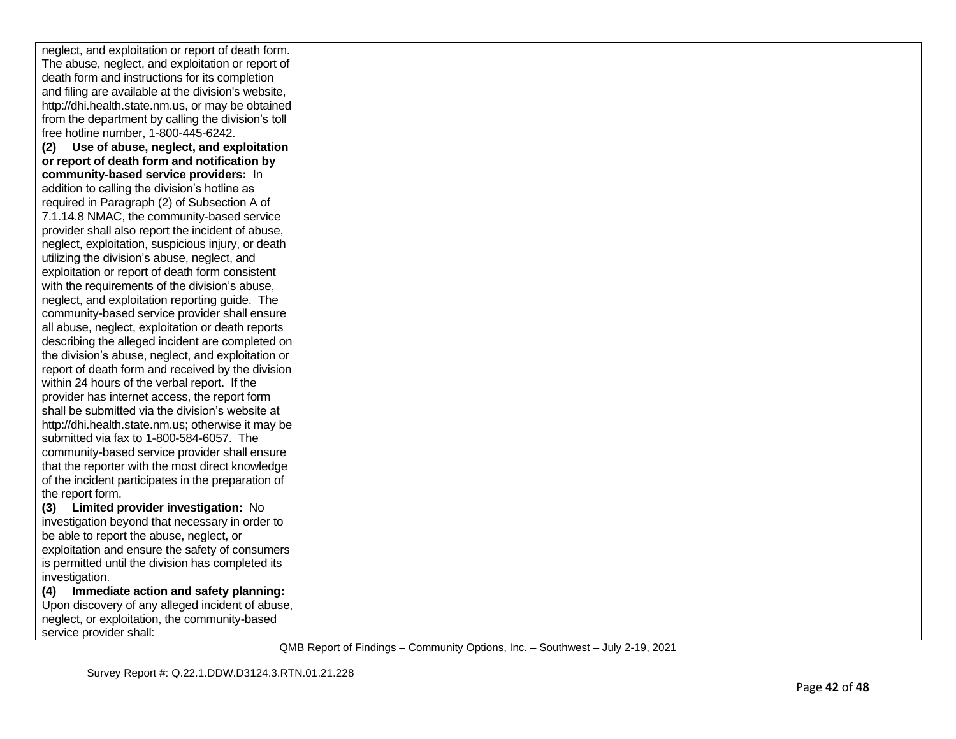| neglect, and exploitation or report of death form.  |  |  |
|-----------------------------------------------------|--|--|
| The abuse, neglect, and exploitation or report of   |  |  |
| death form and instructions for its completion      |  |  |
| and filing are available at the division's website, |  |  |
| http://dhi.health.state.nm.us, or may be obtained   |  |  |
| from the department by calling the division's toll  |  |  |
| free hotline number, 1-800-445-6242.                |  |  |
| Use of abuse, neglect, and exploitation<br>(2)      |  |  |
| or report of death form and notification by         |  |  |
| community-based service providers: In               |  |  |
| addition to calling the division's hotline as       |  |  |
| required in Paragraph (2) of Subsection A of        |  |  |
| 7.1.14.8 NMAC, the community-based service          |  |  |
| provider shall also report the incident of abuse,   |  |  |
| neglect, exploitation, suspicious injury, or death  |  |  |
| utilizing the division's abuse, neglect, and        |  |  |
| exploitation or report of death form consistent     |  |  |
| with the requirements of the division's abuse,      |  |  |
| neglect, and exploitation reporting guide. The      |  |  |
| community-based service provider shall ensure       |  |  |
| all abuse, neglect, exploitation or death reports   |  |  |
| describing the alleged incident are completed on    |  |  |
| the division's abuse, neglect, and exploitation or  |  |  |
| report of death form and received by the division   |  |  |
| within 24 hours of the verbal report. If the        |  |  |
| provider has internet access, the report form       |  |  |
| shall be submitted via the division's website at    |  |  |
| http://dhi.health.state.nm.us; otherwise it may be  |  |  |
| submitted via fax to 1-800-584-6057. The            |  |  |
| community-based service provider shall ensure       |  |  |
| that the reporter with the most direct knowledge    |  |  |
| of the incident participates in the preparation of  |  |  |
| the report form.                                    |  |  |
| Limited provider investigation: No<br>(3)           |  |  |
| investigation beyond that necessary in order to     |  |  |
| be able to report the abuse, neglect, or            |  |  |
| exploitation and ensure the safety of consumers     |  |  |
| is permitted until the division has completed its   |  |  |
| investigation.                                      |  |  |
| Immediate action and safety planning:<br>(4)        |  |  |
| Upon discovery of any alleged incident of abuse,    |  |  |
| neglect, or exploitation, the community-based       |  |  |
| service provider shall:                             |  |  |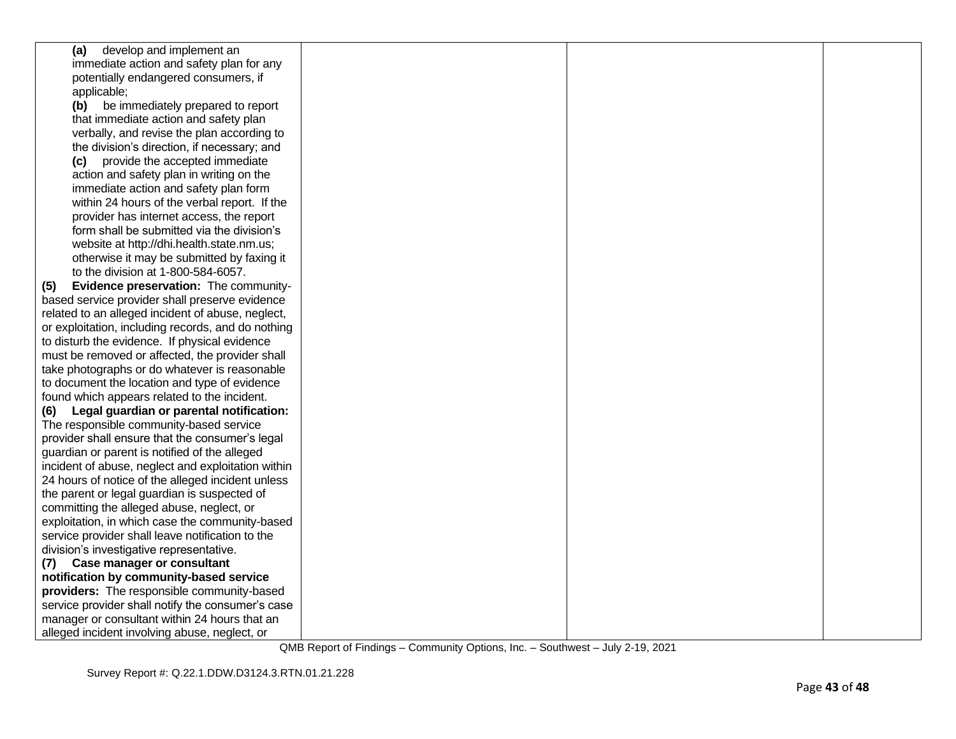| develop and implement an<br>(a)                    |  |  |
|----------------------------------------------------|--|--|
| immediate action and safety plan for any           |  |  |
| potentially endangered consumers, if               |  |  |
| applicable;                                        |  |  |
| (b)<br>be immediately prepared to report           |  |  |
| that immediate action and safety plan              |  |  |
| verbally, and revise the plan according to         |  |  |
| the division's direction, if necessary; and        |  |  |
| provide the accepted immediate<br>(c)              |  |  |
| action and safety plan in writing on the           |  |  |
| immediate action and safety plan form              |  |  |
| within 24 hours of the verbal report. If the       |  |  |
| provider has internet access, the report           |  |  |
| form shall be submitted via the division's         |  |  |
| website at http://dhi.health.state.nm.us;          |  |  |
| otherwise it may be submitted by faxing it         |  |  |
| to the division at 1-800-584-6057.                 |  |  |
| Evidence preservation: The community-<br>(5)       |  |  |
| based service provider shall preserve evidence     |  |  |
| related to an alleged incident of abuse, neglect,  |  |  |
| or exploitation, including records, and do nothing |  |  |
| to disturb the evidence. If physical evidence      |  |  |
| must be removed or affected, the provider shall    |  |  |
| take photographs or do whatever is reasonable      |  |  |
| to document the location and type of evidence      |  |  |
| found which appears related to the incident.       |  |  |
| Legal guardian or parental notification:<br>(6)    |  |  |
| The responsible community-based service            |  |  |
| provider shall ensure that the consumer's legal    |  |  |
| guardian or parent is notified of the alleged      |  |  |
| incident of abuse, neglect and exploitation within |  |  |
| 24 hours of notice of the alleged incident unless  |  |  |
| the parent or legal guardian is suspected of       |  |  |
| committing the alleged abuse, neglect, or          |  |  |
| exploitation, in which case the community-based    |  |  |
| service provider shall leave notification to the   |  |  |
| division's investigative representative.           |  |  |
| (7) Case manager or consultant                     |  |  |
| notification by community-based service            |  |  |
| providers: The responsible community-based         |  |  |
| service provider shall notify the consumer's case  |  |  |
| manager or consultant within 24 hours that an      |  |  |
| alleged incident involving abuse, neglect, or      |  |  |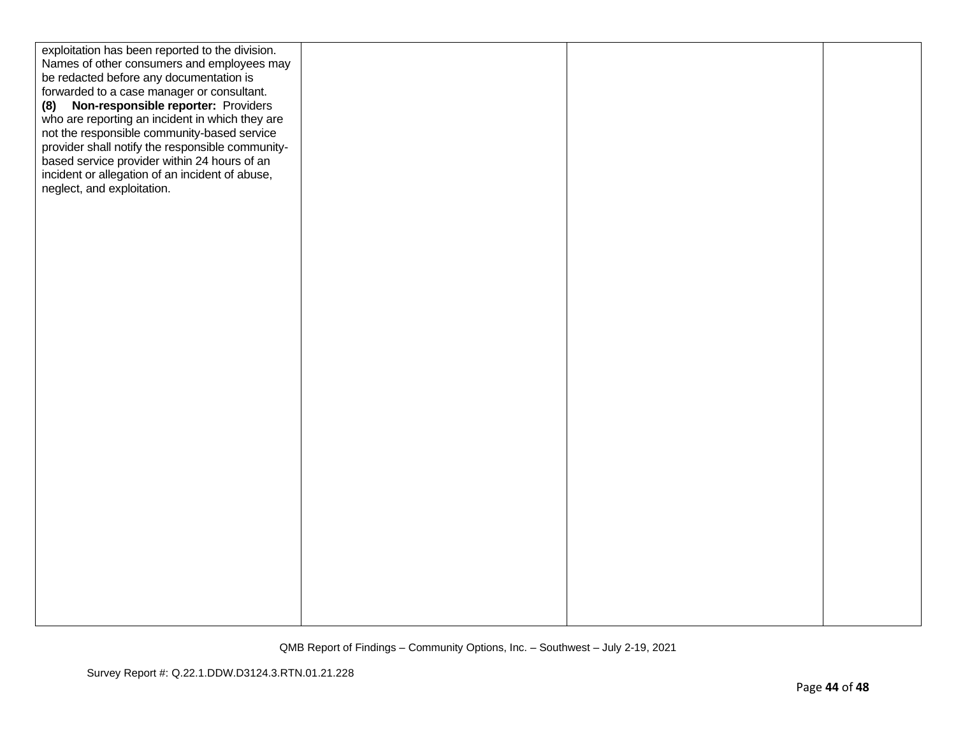| exploitation has been reported to the division.  |  |  |
|--------------------------------------------------|--|--|
| Names of other consumers and employees may       |  |  |
| be redacted before any documentation is          |  |  |
| forwarded to a case manager or consultant.       |  |  |
| Non-responsible reporter: Providers              |  |  |
| (8)                                              |  |  |
| who are reporting an incident in which they are  |  |  |
| not the responsible community-based service      |  |  |
| provider shall notify the responsible community- |  |  |
| based service provider within 24 hours of an     |  |  |
| incident or allegation of an incident of abuse,  |  |  |
| neglect, and exploitation.                       |  |  |
|                                                  |  |  |
|                                                  |  |  |
|                                                  |  |  |
|                                                  |  |  |
|                                                  |  |  |
|                                                  |  |  |
|                                                  |  |  |
|                                                  |  |  |
|                                                  |  |  |
|                                                  |  |  |
|                                                  |  |  |
|                                                  |  |  |
|                                                  |  |  |
|                                                  |  |  |
|                                                  |  |  |
|                                                  |  |  |
|                                                  |  |  |
|                                                  |  |  |
|                                                  |  |  |
|                                                  |  |  |
|                                                  |  |  |
|                                                  |  |  |
|                                                  |  |  |
|                                                  |  |  |
|                                                  |  |  |
|                                                  |  |  |
|                                                  |  |  |
|                                                  |  |  |
|                                                  |  |  |
|                                                  |  |  |
|                                                  |  |  |
|                                                  |  |  |
|                                                  |  |  |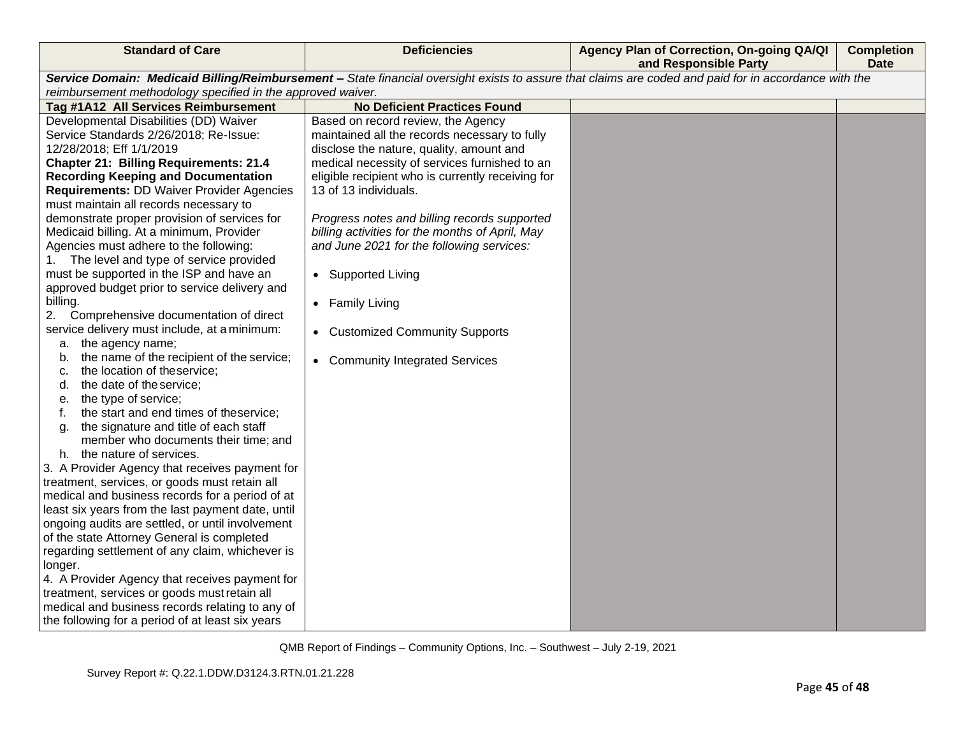| <b>Standard of Care</b>                                                                                                                                                                                                                                                                                                                                                                                                                                                                                                                                                                                                                                                                                                                                                                                                                                                                                                                                                                                                                                                                                                                                                                                                                                                                                                                                                                                                                                                                                                                  | <b>Deficiencies</b>                                                                                                                                                                                                                                                                                                                                                                                                                                                                                                           | Agency Plan of Correction, On-going QA/QI<br>and Responsible Party                                                                                    | <b>Completion</b><br><b>Date</b> |
|------------------------------------------------------------------------------------------------------------------------------------------------------------------------------------------------------------------------------------------------------------------------------------------------------------------------------------------------------------------------------------------------------------------------------------------------------------------------------------------------------------------------------------------------------------------------------------------------------------------------------------------------------------------------------------------------------------------------------------------------------------------------------------------------------------------------------------------------------------------------------------------------------------------------------------------------------------------------------------------------------------------------------------------------------------------------------------------------------------------------------------------------------------------------------------------------------------------------------------------------------------------------------------------------------------------------------------------------------------------------------------------------------------------------------------------------------------------------------------------------------------------------------------------|-------------------------------------------------------------------------------------------------------------------------------------------------------------------------------------------------------------------------------------------------------------------------------------------------------------------------------------------------------------------------------------------------------------------------------------------------------------------------------------------------------------------------------|-------------------------------------------------------------------------------------------------------------------------------------------------------|----------------------------------|
|                                                                                                                                                                                                                                                                                                                                                                                                                                                                                                                                                                                                                                                                                                                                                                                                                                                                                                                                                                                                                                                                                                                                                                                                                                                                                                                                                                                                                                                                                                                                          |                                                                                                                                                                                                                                                                                                                                                                                                                                                                                                                               | Service Domain: Medicaid Billing/Reimbursement - State financial oversight exists to assure that claims are coded and paid for in accordance with the |                                  |
| reimbursement methodology specified in the approved waiver.                                                                                                                                                                                                                                                                                                                                                                                                                                                                                                                                                                                                                                                                                                                                                                                                                                                                                                                                                                                                                                                                                                                                                                                                                                                                                                                                                                                                                                                                              |                                                                                                                                                                                                                                                                                                                                                                                                                                                                                                                               |                                                                                                                                                       |                                  |
| Tag #1A12 All Services Reimbursement                                                                                                                                                                                                                                                                                                                                                                                                                                                                                                                                                                                                                                                                                                                                                                                                                                                                                                                                                                                                                                                                                                                                                                                                                                                                                                                                                                                                                                                                                                     | <b>No Deficient Practices Found</b>                                                                                                                                                                                                                                                                                                                                                                                                                                                                                           |                                                                                                                                                       |                                  |
| Developmental Disabilities (DD) Waiver<br>Service Standards 2/26/2018; Re-Issue:<br>12/28/2018; Eff 1/1/2019<br><b>Chapter 21: Billing Requirements: 21.4</b><br><b>Recording Keeping and Documentation</b><br><b>Requirements: DD Waiver Provider Agencies</b><br>must maintain all records necessary to<br>demonstrate proper provision of services for<br>Medicaid billing. At a minimum, Provider<br>Agencies must adhere to the following:<br>1. The level and type of service provided<br>must be supported in the ISP and have an<br>approved budget prior to service delivery and<br>billing.<br>2.<br>Comprehensive documentation of direct<br>service delivery must include, at a minimum:<br>a. the agency name;<br>the name of the recipient of the service;<br>b.<br>the location of theservice;<br>c.<br>the date of the service;<br>d.<br>the type of service;<br>е.<br>the start and end times of theservice;<br>f.<br>the signature and title of each staff<br>g.<br>member who documents their time; and<br>the nature of services.<br>h.<br>3. A Provider Agency that receives payment for<br>treatment, services, or goods must retain all<br>medical and business records for a period of at<br>least six years from the last payment date, until<br>ongoing audits are settled, or until involvement<br>of the state Attorney General is completed<br>regarding settlement of any claim, whichever is<br>longer.<br>4. A Provider Agency that receives payment for<br>treatment, services or goods must retain all | Based on record review, the Agency<br>maintained all the records necessary to fully<br>disclose the nature, quality, amount and<br>medical necessity of services furnished to an<br>eligible recipient who is currently receiving for<br>13 of 13 individuals.<br>Progress notes and billing records supported<br>billing activities for the months of April, May<br>and June 2021 for the following services:<br>• Supported Living<br>• Family Living<br>• Customized Community Supports<br>• Community Integrated Services |                                                                                                                                                       |                                  |
| medical and business records relating to any of<br>the following for a period of at least six years                                                                                                                                                                                                                                                                                                                                                                                                                                                                                                                                                                                                                                                                                                                                                                                                                                                                                                                                                                                                                                                                                                                                                                                                                                                                                                                                                                                                                                      |                                                                                                                                                                                                                                                                                                                                                                                                                                                                                                                               |                                                                                                                                                       |                                  |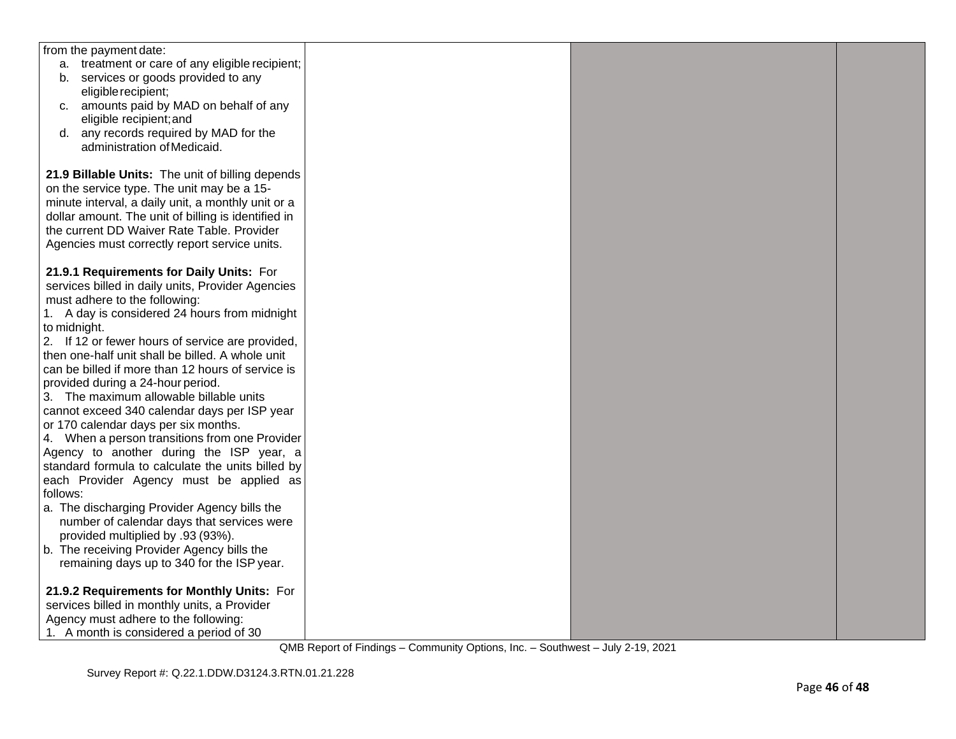| from the payment date:                              |  |  |
|-----------------------------------------------------|--|--|
| a. treatment or care of any eligible recipient;     |  |  |
| b. services or goods provided to any                |  |  |
| eligible recipient;                                 |  |  |
| c. amounts paid by MAD on behalf of any             |  |  |
| eligible recipient; and                             |  |  |
| d. any records required by MAD for the              |  |  |
|                                                     |  |  |
| administration of Medicaid.                         |  |  |
|                                                     |  |  |
| 21.9 Billable Units: The unit of billing depends    |  |  |
| on the service type. The unit may be a 15-          |  |  |
| minute interval, a daily unit, a monthly unit or a  |  |  |
| dollar amount. The unit of billing is identified in |  |  |
| the current DD Waiver Rate Table. Provider          |  |  |
| Agencies must correctly report service units.       |  |  |
|                                                     |  |  |
| 21.9.1 Requirements for Daily Units: For            |  |  |
| services billed in daily units, Provider Agencies   |  |  |
| must adhere to the following:                       |  |  |
| 1. A day is considered 24 hours from midnight       |  |  |
| to midnight.                                        |  |  |
| 2. If 12 or fewer hours of service are provided,    |  |  |
| then one-half unit shall be billed. A whole unit    |  |  |
| can be billed if more than 12 hours of service is   |  |  |
| provided during a 24-hour period.                   |  |  |
| 3. The maximum allowable billable units             |  |  |
| cannot exceed 340 calendar days per ISP year        |  |  |
| or 170 calendar days per six months.                |  |  |
| 4. When a person transitions from one Provider      |  |  |
|                                                     |  |  |
| Agency to another during the ISP year, a            |  |  |
| standard formula to calculate the units billed by   |  |  |
| each Provider Agency must be applied as             |  |  |
| follows:                                            |  |  |
| a. The discharging Provider Agency bills the        |  |  |
| number of calendar days that services were          |  |  |
| provided multiplied by .93 (93%).                   |  |  |
| b. The receiving Provider Agency bills the          |  |  |
| remaining days up to 340 for the ISP year.          |  |  |
|                                                     |  |  |
| 21.9.2 Requirements for Monthly Units: For          |  |  |
| services billed in monthly units, a Provider        |  |  |
| Agency must adhere to the following:                |  |  |
| 1. A month is considered a period of 30             |  |  |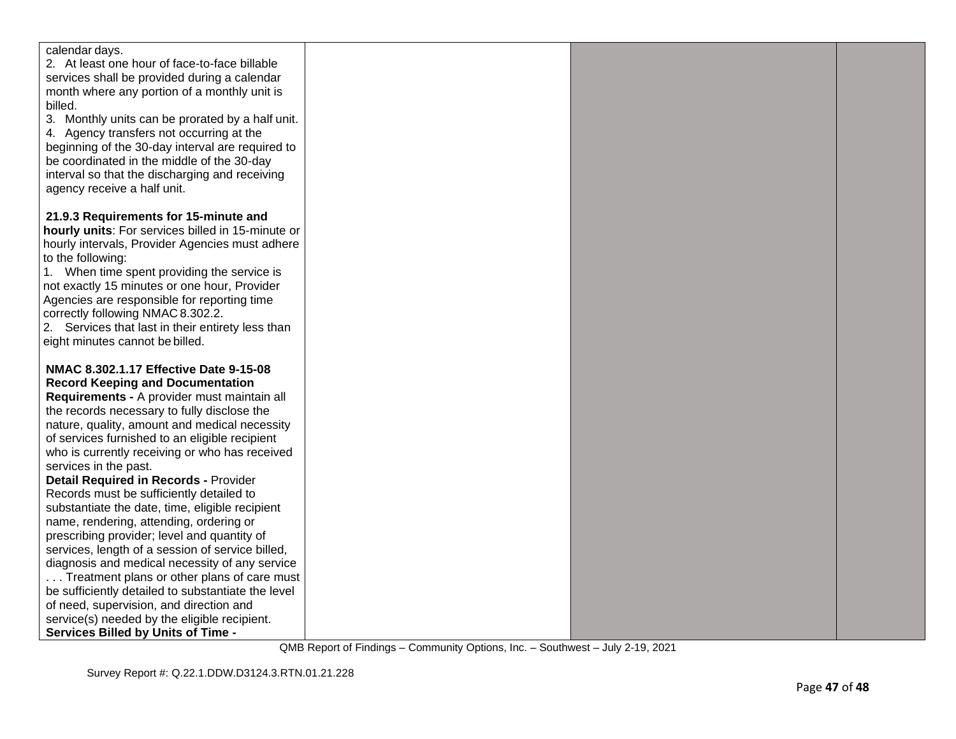| calendar days.<br>2. At least one hour of face-to-face billable<br>services shall be provided during a calendar<br>month where any portion of a monthly unit is<br>billed.<br>3. Monthly units can be prorated by a half unit.<br>4. Agency transfers not occurring at the<br>beginning of the 30-day interval are required to<br>be coordinated in the middle of the 30-day<br>interval so that the discharging and receiving<br>agency receive a half unit.<br>21.9.3 Requirements for 15-minute and<br>hourly units: For services billed in 15-minute or<br>hourly intervals, Provider Agencies must adhere<br>to the following:<br>1. When time spent providing the service is<br>not exactly 15 minutes or one hour, Provider<br>Agencies are responsible for reporting time<br>correctly following NMAC 8.302.2.<br>2. Services that last in their entirety less than<br>eight minutes cannot be billed.<br>NMAC 8.302.1.17 Effective Date 9-15-08<br><b>Record Keeping and Documentation</b> |
|-----------------------------------------------------------------------------------------------------------------------------------------------------------------------------------------------------------------------------------------------------------------------------------------------------------------------------------------------------------------------------------------------------------------------------------------------------------------------------------------------------------------------------------------------------------------------------------------------------------------------------------------------------------------------------------------------------------------------------------------------------------------------------------------------------------------------------------------------------------------------------------------------------------------------------------------------------------------------------------------------------|
|                                                                                                                                                                                                                                                                                                                                                                                                                                                                                                                                                                                                                                                                                                                                                                                                                                                                                                                                                                                                     |
|                                                                                                                                                                                                                                                                                                                                                                                                                                                                                                                                                                                                                                                                                                                                                                                                                                                                                                                                                                                                     |
|                                                                                                                                                                                                                                                                                                                                                                                                                                                                                                                                                                                                                                                                                                                                                                                                                                                                                                                                                                                                     |
|                                                                                                                                                                                                                                                                                                                                                                                                                                                                                                                                                                                                                                                                                                                                                                                                                                                                                                                                                                                                     |
|                                                                                                                                                                                                                                                                                                                                                                                                                                                                                                                                                                                                                                                                                                                                                                                                                                                                                                                                                                                                     |
|                                                                                                                                                                                                                                                                                                                                                                                                                                                                                                                                                                                                                                                                                                                                                                                                                                                                                                                                                                                                     |
|                                                                                                                                                                                                                                                                                                                                                                                                                                                                                                                                                                                                                                                                                                                                                                                                                                                                                                                                                                                                     |
|                                                                                                                                                                                                                                                                                                                                                                                                                                                                                                                                                                                                                                                                                                                                                                                                                                                                                                                                                                                                     |
|                                                                                                                                                                                                                                                                                                                                                                                                                                                                                                                                                                                                                                                                                                                                                                                                                                                                                                                                                                                                     |
|                                                                                                                                                                                                                                                                                                                                                                                                                                                                                                                                                                                                                                                                                                                                                                                                                                                                                                                                                                                                     |
|                                                                                                                                                                                                                                                                                                                                                                                                                                                                                                                                                                                                                                                                                                                                                                                                                                                                                                                                                                                                     |
|                                                                                                                                                                                                                                                                                                                                                                                                                                                                                                                                                                                                                                                                                                                                                                                                                                                                                                                                                                                                     |
|                                                                                                                                                                                                                                                                                                                                                                                                                                                                                                                                                                                                                                                                                                                                                                                                                                                                                                                                                                                                     |
|                                                                                                                                                                                                                                                                                                                                                                                                                                                                                                                                                                                                                                                                                                                                                                                                                                                                                                                                                                                                     |
|                                                                                                                                                                                                                                                                                                                                                                                                                                                                                                                                                                                                                                                                                                                                                                                                                                                                                                                                                                                                     |
|                                                                                                                                                                                                                                                                                                                                                                                                                                                                                                                                                                                                                                                                                                                                                                                                                                                                                                                                                                                                     |
|                                                                                                                                                                                                                                                                                                                                                                                                                                                                                                                                                                                                                                                                                                                                                                                                                                                                                                                                                                                                     |
|                                                                                                                                                                                                                                                                                                                                                                                                                                                                                                                                                                                                                                                                                                                                                                                                                                                                                                                                                                                                     |
|                                                                                                                                                                                                                                                                                                                                                                                                                                                                                                                                                                                                                                                                                                                                                                                                                                                                                                                                                                                                     |
|                                                                                                                                                                                                                                                                                                                                                                                                                                                                                                                                                                                                                                                                                                                                                                                                                                                                                                                                                                                                     |
|                                                                                                                                                                                                                                                                                                                                                                                                                                                                                                                                                                                                                                                                                                                                                                                                                                                                                                                                                                                                     |
|                                                                                                                                                                                                                                                                                                                                                                                                                                                                                                                                                                                                                                                                                                                                                                                                                                                                                                                                                                                                     |
|                                                                                                                                                                                                                                                                                                                                                                                                                                                                                                                                                                                                                                                                                                                                                                                                                                                                                                                                                                                                     |
|                                                                                                                                                                                                                                                                                                                                                                                                                                                                                                                                                                                                                                                                                                                                                                                                                                                                                                                                                                                                     |
| Requirements - A provider must maintain all                                                                                                                                                                                                                                                                                                                                                                                                                                                                                                                                                                                                                                                                                                                                                                                                                                                                                                                                                         |
| the records necessary to fully disclose the                                                                                                                                                                                                                                                                                                                                                                                                                                                                                                                                                                                                                                                                                                                                                                                                                                                                                                                                                         |
| nature, quality, amount and medical necessity                                                                                                                                                                                                                                                                                                                                                                                                                                                                                                                                                                                                                                                                                                                                                                                                                                                                                                                                                       |
| of services furnished to an eligible recipient                                                                                                                                                                                                                                                                                                                                                                                                                                                                                                                                                                                                                                                                                                                                                                                                                                                                                                                                                      |
| who is currently receiving or who has received                                                                                                                                                                                                                                                                                                                                                                                                                                                                                                                                                                                                                                                                                                                                                                                                                                                                                                                                                      |
| services in the past.                                                                                                                                                                                                                                                                                                                                                                                                                                                                                                                                                                                                                                                                                                                                                                                                                                                                                                                                                                               |
| <b>Detail Required in Records - Provider</b>                                                                                                                                                                                                                                                                                                                                                                                                                                                                                                                                                                                                                                                                                                                                                                                                                                                                                                                                                        |
| Records must be sufficiently detailed to                                                                                                                                                                                                                                                                                                                                                                                                                                                                                                                                                                                                                                                                                                                                                                                                                                                                                                                                                            |
| substantiate the date, time, eligible recipient                                                                                                                                                                                                                                                                                                                                                                                                                                                                                                                                                                                                                                                                                                                                                                                                                                                                                                                                                     |
| name, rendering, attending, ordering or                                                                                                                                                                                                                                                                                                                                                                                                                                                                                                                                                                                                                                                                                                                                                                                                                                                                                                                                                             |
| prescribing provider; level and quantity of                                                                                                                                                                                                                                                                                                                                                                                                                                                                                                                                                                                                                                                                                                                                                                                                                                                                                                                                                         |
| services, length of a session of service billed,                                                                                                                                                                                                                                                                                                                                                                                                                                                                                                                                                                                                                                                                                                                                                                                                                                                                                                                                                    |
| diagnosis and medical necessity of any service                                                                                                                                                                                                                                                                                                                                                                                                                                                                                                                                                                                                                                                                                                                                                                                                                                                                                                                                                      |
| Treatment plans or other plans of care must                                                                                                                                                                                                                                                                                                                                                                                                                                                                                                                                                                                                                                                                                                                                                                                                                                                                                                                                                         |
| be sufficiently detailed to substantiate the level                                                                                                                                                                                                                                                                                                                                                                                                                                                                                                                                                                                                                                                                                                                                                                                                                                                                                                                                                  |
| of need, supervision, and direction and                                                                                                                                                                                                                                                                                                                                                                                                                                                                                                                                                                                                                                                                                                                                                                                                                                                                                                                                                             |
| service(s) needed by the eligible recipient.                                                                                                                                                                                                                                                                                                                                                                                                                                                                                                                                                                                                                                                                                                                                                                                                                                                                                                                                                        |
| <b>Services Billed by Units of Time -</b>                                                                                                                                                                                                                                                                                                                                                                                                                                                                                                                                                                                                                                                                                                                                                                                                                                                                                                                                                           |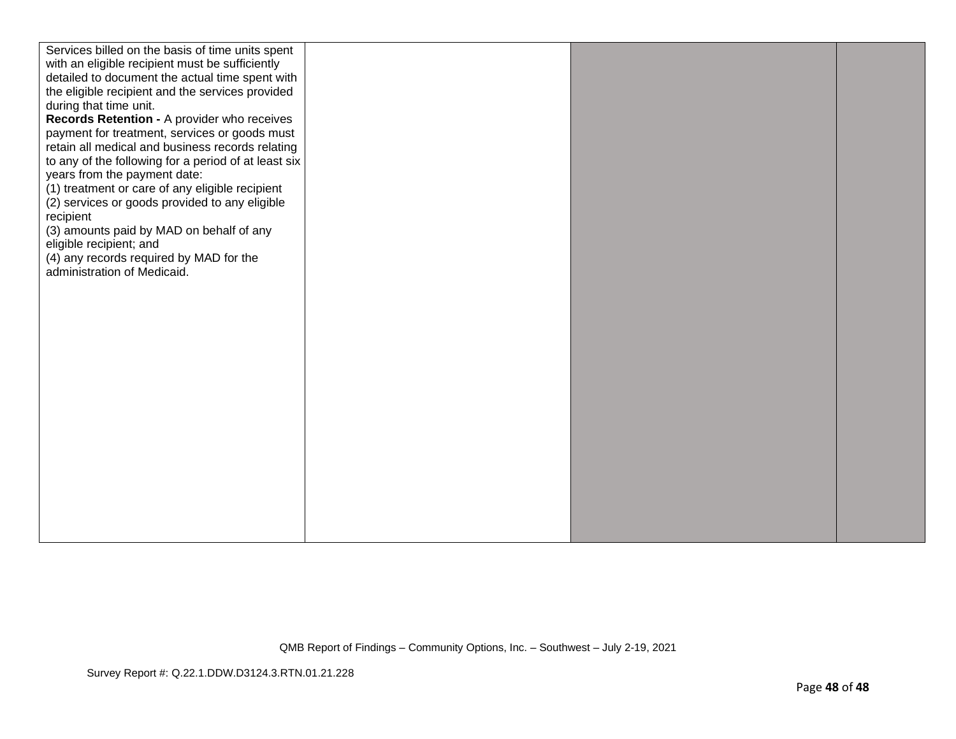| Services billed on the basis of time units spent     |  |  |
|------------------------------------------------------|--|--|
| with an eligible recipient must be sufficiently      |  |  |
| detailed to document the actual time spent with      |  |  |
| the eligible recipient and the services provided     |  |  |
| during that time unit.                               |  |  |
| Records Retention - A provider who receives          |  |  |
| payment for treatment, services or goods must        |  |  |
| retain all medical and business records relating     |  |  |
| to any of the following for a period of at least six |  |  |
| years from the payment date:                         |  |  |
| (1) treatment or care of any eligible recipient      |  |  |
| (2) services or goods provided to any eligible       |  |  |
| recipient                                            |  |  |
|                                                      |  |  |
| (3) amounts paid by MAD on behalf of any             |  |  |
| eligible recipient; and                              |  |  |
| (4) any records required by MAD for the              |  |  |
| administration of Medicaid.                          |  |  |
|                                                      |  |  |
|                                                      |  |  |
|                                                      |  |  |
|                                                      |  |  |
|                                                      |  |  |
|                                                      |  |  |
|                                                      |  |  |
|                                                      |  |  |
|                                                      |  |  |
|                                                      |  |  |
|                                                      |  |  |
|                                                      |  |  |
|                                                      |  |  |
|                                                      |  |  |
|                                                      |  |  |
|                                                      |  |  |
|                                                      |  |  |
|                                                      |  |  |
|                                                      |  |  |
|                                                      |  |  |